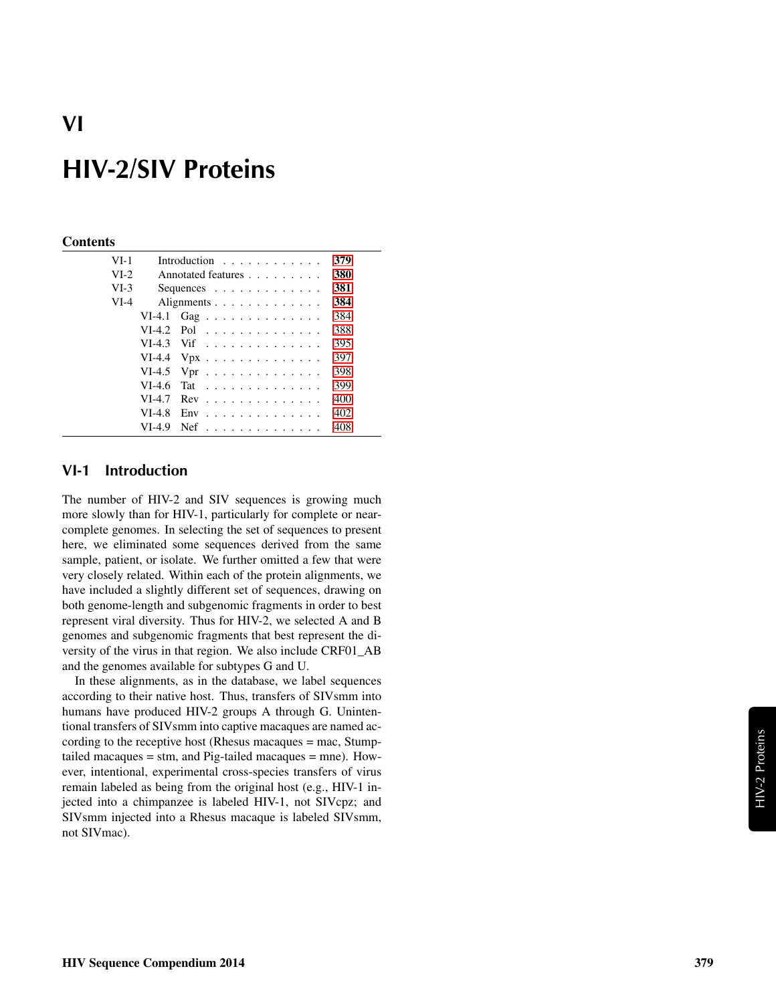# VI

# HIV-2/SIV Proteins

#### **Contents**

| $VI-1$ |          | Introduction $\ldots$ ,                    | 379 |
|--------|----------|--------------------------------------------|-----|
| $VI-2$ |          | Annotated features                         | 380 |
| $VI-3$ |          | Sequences $\ldots$ , $\ldots$ , $\ldots$   | 381 |
| $VI-4$ |          | Alignments                                 | 384 |
|        |          | VI-4.1 Gag                                 | 384 |
|        |          | $VI-4.2$ Pol                               | 388 |
|        |          | $VI-4.3$ Vif                               | 395 |
|        |          | VI-4.4 $Vpx$                               | 397 |
|        |          | VI-4.5 Vpr $\dots \dots \dots \dots \dots$ | 398 |
|        | $VI-4.6$ | Tat                                        | 399 |
|        | $VI-4.7$ | $Rev \dots \dots \dots \dots \dots$        | 400 |
|        | $VI-4.8$ | $Env$                                      | 402 |
|        | VI-4.9   | <b>Nef</b><br>.                            | 408 |

### <span id="page-0-0"></span>VI-1 Introduction

The number of HIV-2 and SIV sequences is growing much more slowly than for HIV-1, particularly for complete or nearcomplete genomes. In selecting the set of sequences to present here, we eliminated some sequences derived from the same sample, patient, or isolate. We further omitted a few that were very closely related. Within each of the protein alignments, we have included a slightly different set of sequences, drawing on both genome-length and subgenomic fragments in order to best represent viral diversity. Thus for HIV-2, we selected A and B genomes and subgenomic fragments that best represent the diversity of the virus in that region. We also include CRF01\_AB and the genomes available for subtypes G and U.

In these alignments, as in the database, we label sequences according to their native host. Thus, transfers of SIVsmm into humans have produced HIV-2 groups A through G. Unintentional transfers of SIVsmm into captive macaques are named according to the receptive host (Rhesus macaques = mac, Stumptailed macaques = stm, and Pig-tailed macaques = mne). However, intentional, experimental cross-species transfers of virus remain labeled as being from the original host (e.g., HIV-1 injected into a chimpanzee is labeled HIV-1, not SIVcpz; and SIVsmm injected into a Rhesus macaque is labeled SIVsmm, not SIVmac).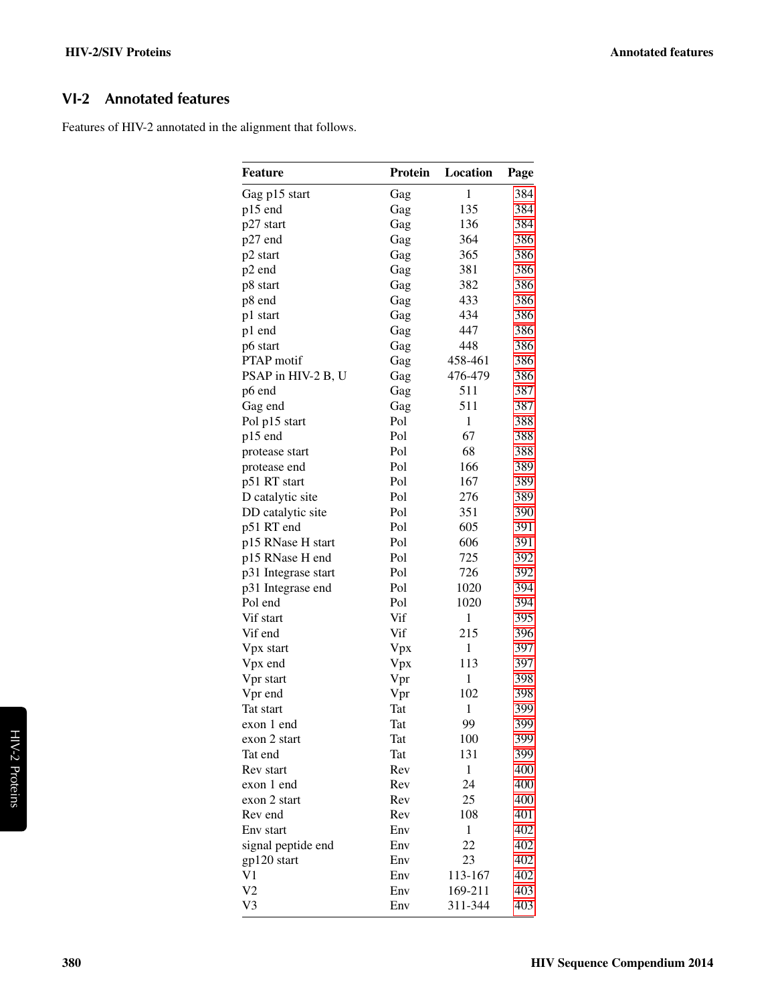# <span id="page-1-0"></span>VI-2 Annotated features

Features of HIV-2 annotated in the alignment that follows.

| <b>Feature</b>      | Protein | Location     | Page |
|---------------------|---------|--------------|------|
| Gag p15 start       | Gag     | $\mathbf{1}$ | 384  |
| p15 end             | Gag     | 135          | 384  |
| p27 start           | Gag     | 136          | 384  |
| p27 end             | Gag     | 364          | 386  |
| p2 start            | Gag     | 365          | 386  |
| p2 end              | Gag     | 381          | 386  |
| p8 start            | Gag     | 382          | 386  |
| p8 end              | Gag     | 433          | 386  |
| p1 start            | Gag     | 434          | 386  |
| p1 end              | Gag     | 447          | 386  |
| p6 start            | Gag     | 448          | 386  |
| <b>PTAP</b> motif   | Gag     | 458-461      | 386  |
| PSAP in HIV-2 B, U  | Gag     | 476-479      | 386  |
| p6 end              | Gag     | 511          | 387  |
| Gag end             | Gag     | 511          | 387  |
| Pol p15 start       | Pol     | $\mathbf{1}$ | 388  |
| p15 end             | Pol     | 67           | 388  |
| protease start      | Pol     | 68           | 388  |
| protease end        | Pol     | 166          | 389  |
| p51 RT start        | Pol     | 167          | 389  |
| D catalytic site    | Pol     | 276          | 389  |
| DD catalytic site   | Pol     | 351          | 390  |
| p51 RT end          | Pol     | 605          | 391  |
| p15 RNase H start   | Pol     | 606          | 391  |
| p15 RNase H end     | Pol     | 725          | 392  |
| p31 Integrase start | Pol     | 726          | 392  |
| p31 Integrase end   | Pol     | 1020         | 394  |
| Pol end             | Pol     | 1020         | 394  |
| Vif start           | Vif     | 1            | 395  |
| Vif end             | Vif     | 215          | 396  |
| Vpx start           | Vpx     | 1            | 397  |
| Vpx end             | Vpx     | 113          | 397  |
| Vpr start           | Vpr     | 1            | 398  |
| Vpr end             | Vpr     | 102          | 398  |
| Tat start           | Tat     | $\mathbf{1}$ | 399  |
| exon 1 end          | Tat     | 99           | 399  |
| exon 2 start        | Tat     | 100          | 399  |
| Tat end             | Tat     | 131          | 399  |
| Rev start           | Rev     | $\mathbf{1}$ | 400  |
| exon 1 end          | Rev     | 24           | 400  |
| exon 2 start        | Rev     | 25           | 400  |
| Rev end             | Rev     | 108          | 401  |
| Env start           | Env     | 1            | 402  |
| signal peptide end  | Env     | 22           | 402  |
| gp120 start         | Env     | 23           | 402  |
| V1                  | Env     | 113-167      | 402  |
| V2                  | Env     | 169-211      | 403  |
| V3                  | Env     | 311-344      | 403  |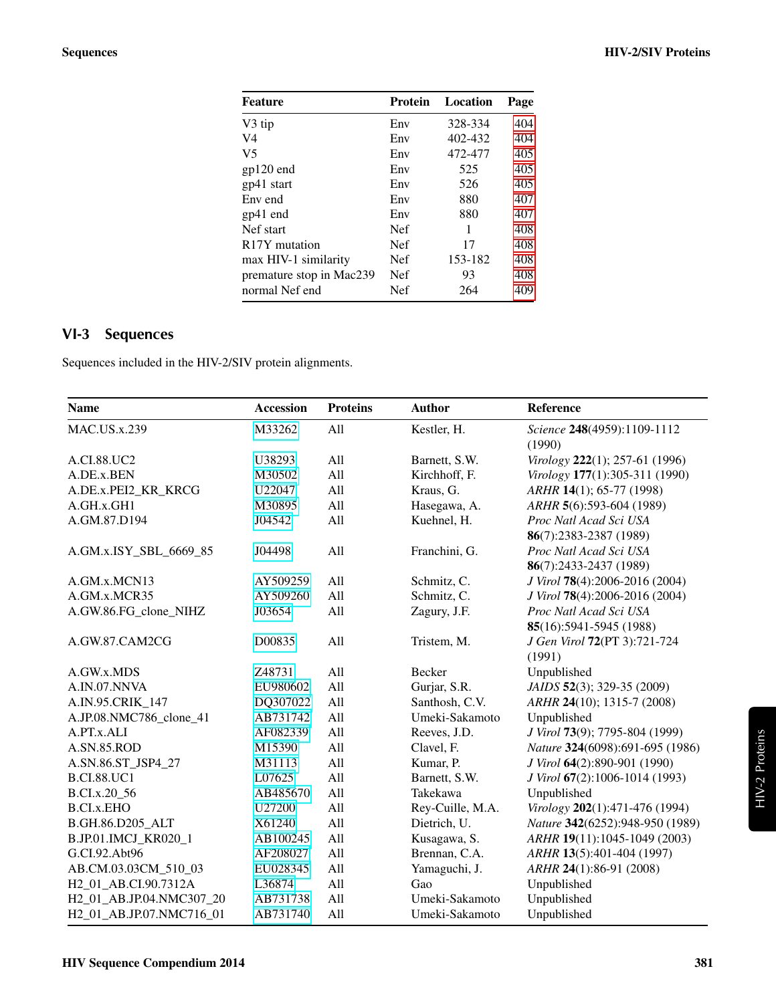| <b>Feature</b>             | Protein    | Location | Page |
|----------------------------|------------|----------|------|
| V3 tip                     | Env        | 328-334  | 404  |
| V4                         | Env        | 402-432  | 404  |
| V <sub>5</sub>             | Env        | 472-477  | 405  |
| gp120 end                  | Env        | 525      | 405  |
| gp41 start                 | Env        | 526      | 405  |
| Env end                    | Env        | 880      | 407  |
| gp41 end                   | Env        | 880      | 407  |
| Nef start                  | <b>Nef</b> | 1        | 408  |
| R <sub>17</sub> Y mutation | <b>Nef</b> | 17       | 408  |
| max HIV-1 similarity       | <b>Nef</b> | 153-182  | 408  |
| premature stop in Mac239   | <b>Nef</b> | 93       | 408  |
| normal Nef end             | Nef        | 264      | 409  |
|                            |            |          |      |

# <span id="page-2-0"></span>VI-3 Sequences

Sequences included in the HIV-2/SIV protein alignments.

| <b>Name</b>              | <b>Accession</b> | <b>Proteins</b> | <b>Author</b>    | Reference                       |
|--------------------------|------------------|-----------------|------------------|---------------------------------|
| <b>MAC.US.x.239</b>      | M33262           | All             | Kestler, H.      | Science 248(4959):1109-1112     |
|                          |                  |                 |                  | (1990)                          |
| A.CI.88.UC2              | U38293           | All             | Barnett, S.W.    | Virology 222(1); 257-61 (1996)  |
| A.DE.x.BEN               | M30502           | All             | Kirchhoff, F.    | Virology 177(1):305-311 (1990)  |
| A.DE.x.PEI2_KR_KRCG      | U22047           | All             | Kraus, G.        | ARHR 14(1); 65-77 (1998)        |
| A.GH.x.GH1               | M30895           | All             | Hasegawa, A.     | ARHR 5(6):593-604 (1989)        |
| A.GM.87.D194             | J04542           | All             | Kuehnel, H.      | Proc Natl Acad Sci USA          |
|                          |                  |                 |                  | 86(7):2383-2387 (1989)          |
| A.GM.x.ISY_SBL_6669_85   | J04498           | All             | Franchini, G.    | Proc Natl Acad Sci USA          |
|                          |                  |                 |                  | 86(7):2433-2437 (1989)          |
| A.GM.x.MCN13             | AY509259         | All             | Schmitz, C.      | J Virol 78(4):2006-2016 (2004)  |
| A.GM.x.MCR35             | AY509260         | All             | Schmitz, C.      | J Virol 78(4):2006-2016 (2004)  |
| A.GW.86.FG_clone_NIHZ    | J03654           | All             | Zagury, J.F.     | Proc Natl Acad Sci USA          |
|                          |                  |                 |                  | 85(16):5941-5945 (1988)         |
| A.GW.87.CAM2CG           | D00835           | All             | Tristem, M.      | J Gen Virol 72(PT 3):721-724    |
|                          |                  |                 |                  | (1991)                          |
| A.GW.x.MDS               | Z48731           | All             | Becker           | Unpublished                     |
| A.IN.07.NNVA             | EU980602         | All             | Gurjar, S.R.     | JAIDS 52(3); 329-35 (2009)      |
| A.IN.95.CRIK_147         | DQ307022         | All             | Santhosh, C.V.   | ARHR 24(10); 1315-7 (2008)      |
| A.JP.08.NMC786_clone_41  | AB731742         | All             | Umeki-Sakamoto   | Unpublished                     |
| A.PT.x.ALI               | AF082339         | All             | Reeves, J.D.     | J Virol 73(9); 7795-804 (1999)  |
| A.SN.85.ROD              | M15390           | All             | Clavel, F.       | Nature 324(6098):691-695 (1986) |
| A.SN.86.ST_JSP4_27       | M31113           | All             | Kumar, P.        | J Virol 64(2):890-901 (1990)    |
| <b>B.CI.88.UC1</b>       | L07625           | All             | Barnett, S.W.    | J Virol 67(2):1006-1014 (1993)  |
| B.CI.x.20_56             | AB485670         | All             | Takekawa         | Unpublished                     |
| <b>B.CI.x.EHO</b>        | U27200           | All             | Rey-Cuille, M.A. | Virology 202(1):471-476 (1994)  |
| B.GH.86.D205_ALT         | X61240           | All             | Dietrich, U.     | Nature 342(6252):948-950 (1989) |
| B.JP.01.IMCJ_KR020_1     | AB100245         | All             | Kusagawa, S.     | ARHR 19(11):1045-1049 (2003)    |
| G.CI.92.Abt96            | AF208027         | All             | Brennan, C.A.    | ARHR 13(5):401-404 (1997)       |
| AB.CM.03.03CM_510_03     | EU028345         | All             | Yamaguchi, J.    | ARHR 24(1):86-91 (2008)         |
| H2_01_AB.CI.90.7312A     | L36874           | All             | Gao              | Unpublished                     |
| H2_01_AB.JP.04.NMC307_20 | AB731738         | All             | Umeki-Sakamoto   | Unpublished                     |
| H2_01_AB.JP.07.NMC716_01 | AB731740         | All             | Umeki-Sakamoto   | Unpublished                     |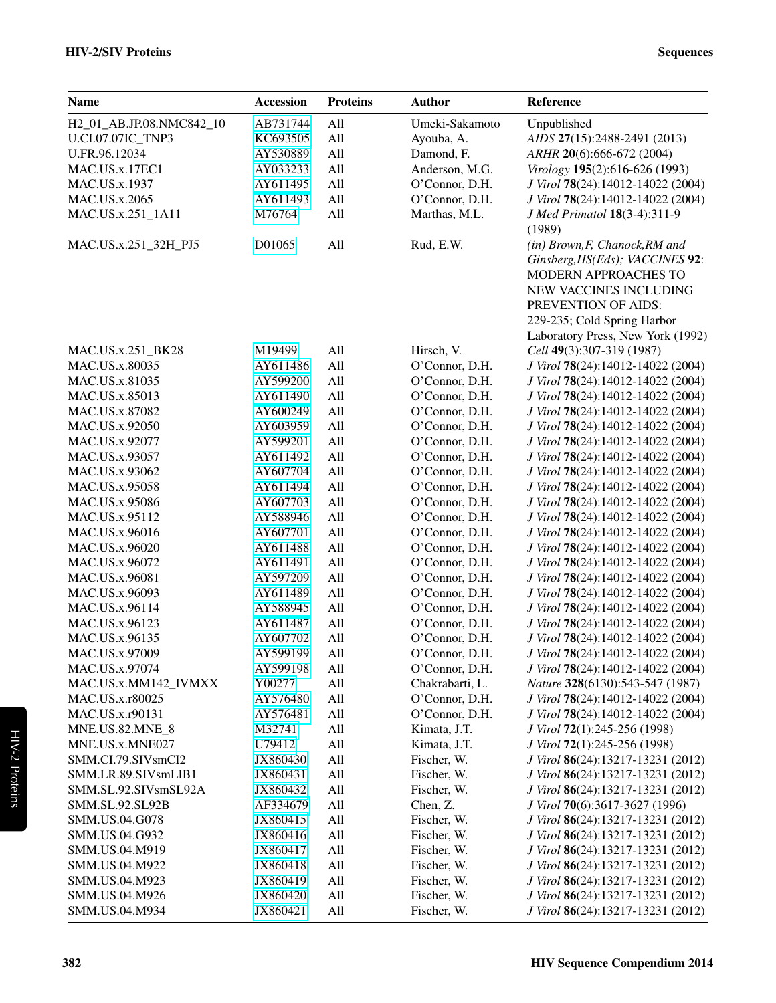| <b>Name</b>              | <b>Accession</b> | <b>Proteins</b> | <b>Author</b>   | Reference                         |
|--------------------------|------------------|-----------------|-----------------|-----------------------------------|
| H2_01_AB.JP.08.NMC842_10 | AB731744         | All             | Umeki-Sakamoto  | Unpublished                       |
| <b>U.CI.07.07IC TNP3</b> | KC693505         | All             | Ayouba, A.      | AIDS 27(15):2488-2491 (2013)      |
| U.FR.96.12034            | AY530889         | All             | Damond, F.      | ARHR 20(6):666-672 (2004)         |
| MAC.US.x.17EC1           | AY033233         | All             | Anderson, M.G.  | Virology 195(2):616-626 (1993)    |
| MAC.US.x.1937            | AY611495         | All             | O'Connor, D.H.  | J Virol 78(24):14012-14022 (2004) |
| MAC.US.x.2065            | AY611493         | All             | O'Connor, D.H.  | J Virol 78(24):14012-14022 (2004) |
| MAC.US.x.251_1A11        | M76764           | All             | Marthas, M.L.   | J Med Primatol 18(3-4):311-9      |
|                          |                  |                 |                 | (1989)                            |
| MAC.US.x.251_32H_PJ5     | D01065           | All             | Rud, E.W.       | (in) Brown, F, Chanock, RM and    |
|                          |                  |                 |                 | Ginsberg, HS(Eds); VACCINES 92:   |
|                          |                  |                 |                 | MODERN APPROACHES TO              |
|                          |                  |                 |                 | NEW VACCINES INCLUDING            |
|                          |                  |                 |                 | PREVENTION OF AIDS:               |
|                          |                  |                 |                 | 229-235; Cold Spring Harbor       |
|                          |                  |                 |                 | Laboratory Press, New York (1992) |
| MAC.US.x.251_BK28        | M19499           | All             | Hirsch, V.      | Cell 49(3):307-319 (1987)         |
| MAC.US.x.80035           | AY611486         | All             | O'Connor, D.H.  | J Virol 78(24):14012-14022 (2004) |
| MAC.US.x.81035           | AY599200         | All             | O'Connor, D.H.  | J Virol 78(24):14012-14022 (2004) |
| MAC.US.x.85013           | AY611490         | All             | O'Connor, D.H.  | J Virol 78(24):14012-14022 (2004) |
| MAC.US.x.87082           | AY600249         | All             | O'Connor, D.H.  | J Virol 78(24):14012-14022 (2004) |
| MAC.US.x.92050           | AY603959         | All             | O'Connor, D.H.  | J Virol 78(24):14012-14022 (2004) |
| MAC.US.x.92077           | AY599201         | All             | O'Connor, D.H.  | J Virol 78(24):14012-14022 (2004) |
| MAC.US.x.93057           | AY611492         | All             | O'Connor, D.H.  | J Virol 78(24):14012-14022 (2004) |
| MAC.US.x.93062           | AY607704         | All             | O'Connor, D.H.  | J Virol 78(24):14012-14022 (2004) |
| MAC.US.x.95058           | AY611494         | All             | O'Connor, D.H.  | J Virol 78(24):14012-14022 (2004) |
| MAC.US.x.95086           | AY607703         | All             | O'Connor, D.H.  | J Virol 78(24):14012-14022 (2004) |
| MAC.US.x.95112           | AY588946         | All             | O'Connor, D.H.  | J Virol 78(24):14012-14022 (2004) |
| MAC.US.x.96016           | AY607701         | All             | O'Connor, D.H.  | J Virol 78(24):14012-14022 (2004) |
| MAC.US.x.96020           | AY611488         | All             | O'Connor, D.H.  | J Virol 78(24):14012-14022 (2004) |
| MAC.US.x.96072           | AY611491         | All             | O'Connor, D.H.  | J Virol 78(24):14012-14022 (2004) |
| MAC.US.x.96081           | AY597209         | All             | O'Connor, D.H.  | J Virol 78(24):14012-14022 (2004) |
| MAC.US.x.96093           | AY611489         | All             | O'Connor, D.H.  | J Virol 78(24):14012-14022 (2004) |
| MAC.US.x.96114           | AY588945         | All             | O'Connor, D.H.  | J Virol 78(24):14012-14022 (2004) |
| MAC.US.x.96123           | AY611487         | All             | O'Connor, D.H.  | J Virol 78(24):14012-14022 (2004) |
| MAC.US.x.96135           | AY607702         | All             | O'Connor, D.H.  | J Virol 78(24):14012-14022 (2004) |
| MAC.US.x.97009           | AY599199         | All             | O'Connor, D.H.  | J Virol 78(24):14012-14022 (2004) |
| MAC.US.x.97074           | AY599198         | All             | O'Connor, D.H.  | J Virol 78(24):14012-14022 (2004) |
| MAC.US.x.MM142_IVMXX     | Y00277           | All             | Chakrabarti, L. | Nature 328(6130):543-547 (1987)   |
| MAC.US.x.r80025          | AY576480         | All             | O'Connor, D.H.  | J Virol 78(24):14012-14022 (2004) |
| MAC.US.x.r90131          | AY576481         | All             | O'Connor, D.H.  | J Virol 78(24):14012-14022 (2004) |
| MNE.US.82.MNE_8          | M32741           | All             | Kimata, J.T.    | J Virol 72(1):245-256 (1998)      |
| MNE.US.x.MNE027          | U79412           | All             | Kimata, J.T.    | J Virol 72(1):245-256 (1998)      |
| SMM.CI.79.SIVsmCI2       | JX860430         | All             | Fischer, W.     | J Virol 86(24):13217-13231 (2012) |
| SMM.LR.89.SIVsmLIB1      | JX860431         | All             | Fischer, W.     | J Virol 86(24):13217-13231 (2012) |
| SMM.SL.92.SIVsmSL92A     | JX860432         | All             | Fischer, W.     | J Virol 86(24):13217-13231 (2012) |
| SMM.SL.92.SL92B          | AF334679         | All             | Chen, Z.        | J Virol 70(6):3617-3627 (1996)    |
| SMM.US.04.G078           | JX860415         | All             | Fischer, W.     | J Virol 86(24):13217-13231 (2012) |
| SMM.US.04.G932           | JX860416         | All             | Fischer, W.     | J Virol 86(24):13217-13231 (2012) |
| SMM.US.04.M919           | JX860417         | All             | Fischer, W.     | J Virol 86(24):13217-13231 (2012) |
| SMM.US.04.M922           | JX860418         | All             | Fischer, W.     | J Virol 86(24):13217-13231 (2012) |
| SMM.US.04.M923           | JX860419         | All             | Fischer, W.     | J Virol 86(24):13217-13231 (2012) |
| SMM.US.04.M926           | JX860420         | All             | Fischer, W.     | J Virol 86(24):13217-13231 (2012) |
| SMM.US.04.M934           | JX860421         | All             | Fischer, W.     | J Virol 86(24):13217-13231 (2012) |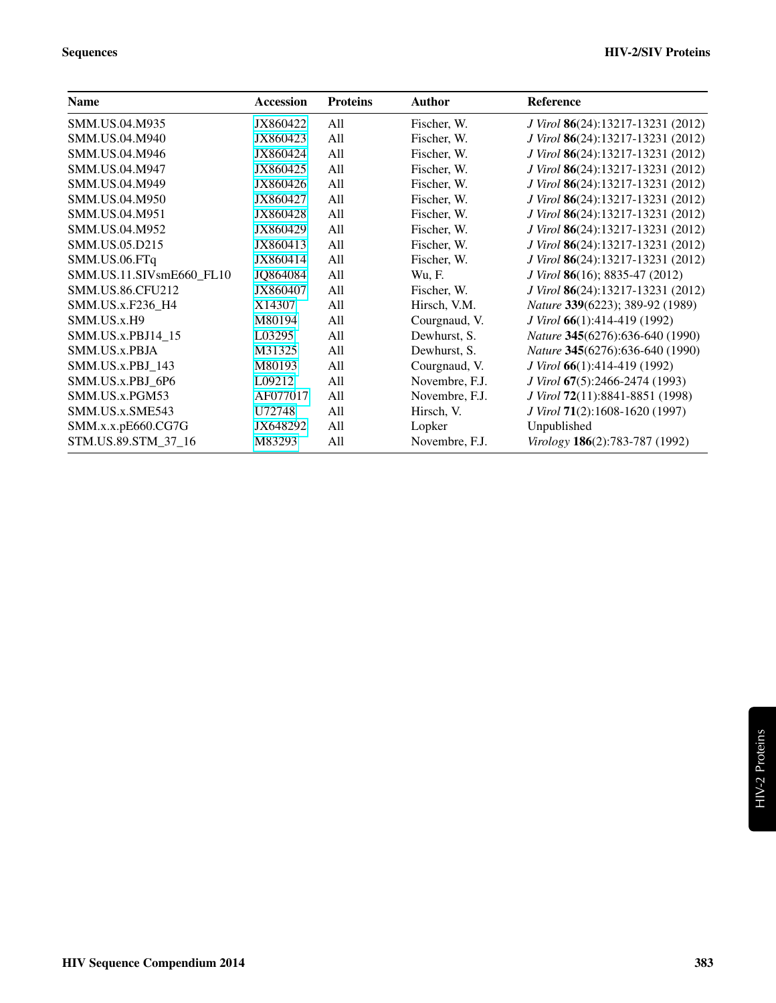| <b>Name</b>              | <b>Accession</b> | <b>Proteins</b> | <b>Author</b>  | <b>Reference</b>                  |
|--------------------------|------------------|-----------------|----------------|-----------------------------------|
| SMM.US.04.M935           | JX860422         | All             | Fischer, W.    | J Virol 86(24):13217-13231 (2012) |
| SMM.US.04.M940           | JX860423         | All             | Fischer, W.    | J Virol 86(24):13217-13231 (2012) |
| SMM.US.04.M946           | JX860424         | All             | Fischer, W.    | J Virol 86(24):13217-13231 (2012) |
| SMM.US.04.M947           | JX860425         | All             | Fischer, W.    | J Virol 86(24):13217-13231 (2012) |
| SMM.US.04.M949           | JX860426         | All             | Fischer, W.    | J Virol 86(24):13217-13231 (2012) |
| SMM.US.04.M950           | JX860427         | All             | Fischer, W.    | J Virol 86(24):13217-13231 (2012) |
| SMM.US.04.M951           | JX860428         | All             | Fischer, W.    | J Virol 86(24):13217-13231 (2012) |
| SMM.US.04.M952           | JX860429         | All             | Fischer, W.    | J Virol 86(24):13217-13231 (2012) |
| SMM.US.05.D215           | JX860413         | All             | Fischer, W.    | J Virol 86(24):13217-13231 (2012) |
| SMM.US.06.FTq            | JX860414         | All             | Fischer, W.    | J Virol 86(24):13217-13231 (2012) |
| SMM.US.11.SIVsmE660_FL10 | JQ864084         | All             | Wu, F.         | J Virol 86(16); 8835-47 (2012)    |
| <b>SMM.US.86.CFU212</b>  | JX860407         | All             | Fischer, W.    | J Virol 86(24):13217-13231 (2012) |
| SMM.US.x.F236 H4         | X14307           | All             | Hirsch, V.M.   | Nature 339(6223); 389-92 (1989)   |
| SMM.US.x.H9              | M80194           | All             | Courgnaud, V.  | J Virol 66(1):414-419 (1992)      |
| SMM.US.x.PBJ14 15        | L03295           | All             | Dewhurst, S.   | Nature 345(6276):636-640 (1990)   |
| SMM.US.x.PBJA            | M31325           | All             | Dewhurst, S.   | Nature 345(6276):636-640 (1990)   |
| SMM.US.x.PBJ 143         | M80193           | All             | Courgnaud, V.  | J Virol 66(1):414-419 (1992)      |
| SMM.US.x.PBJ 6P6         | L09212           | All             | Novembre, F.J. | J Virol 67(5):2466-2474 (1993)    |
| SMM.US.x.PGM53           | AF077017         | All             | Novembre, F.J. | J Virol 72(11):8841-8851 (1998)   |
| SMM.US.x.SME543          | U72748           | All             | Hirsch, V.     | J Virol 71(2):1608-1620 (1997)    |
| SMM.x.x.pE660.CG7G       | JX648292         | All             | Lopker         | Unpublished                       |
| STM.US.89.STM_37_16      | M83293           | All             | Novembre, F.J. | Virology 186(2):783-787 (1992)    |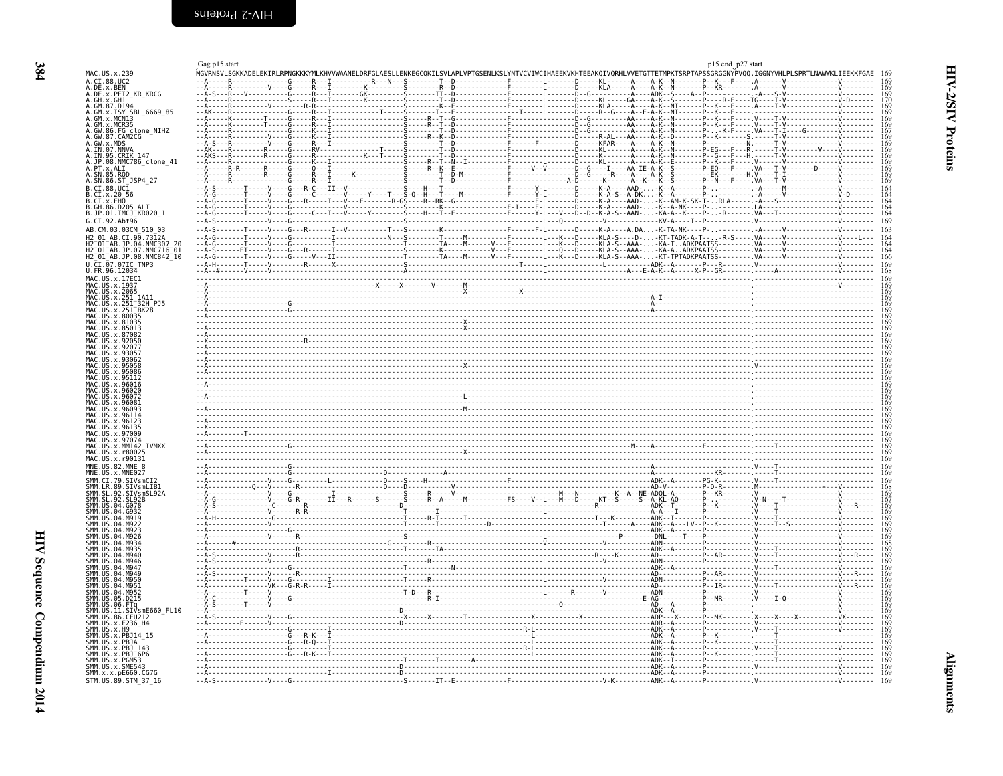<span id="page-5-2"></span><span id="page-5-1"></span><span id="page-5-0"></span>

|                                                | Gag p15 start                | p15 end_p27 start                                                                                                                                                                                                                            |
|------------------------------------------------|------------------------------|----------------------------------------------------------------------------------------------------------------------------------------------------------------------------------------------------------------------------------------------|
| MAC.US.x.239<br>A.CI.88.UC2                    |                              | MGVRNSVLSGKKADELEKIRLRPNGKKKYMLKHVVWAANELDRFGLAESLLENKEGCQKILSVLAPLVPTGSENLKSLYNTVCVIWCIHAEEKVKHTEEAKQIVQRHLVVETGTTETMPKTSRPTAPSSGRGGNYPVQQ.IGGNYVHLPLSPRTLNAWVKLIEEKKFGAE<br>D KL A A - K - - N -<br>$-P - K - - F - - - - A - - - - - V -$ |
| A.DE.x.BEN<br>A.DE.x.PEI2 KR KRCG              |                              |                                                                                                                                                                                                                                              |
| A.GH.x.GH1                                     |                              |                                                                                                                                                                                                                                              |
| A.GM.87.D194                                   |                              |                                                                                                                                                                                                                                              |
| A.GM.X.ISY SBL_6669_85<br>A.GM.X.MCNI3         |                              |                                                                                                                                                                                                                                              |
| A.GM.x.MCR35                                   |                              |                                                                                                                                                                                                                                              |
| 86.FG clone NIHZ<br>A.GW.87.CAM2CG             |                              |                                                                                                                                                                                                                                              |
| GW.x.MDS                                       |                              |                                                                                                                                                                                                                                              |
| A.IN.07.NNVA<br>A.IN.95.CRIK 147               |                              |                                                                                                                                                                                                                                              |
| A.JP.08.NMC786 clone 41                        |                              |                                                                                                                                                                                                                                              |
| A.PT.x.ALI<br>A.SN.85.ROD                      |                              |                                                                                                                                                                                                                                              |
| A.SN.86.ST JSP4 27                             |                              |                                                                                                                                                                                                                                              |
| $B.CI.88.UC\bar{1}$                            |                              |                                                                                                                                                                                                                                              |
| B.GI.X.2056                                    |                              |                                                                                                                                                                                                                                              |
| B.CI.X.20<br>B.CI.X.EHO<br>B.GH.86.D205 ALT    |                              |                                                                                                                                                                                                                                              |
| B.JP.01.IMCJ KR020 1                           |                              |                                                                                                                                                                                                                                              |
| G.CI.92.Abt96<br>AB.CM.03.03CM 510 03          |                              |                                                                                                                                                                                                                                              |
| AB.CI.90.7312A                                 |                              |                                                                                                                                                                                                                                              |
| 01 AB.JP.04.NMC307 20<br>01 AB.JP.07.NMC716 01 |                              |                                                                                                                                                                                                                                              |
| H2 01 AB.JP.08.NMC842 10                       |                              |                                                                                                                                                                                                                                              |
| U.CI.07.07IC TNP3                              |                              |                                                                                                                                                                                                                                              |
| U.FR.96.12034                                  |                              |                                                                                                                                                                                                                                              |
| MAC.US.x.17EC1                                 |                              |                                                                                                                                                                                                                                              |
| MAC.US.x.1937<br>MAC.US.x.2065                 |                              |                                                                                                                                                                                                                                              |
| US.x.251_1A11                                  |                              |                                                                                                                                                                                                                                              |
| . US . x . 251–32H_PJ5<br>. US . x . 251–BK28  |                              |                                                                                                                                                                                                                                              |
| US.x.80035                                     |                              |                                                                                                                                                                                                                                              |
| US.x.81035<br>IS x 85013                       |                              |                                                                                                                                                                                                                                              |
| JS.x.87082                                     |                              |                                                                                                                                                                                                                                              |
| S.x.92050<br>IS.x.92077                        |                              |                                                                                                                                                                                                                                              |
|                                                |                              |                                                                                                                                                                                                                                              |
|                                                |                              |                                                                                                                                                                                                                                              |
| x.95086                                        |                              |                                                                                                                                                                                                                                              |
| x.96016                                        |                              |                                                                                                                                                                                                                                              |
| x.96020                                        |                              |                                                                                                                                                                                                                                              |
| x.96072<br>US.x.96081                          |                              |                                                                                                                                                                                                                                              |
| IS.x.96093                                     |                              |                                                                                                                                                                                                                                              |
| US.x.96114                                     |                              |                                                                                                                                                                                                                                              |
| US.x.96123<br>MAC.US.x.96135                   |                              |                                                                                                                                                                                                                                              |
| US.x.97009<br>US.x.97074                       |                              |                                                                                                                                                                                                                                              |
| <b>TVMXX</b><br>JS.x.MM142                     |                              |                                                                                                                                                                                                                                              |
| JS.x.r80025<br>US.x.r90131                     |                              |                                                                                                                                                                                                                                              |
| MNE.US.82.MNE 8                                |                              |                                                                                                                                                                                                                                              |
| MNE.US.x.MNE027                                |                              |                                                                                                                                                                                                                                              |
| CI.79.SIVsmCI2<br>SMM.LR.89.SIVsmLIB1          |                              |                                                                                                                                                                                                                                              |
| SL.92.<br>SIVsmSL92A                           |                              |                                                                                                                                                                                                                                              |
| SL.92.SL92B<br>JS.04.G078                      |                              |                                                                                                                                                                                                                                              |
| US.04.G932                                     |                              |                                                                                                                                                                                                                                              |
|                                                |                              |                                                                                                                                                                                                                                              |
| 04.M922<br>M923                                |                              |                                                                                                                                                                                                                                              |
| US.04.M926                                     |                              |                                                                                                                                                                                                                                              |
| 04 M934<br>IS 04 M935                          |                              |                                                                                                                                                                                                                                              |
| .04.M940                                       |                              |                                                                                                                                                                                                                                              |
| -04<br>M946<br>M947<br>-04                     |                              |                                                                                                                                                                                                                                              |
| M949<br>-04                                    |                              |                                                                                                                                                                                                                                              |
| M950<br>- 04<br>M951<br>- 04                   |                              |                                                                                                                                                                                                                                              |
| JS.04.M952                                     |                              |                                                                                                                                                                                                                                              |
| JS.05.D215                                     |                              |                                                                                                                                                                                                                                              |
| US.06.FTa<br>ÜS.II.SIVsmE660 FL10              |                              |                                                                                                                                                                                                                                              |
| US.86.CFU212                                   |                              |                                                                                                                                                                                                                                              |
| .US.x.F236_H4<br>.US.x.H9                      |                              |                                                                                                                                                                                                                                              |
| US.x.PBJ14 15                                  |                              |                                                                                                                                                                                                                                              |
| JS.x.PBJA<br>JS.x.PBJ                          |                              |                                                                                                                                                                                                                                              |
| JS.x.PBJ <sup>-</sup> 6P6                      |                              |                                                                                                                                                                                                                                              |
| JS.x.PGM53<br>SMM.US.x.SME543                  |                              |                                                                                                                                                                                                                                              |
| SMM.x.x.pE660.CG7G                             |                              |                                                                                                                                                                                                                                              |
|                                                |                              |                                                                                                                                                                                                                                              |
| STM.US.89.STM 37 16                            | $-4-5-1-1-1-1-1-1-1-6-1-1-1$ |                                                                                                                                                                                                                                              |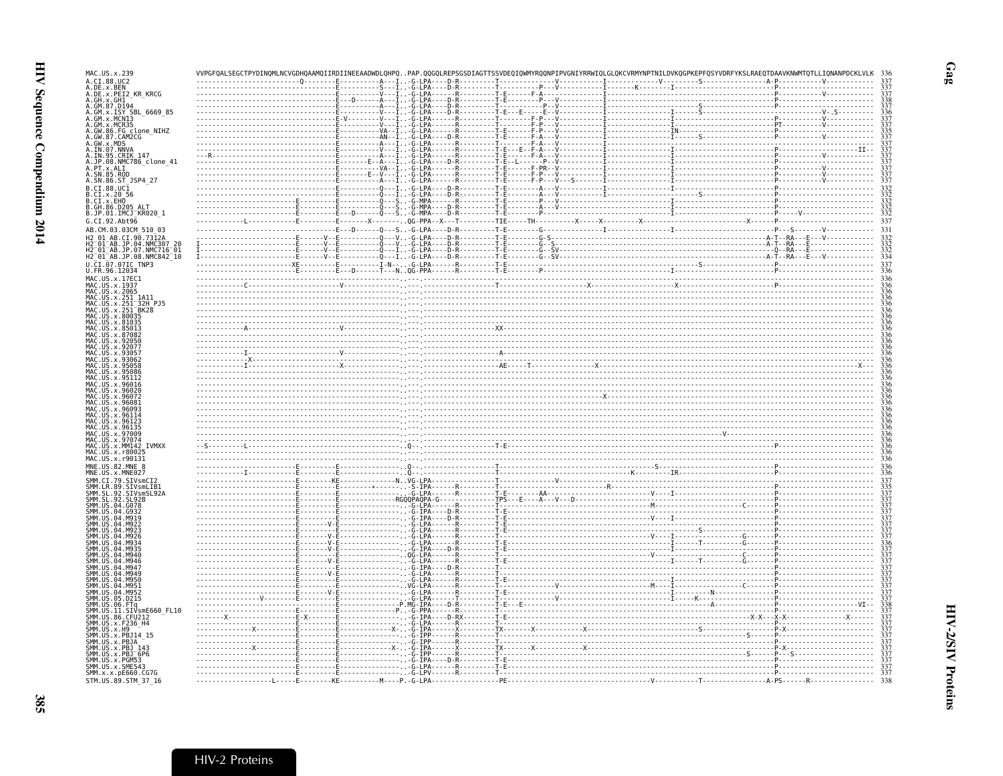| MAC.US.x.239                                                                                                                                                                                | SEGCTPYDINQMLNCVGDHQAAMQIIRDIINEEAADWDLQHPQPAP. |                                                                                                                                                                                                                                                                                                                                                                     |  | .GLQKCVRMYNPTNILDVKQGPKEPFQSYVDRFYKSLRAEQTDAAVKNWMTQTLLIQNANPDCKLVLK |
|---------------------------------------------------------------------------------------------------------------------------------------------------------------------------------------------|-------------------------------------------------|---------------------------------------------------------------------------------------------------------------------------------------------------------------------------------------------------------------------------------------------------------------------------------------------------------------------------------------------------------------------|--|----------------------------------------------------------------------|
| A.CI.88.UC2                                                                                                                                                                                 |                                                 |                                                                                                                                                                                                                                                                                                                                                                     |  |                                                                      |
| .DE.x.BEN<br>.DE.x.PEI2_KR_KRCG                                                                                                                                                             |                                                 |                                                                                                                                                                                                                                                                                                                                                                     |  |                                                                      |
| : GH. x : GH1<br>. GH. x : GH1<br>. GM. x . ISY<br>. GM. x . ISY<br>. GM. x . MCR35<br>. GM. x . MCR35<br>. GW. 86 . FG . CLONE _ NIHZ<br>. GW. 86 . FG . CLONE _ NIHZ<br>. GW. 87 . CAM2CG |                                                 |                                                                                                                                                                                                                                                                                                                                                                     |  |                                                                      |
|                                                                                                                                                                                             |                                                 |                                                                                                                                                                                                                                                                                                                                                                     |  |                                                                      |
|                                                                                                                                                                                             |                                                 |                                                                                                                                                                                                                                                                                                                                                                     |  |                                                                      |
|                                                                                                                                                                                             |                                                 |                                                                                                                                                                                                                                                                                                                                                                     |  |                                                                      |
|                                                                                                                                                                                             |                                                 |                                                                                                                                                                                                                                                                                                                                                                     |  |                                                                      |
| N.GW.S7.CAMP2CG<br>N.GW.S7.MDS<br>N.IN.95.CRIK 147<br>N.IN.95.CRIK 147<br>N.SN.86.ST<br>N.SN.86.ST<br>N.SN.86.ST<br>N.SN.86.ST                                                              |                                                 |                                                                                                                                                                                                                                                                                                                                                                     |  |                                                                      |
|                                                                                                                                                                                             |                                                 |                                                                                                                                                                                                                                                                                                                                                                     |  |                                                                      |
|                                                                                                                                                                                             |                                                 |                                                                                                                                                                                                                                                                                                                                                                     |  |                                                                      |
|                                                                                                                                                                                             |                                                 |                                                                                                                                                                                                                                                                                                                                                                     |  |                                                                      |
|                                                                                                                                                                                             |                                                 |                                                                                                                                                                                                                                                                                                                                                                     |  |                                                                      |
|                                                                                                                                                                                             |                                                 |                                                                                                                                                                                                                                                                                                                                                                     |  |                                                                      |
| . CI.88.UCI<br>. CI.x.20 56<br>. CI.x.20 56<br>. CI.x.EHO<br>. GH.86.D205 ALT.                                                                                                              |                                                 |                                                                                                                                                                                                                                                                                                                                                                     |  |                                                                      |
|                                                                                                                                                                                             |                                                 |                                                                                                                                                                                                                                                                                                                                                                     |  |                                                                      |
| .JP.01.IMCJ <sup>-</sup> KR020 1                                                                                                                                                            |                                                 |                                                                                                                                                                                                                                                                                                                                                                     |  |                                                                      |
| G.CI.92.Abt96                                                                                                                                                                               |                                                 |                                                                                                                                                                                                                                                                                                                                                                     |  |                                                                      |
| AB.CM.03.03CM 510 03                                                                                                                                                                        |                                                 |                                                                                                                                                                                                                                                                                                                                                                     |  |                                                                      |
| 01 AB.CI.90.7312A                                                                                                                                                                           |                                                 |                                                                                                                                                                                                                                                                                                                                                                     |  |                                                                      |
| 12 01 AB JP 04 NMC307 20                                                                                                                                                                    |                                                 |                                                                                                                                                                                                                                                                                                                                                                     |  |                                                                      |
| H2-01-AB.JP.07.NMC716-01<br>H2-01-AB.JP.08.NMC842-10                                                                                                                                        |                                                 |                                                                                                                                                                                                                                                                                                                                                                     |  |                                                                      |
| U.CI.07.07IC TNP3                                                                                                                                                                           |                                                 |                                                                                                                                                                                                                                                                                                                                                                     |  |                                                                      |
| U.FR.96.12034                                                                                                                                                                               |                                                 |                                                                                                                                                                                                                                                                                                                                                                     |  |                                                                      |
| MAC.US.x.17EC1                                                                                                                                                                              |                                                 |                                                                                                                                                                                                                                                                                                                                                                     |  |                                                                      |
| MAC.US.x.1937<br>MAC.US.x.2065                                                                                                                                                              |                                                 | $\begin{minipage}{0.01\textwidth} \begin{tabular}{ c c c c c } \hline \texttt{1.001} & \texttt{1.001} & \texttt{1.001} & \texttt{1.001} & \texttt{1.001} & \texttt{1.001} & \texttt{1.001} & \texttt{1.001} & \texttt{1.001} & \texttt{1.001} & \texttt{1.001} & \texttt{1.001} & \texttt{1.001} & \texttt{1.001} & \texttt{1.001} & \texttt{1.001} & \texttt{1.00$ |  |                                                                      |
| US.x.251 1A11                                                                                                                                                                               |                                                 |                                                                                                                                                                                                                                                                                                                                                                     |  |                                                                      |
| US.x.251-32H-PJ5<br>US.x.251-BK28                                                                                                                                                           |                                                 |                                                                                                                                                                                                                                                                                                                                                                     |  |                                                                      |
|                                                                                                                                                                                             |                                                 |                                                                                                                                                                                                                                                                                                                                                                     |  |                                                                      |
|                                                                                                                                                                                             |                                                 |                                                                                                                                                                                                                                                                                                                                                                     |  |                                                                      |
|                                                                                                                                                                                             |                                                 |                                                                                                                                                                                                                                                                                                                                                                     |  |                                                                      |
|                                                                                                                                                                                             |                                                 |                                                                                                                                                                                                                                                                                                                                                                     |  |                                                                      |
|                                                                                                                                                                                             |                                                 |                                                                                                                                                                                                                                                                                                                                                                     |  |                                                                      |
|                                                                                                                                                                                             |                                                 |                                                                                                                                                                                                                                                                                                                                                                     |  |                                                                      |
|                                                                                                                                                                                             |                                                 |                                                                                                                                                                                                                                                                                                                                                                     |  |                                                                      |
|                                                                                                                                                                                             |                                                 |                                                                                                                                                                                                                                                                                                                                                                     |  |                                                                      |
|                                                                                                                                                                                             |                                                 |                                                                                                                                                                                                                                                                                                                                                                     |  |                                                                      |
|                                                                                                                                                                                             |                                                 |                                                                                                                                                                                                                                                                                                                                                                     |  |                                                                      |
|                                                                                                                                                                                             |                                                 |                                                                                                                                                                                                                                                                                                                                                                     |  |                                                                      |
|                                                                                                                                                                                             |                                                 |                                                                                                                                                                                                                                                                                                                                                                     |  |                                                                      |
| MAC.US.x.96081                                                                                                                                                                              |                                                 |                                                                                                                                                                                                                                                                                                                                                                     |  |                                                                      |
|                                                                                                                                                                                             |                                                 |                                                                                                                                                                                                                                                                                                                                                                     |  |                                                                      |
| MAC.US.x.96114<br>MAC.US.x.96123                                                                                                                                                            |                                                 |                                                                                                                                                                                                                                                                                                                                                                     |  |                                                                      |
| MAC.US.x.96135                                                                                                                                                                              |                                                 |                                                                                                                                                                                                                                                                                                                                                                     |  |                                                                      |
| MAC.US.x.97009                                                                                                                                                                              |                                                 |                                                                                                                                                                                                                                                                                                                                                                     |  |                                                                      |
| MAC.US.x.97074<br>MAC.US.x.MM142 IVMXX                                                                                                                                                      |                                                 |                                                                                                                                                                                                                                                                                                                                                                     |  |                                                                      |
| MAC.US.x.r80025                                                                                                                                                                             |                                                 |                                                                                                                                                                                                                                                                                                                                                                     |  |                                                                      |
| MAC.US.x.r90131<br>MNE.US.82.MNE 8                                                                                                                                                          |                                                 |                                                                                                                                                                                                                                                                                                                                                                     |  |                                                                      |
|                                                                                                                                                                                             |                                                 |                                                                                                                                                                                                                                                                                                                                                                     |  |                                                                      |
| $\overline{\textsf{MNE}}$ . US . $\times$ . MNE027<br>SMM.CI.79.SIVsmCI2                                                                                                                    |                                                 |                                                                                                                                                                                                                                                                                                                                                                     |  |                                                                      |
|                                                                                                                                                                                             |                                                 |                                                                                                                                                                                                                                                                                                                                                                     |  |                                                                      |
|                                                                                                                                                                                             |                                                 |                                                                                                                                                                                                                                                                                                                                                                     |  |                                                                      |
|                                                                                                                                                                                             |                                                 |                                                                                                                                                                                                                                                                                                                                                                     |  |                                                                      |
| <b>Jimi, C.I. / 9. SIVSMCI2<br/>SMM.CR. 89. SIVSMCIB1<br/>SMM.SL. 92. SIVSMSL92A<br/>SMM.US. 04. G078<br/>SMM.US. 04. G078</b><br>ŚMM. ŪŠ. 04. G932<br>A4 MQ10                              |                                                 |                                                                                                                                                                                                                                                                                                                                                                     |  |                                                                      |
| MM.US.<br>MM.US                                                                                                                                                                             |                                                 |                                                                                                                                                                                                                                                                                                                                                                     |  |                                                                      |
|                                                                                                                                                                                             |                                                 |                                                                                                                                                                                                                                                                                                                                                                     |  |                                                                      |
|                                                                                                                                                                                             |                                                 |                                                                                                                                                                                                                                                                                                                                                                     |  |                                                                      |
|                                                                                                                                                                                             |                                                 |                                                                                                                                                                                                                                                                                                                                                                     |  |                                                                      |
| MM.US<br>. M946                                                                                                                                                                             |                                                 |                                                                                                                                                                                                                                                                                                                                                                     |  |                                                                      |
| M946                                                                                                                                                                                        |                                                 |                                                                                                                                                                                                                                                                                                                                                                     |  |                                                                      |
| M947<br>M <sub>94</sub> c                                                                                                                                                                   |                                                 |                                                                                                                                                                                                                                                                                                                                                                     |  |                                                                      |
| M956                                                                                                                                                                                        |                                                 |                                                                                                                                                                                                                                                                                                                                                                     |  |                                                                      |
| M951<br>04 M952                                                                                                                                                                             |                                                 |                                                                                                                                                                                                                                                                                                                                                                     |  |                                                                      |
| ŠMM.US.<br>SMM.US.<br>SMM.US.<br>05.D215                                                                                                                                                    |                                                 |                                                                                                                                                                                                                                                                                                                                                                     |  |                                                                      |
|                                                                                                                                                                                             |                                                 |                                                                                                                                                                                                                                                                                                                                                                     |  |                                                                      |
| SMM.US.<br>SMM.US.<br>SIVsmE660 FL10                                                                                                                                                        |                                                 |                                                                                                                                                                                                                                                                                                                                                                     |  |                                                                      |
| SMM.US.86.CFU212<br>US.x.F236 H4                                                                                                                                                            |                                                 |                                                                                                                                                                                                                                                                                                                                                                     |  |                                                                      |
| SMM.US.x.H9                                                                                                                                                                                 |                                                 |                                                                                                                                                                                                                                                                                                                                                                     |  |                                                                      |
|                                                                                                                                                                                             |                                                 |                                                                                                                                                                                                                                                                                                                                                                     |  |                                                                      |
|                                                                                                                                                                                             |                                                 |                                                                                                                                                                                                                                                                                                                                                                     |  |                                                                      |
|                                                                                                                                                                                             |                                                 |                                                                                                                                                                                                                                                                                                                                                                     |  |                                                                      |
|                                                                                                                                                                                             |                                                 |                                                                                                                                                                                                                                                                                                                                                                     |  |                                                                      |
| SMM.US.x.SME543<br>SMM.x.x.pE660.CG7G<br>STM.US.89.STM 37 16                                                                                                                                |                                                 |                                                                                                                                                                                                                                                                                                                                                                     |  |                                                                      |

 $Gag$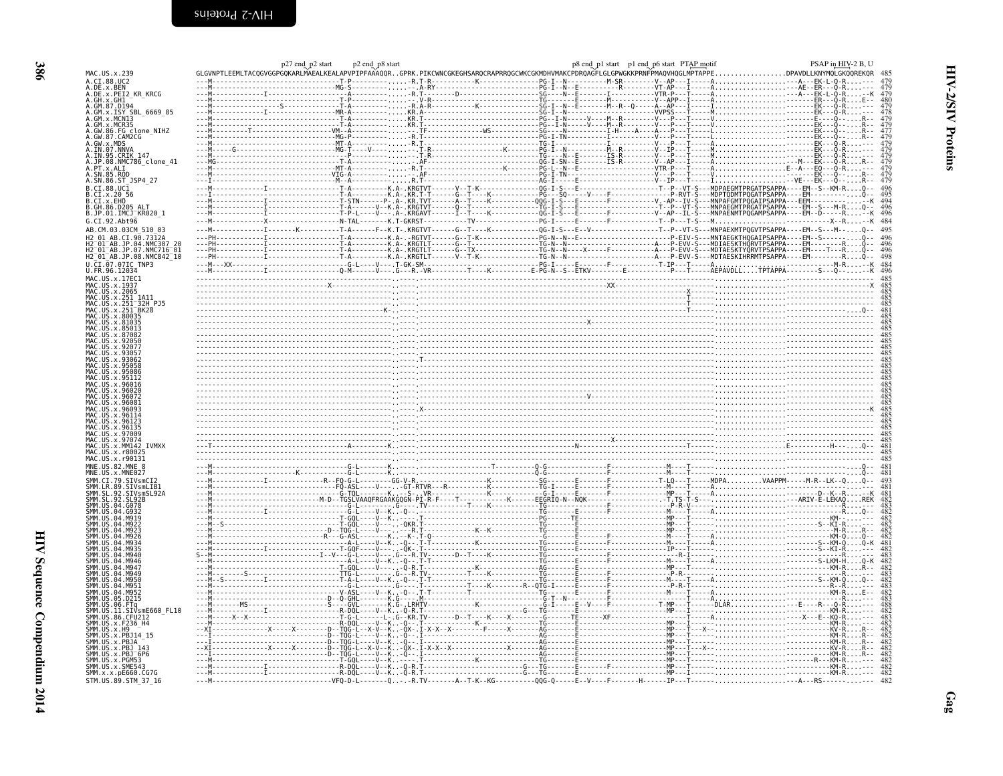| $\frac{1}{2}$<br>֖֖֖֧ׅׅׅ֖ׅ֖֖֧ׅ֖֧ׅ֖֧ׅ֖֧ׅ֖֧֪ׅ֖֧ׅ֖֧֚֚֚֚֚֚֚֚֚֚֚֚֚֚֚֚֚֚֚֚֚֚֚֚֚֚֚֚֚֚֚֬֝֝֝֝֬֝֬֝֬֝֝֬֝֬֝֬֝֬֝֬֝֬֝֬<br>֖֧֧֧ׅ֧֧֧֧֧֧֧֧ׅ֧֧֧֛֧֧֧֛֧֛֪֪֧֛֪֪֧֛֪֪֛֚֚֚֚֚֚֚֚֚֚֚֚֚֚֚֚֚֚֚֚֚֚֚֚֚֚֬֝֡֓֡֓֡֓֡֓֓֓֓֓֓֜֓֜֓<br>į<br>)<br> <br> <br> <br>ו<br>ול |  |
|----------------------------------------------------------------------------------------------------------------------------------------------------------------------------------------------------------------------------------|--|

<span id="page-7-0"></span>

| A.DE.x.BEN<br>A.DE.x.PEI2 KR KRCG<br>GM.X.ISY SBL 6669 85<br>.GW.86.FG clone_NIHZ<br>.GW.87.CAM2CG<br>.GW.x.MDS<br>.IN.07.NNVA<br>.JP.08.NMC786_clone_41<br>. PT.x.ALI<br>. SN.85.ROD<br>B.CI.88.UC1<br>B.CI.x.20 56<br>B.GH.86.D205 ALT<br>B.JP.01.IMCJ_KR020_1<br>CI.90.7312A<br>2 01 AB.JP.07.NMC716 01<br>32H PJ5<br>$251$ <sup>-BK28</sup><br>.97009<br>MM142 IVMXX<br>VsmLIB:<br>SIVsmSL92A<br>.D215<br>SIVsmE660 FL10<br>SMM.x.x.pE660.CG7G<br>--------------------------VFQ-D-L-------Q-R.TV-------A--T-K--KG-----------0QG-Q-----E--V----F---------H-----IP---T---------A---RS---- | MAC.US.x.239             |  |  |  |
|---------------------------------------------------------------------------------------------------------------------------------------------------------------------------------------------------------------------------------------------------------------------------------------------------------------------------------------------------------------------------------------------------------------------------------------------------------------------------------------------------------------------------------------------------------------------------------------------|--------------------------|--|--|--|
|                                                                                                                                                                                                                                                                                                                                                                                                                                                                                                                                                                                             | A.CI.88.UC2              |  |  |  |
|                                                                                                                                                                                                                                                                                                                                                                                                                                                                                                                                                                                             |                          |  |  |  |
|                                                                                                                                                                                                                                                                                                                                                                                                                                                                                                                                                                                             |                          |  |  |  |
|                                                                                                                                                                                                                                                                                                                                                                                                                                                                                                                                                                                             | GM.87.D194               |  |  |  |
|                                                                                                                                                                                                                                                                                                                                                                                                                                                                                                                                                                                             | GM.x.MCNI3               |  |  |  |
|                                                                                                                                                                                                                                                                                                                                                                                                                                                                                                                                                                                             | GM.x.MCR35               |  |  |  |
|                                                                                                                                                                                                                                                                                                                                                                                                                                                                                                                                                                                             |                          |  |  |  |
|                                                                                                                                                                                                                                                                                                                                                                                                                                                                                                                                                                                             |                          |  |  |  |
|                                                                                                                                                                                                                                                                                                                                                                                                                                                                                                                                                                                             | IN.95.CRIK 147           |  |  |  |
|                                                                                                                                                                                                                                                                                                                                                                                                                                                                                                                                                                                             |                          |  |  |  |
|                                                                                                                                                                                                                                                                                                                                                                                                                                                                                                                                                                                             |                          |  |  |  |
|                                                                                                                                                                                                                                                                                                                                                                                                                                                                                                                                                                                             | A.SN.86.ST_JSP4_27       |  |  |  |
|                                                                                                                                                                                                                                                                                                                                                                                                                                                                                                                                                                                             |                          |  |  |  |
|                                                                                                                                                                                                                                                                                                                                                                                                                                                                                                                                                                                             | B.CI.x.EHO               |  |  |  |
|                                                                                                                                                                                                                                                                                                                                                                                                                                                                                                                                                                                             |                          |  |  |  |
|                                                                                                                                                                                                                                                                                                                                                                                                                                                                                                                                                                                             | G.CT.92.Abt96            |  |  |  |
|                                                                                                                                                                                                                                                                                                                                                                                                                                                                                                                                                                                             | AB.CM.03.03CM 510 03     |  |  |  |
|                                                                                                                                                                                                                                                                                                                                                                                                                                                                                                                                                                                             |                          |  |  |  |
|                                                                                                                                                                                                                                                                                                                                                                                                                                                                                                                                                                                             |                          |  |  |  |
|                                                                                                                                                                                                                                                                                                                                                                                                                                                                                                                                                                                             | H2_01_AB.JP.08.NMC842_10 |  |  |  |
|                                                                                                                                                                                                                                                                                                                                                                                                                                                                                                                                                                                             |                          |  |  |  |
|                                                                                                                                                                                                                                                                                                                                                                                                                                                                                                                                                                                             |                          |  |  |  |
|                                                                                                                                                                                                                                                                                                                                                                                                                                                                                                                                                                                             | US. x. 1937              |  |  |  |
|                                                                                                                                                                                                                                                                                                                                                                                                                                                                                                                                                                                             | US.x.2065                |  |  |  |
|                                                                                                                                                                                                                                                                                                                                                                                                                                                                                                                                                                                             |                          |  |  |  |
|                                                                                                                                                                                                                                                                                                                                                                                                                                                                                                                                                                                             |                          |  |  |  |
|                                                                                                                                                                                                                                                                                                                                                                                                                                                                                                                                                                                             |                          |  |  |  |
|                                                                                                                                                                                                                                                                                                                                                                                                                                                                                                                                                                                             |                          |  |  |  |
|                                                                                                                                                                                                                                                                                                                                                                                                                                                                                                                                                                                             |                          |  |  |  |
|                                                                                                                                                                                                                                                                                                                                                                                                                                                                                                                                                                                             |                          |  |  |  |
|                                                                                                                                                                                                                                                                                                                                                                                                                                                                                                                                                                                             |                          |  |  |  |
|                                                                                                                                                                                                                                                                                                                                                                                                                                                                                                                                                                                             |                          |  |  |  |
|                                                                                                                                                                                                                                                                                                                                                                                                                                                                                                                                                                                             |                          |  |  |  |
|                                                                                                                                                                                                                                                                                                                                                                                                                                                                                                                                                                                             |                          |  |  |  |
|                                                                                                                                                                                                                                                                                                                                                                                                                                                                                                                                                                                             |                          |  |  |  |
|                                                                                                                                                                                                                                                                                                                                                                                                                                                                                                                                                                                             |                          |  |  |  |
|                                                                                                                                                                                                                                                                                                                                                                                                                                                                                                                                                                                             |                          |  |  |  |
|                                                                                                                                                                                                                                                                                                                                                                                                                                                                                                                                                                                             |                          |  |  |  |
|                                                                                                                                                                                                                                                                                                                                                                                                                                                                                                                                                                                             |                          |  |  |  |
|                                                                                                                                                                                                                                                                                                                                                                                                                                                                                                                                                                                             |                          |  |  |  |
|                                                                                                                                                                                                                                                                                                                                                                                                                                                                                                                                                                                             |                          |  |  |  |
|                                                                                                                                                                                                                                                                                                                                                                                                                                                                                                                                                                                             |                          |  |  |  |
|                                                                                                                                                                                                                                                                                                                                                                                                                                                                                                                                                                                             |                          |  |  |  |
|                                                                                                                                                                                                                                                                                                                                                                                                                                                                                                                                                                                             |                          |  |  |  |
|                                                                                                                                                                                                                                                                                                                                                                                                                                                                                                                                                                                             |                          |  |  |  |
|                                                                                                                                                                                                                                                                                                                                                                                                                                                                                                                                                                                             |                          |  |  |  |
|                                                                                                                                                                                                                                                                                                                                                                                                                                                                                                                                                                                             |                          |  |  |  |
|                                                                                                                                                                                                                                                                                                                                                                                                                                                                                                                                                                                             |                          |  |  |  |
|                                                                                                                                                                                                                                                                                                                                                                                                                                                                                                                                                                                             |                          |  |  |  |
|                                                                                                                                                                                                                                                                                                                                                                                                                                                                                                                                                                                             |                          |  |  |  |
|                                                                                                                                                                                                                                                                                                                                                                                                                                                                                                                                                                                             |                          |  |  |  |
|                                                                                                                                                                                                                                                                                                                                                                                                                                                                                                                                                                                             |                          |  |  |  |
|                                                                                                                                                                                                                                                                                                                                                                                                                                                                                                                                                                                             |                          |  |  |  |
|                                                                                                                                                                                                                                                                                                                                                                                                                                                                                                                                                                                             |                          |  |  |  |
|                                                                                                                                                                                                                                                                                                                                                                                                                                                                                                                                                                                             |                          |  |  |  |
|                                                                                                                                                                                                                                                                                                                                                                                                                                                                                                                                                                                             |                          |  |  |  |
|                                                                                                                                                                                                                                                                                                                                                                                                                                                                                                                                                                                             |                          |  |  |  |
|                                                                                                                                                                                                                                                                                                                                                                                                                                                                                                                                                                                             |                          |  |  |  |
|                                                                                                                                                                                                                                                                                                                                                                                                                                                                                                                                                                                             |                          |  |  |  |
|                                                                                                                                                                                                                                                                                                                                                                                                                                                                                                                                                                                             | U.S. x. F236 H4          |  |  |  |
|                                                                                                                                                                                                                                                                                                                                                                                                                                                                                                                                                                                             |                          |  |  |  |
|                                                                                                                                                                                                                                                                                                                                                                                                                                                                                                                                                                                             |                          |  |  |  |
|                                                                                                                                                                                                                                                                                                                                                                                                                                                                                                                                                                                             |                          |  |  |  |
|                                                                                                                                                                                                                                                                                                                                                                                                                                                                                                                                                                                             |                          |  |  |  |
|                                                                                                                                                                                                                                                                                                                                                                                                                                                                                                                                                                                             | SMM.US.x.SME543          |  |  |  |
|                                                                                                                                                                                                                                                                                                                                                                                                                                                                                                                                                                                             | STM.US.89.STM 37 16      |  |  |  |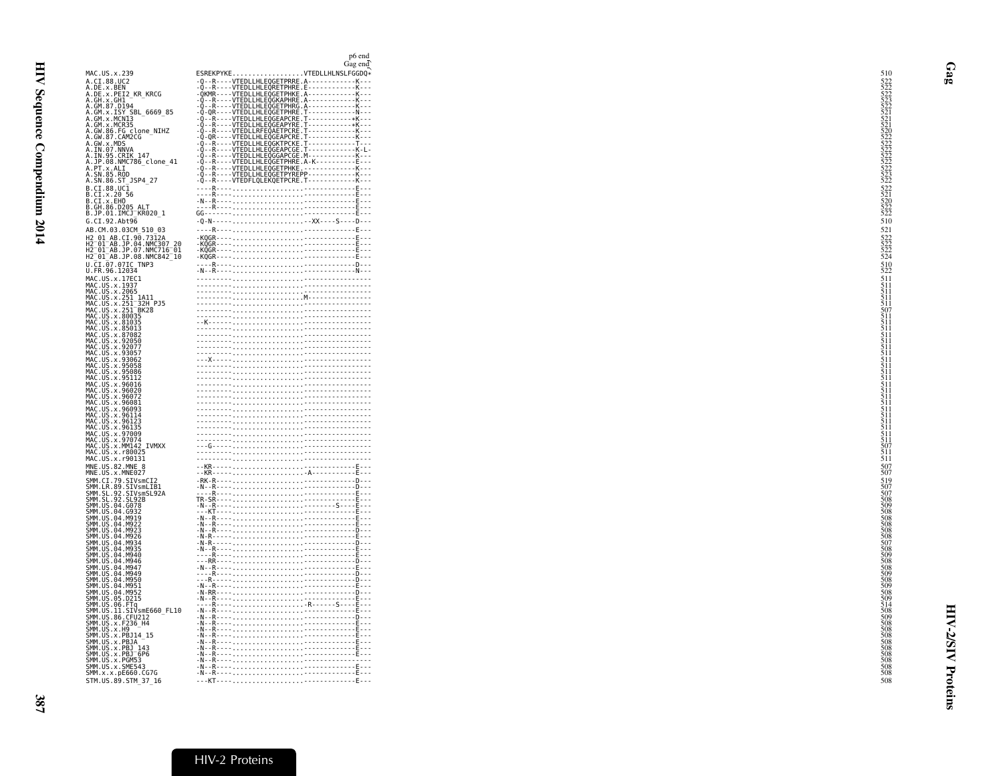<span id="page-8-0"></span>

|                                                                                                                                                                                                                                                              | p6 end<br>Gag end                                                                                                                                                                                                                                                                                                                                                                                                                                    |
|--------------------------------------------------------------------------------------------------------------------------------------------------------------------------------------------------------------------------------------------------------------|------------------------------------------------------------------------------------------------------------------------------------------------------------------------------------------------------------------------------------------------------------------------------------------------------------------------------------------------------------------------------------------------------------------------------------------------------|
| MAC.US.x.239                                                                                                                                                                                                                                                 | ESREKPYKEVTEDLLHLNSLFGGDQ*                                                                                                                                                                                                                                                                                                                                                                                                                           |
| A.CI.88.UC2                                                                                                                                                                                                                                                  |                                                                                                                                                                                                                                                                                                                                                                                                                                                      |
| A.DE.x.BEN<br>A.DE.x.PEI2_KR_KRCG                                                                                                                                                                                                                            |                                                                                                                                                                                                                                                                                                                                                                                                                                                      |
| A.GH.X.GHI<br>A.GM.87.D194                                                                                                                                                                                                                                   |                                                                                                                                                                                                                                                                                                                                                                                                                                                      |
| A.GM.x.ISY SBL 6669 85<br>A.GM.x.MCN13                                                                                                                                                                                                                       |                                                                                                                                                                                                                                                                                                                                                                                                                                                      |
| A.GM.x.MCR35                                                                                                                                                                                                                                                 |                                                                                                                                                                                                                                                                                                                                                                                                                                                      |
| <br>A.GW.86.FG clone_NIHZ<br>A.GW.87.CAM2CG                                                                                                                                                                                                                  |                                                                                                                                                                                                                                                                                                                                                                                                                                                      |
| A.GW.X.MDS<br>A.GW.X.MDS<br>A.IN.97.NNVA<br>A.JP.08.NMC786_clone_41<br>A.PT.X.ALI<br>A.PT.X.ALI                                                                                                                                                              |                                                                                                                                                                                                                                                                                                                                                                                                                                                      |
|                                                                                                                                                                                                                                                              |                                                                                                                                                                                                                                                                                                                                                                                                                                                      |
| A.SN.85.ROD                                                                                                                                                                                                                                                  |                                                                                                                                                                                                                                                                                                                                                                                                                                                      |
| A.SN.86.ST_JSP4_27                                                                                                                                                                                                                                           |                                                                                                                                                                                                                                                                                                                                                                                                                                                      |
| B.CI.88.UC1<br>B.CI.x.20 56                                                                                                                                                                                                                                  |                                                                                                                                                                                                                                                                                                                                                                                                                                                      |
| B.CI.x.EHO                                                                                                                                                                                                                                                   |                                                                                                                                                                                                                                                                                                                                                                                                                                                      |
| B.GĤ.86.DŽ05 ALT<br>B.JP.01.IMCJ_KR020_1                                                                                                                                                                                                                     |                                                                                                                                                                                                                                                                                                                                                                                                                                                      |
| G.CI.92.Abt96                                                                                                                                                                                                                                                | -0-N------XX----S----D---                                                                                                                                                                                                                                                                                                                                                                                                                            |
| AB.CM.03.03CM 510 03                                                                                                                                                                                                                                         |                                                                                                                                                                                                                                                                                                                                                                                                                                                      |
| H2 01 AB.CI.90.7312A                                                                                                                                                                                                                                         |                                                                                                                                                                                                                                                                                                                                                                                                                                                      |
| H2-01-AB.JP.04.NMC307-20<br>H2-01-AB.JP.04.NMC307-20<br>H2-01-AB.JP.08.NMC842-10                                                                                                                                                                             |                                                                                                                                                                                                                                                                                                                                                                                                                                                      |
| U.CI.07.07IC TNP3                                                                                                                                                                                                                                            |                                                                                                                                                                                                                                                                                                                                                                                                                                                      |
| U.FR.96.12034                                                                                                                                                                                                                                                |                                                                                                                                                                                                                                                                                                                                                                                                                                                      |
| U. FR. 96.12034<br>MAC. US. x. 175C1<br>MAC. US. x. 1955<br>MAC. US. x. 2065<br>MAC. US. x. 2511 A111<br>MAC. US. x. 2511 BK2B<br>MAC. US. x. 80035<br>MAC. US. x. 80035<br>MAC. US. x. 80035<br>MAC. US. x. 87082<br>MAC. US. x. 87082<br>MAC. US. x. 87082 | $\begin{picture}(100,100)(0,0) \put(0,0){\vector(1,0){100}} \put(10,0){\vector(1,0){100}} \put(10,0){\vector(1,0){100}} \put(10,0){\vector(1,0){100}} \put(10,0){\vector(1,0){100}} \put(10,0){\vector(1,0){100}} \put(10,0){\vector(1,0){100}} \put(10,0){\vector(1,0){100}} \put(10,0){\vector(1,0){100}} \put(10,0){\vector(1,0){100}} \put(10,0){\vector(1,0$                                                                                    |
|                                                                                                                                                                                                                                                              |                                                                                                                                                                                                                                                                                                                                                                                                                                                      |
|                                                                                                                                                                                                                                                              |                                                                                                                                                                                                                                                                                                                                                                                                                                                      |
|                                                                                                                                                                                                                                                              |                                                                                                                                                                                                                                                                                                                                                                                                                                                      |
|                                                                                                                                                                                                                                                              |                                                                                                                                                                                                                                                                                                                                                                                                                                                      |
|                                                                                                                                                                                                                                                              |                                                                                                                                                                                                                                                                                                                                                                                                                                                      |
|                                                                                                                                                                                                                                                              |                                                                                                                                                                                                                                                                                                                                                                                                                                                      |
| MAC.US.x.92050<br>MAC.US.x.92077<br>MAC.US.x.93057                                                                                                                                                                                                           |                                                                                                                                                                                                                                                                                                                                                                                                                                                      |
| MAC.US.x.93062<br>MAC.US.x.95058                                                                                                                                                                                                                             |                                                                                                                                                                                                                                                                                                                                                                                                                                                      |
|                                                                                                                                                                                                                                                              |                                                                                                                                                                                                                                                                                                                                                                                                                                                      |
| MAC.US.x.95086<br>MAC.US.x.95086<br>MAC.US.x.95112<br>MAC.US.x.96016<br>MAC.US.x.96020<br>MAC.US.x.96022<br>MAC.US.x.96081                                                                                                                                   |                                                                                                                                                                                                                                                                                                                                                                                                                                                      |
|                                                                                                                                                                                                                                                              |                                                                                                                                                                                                                                                                                                                                                                                                                                                      |
|                                                                                                                                                                                                                                                              |                                                                                                                                                                                                                                                                                                                                                                                                                                                      |
| MAC.US.x.96093<br>MAC.US.x.96114                                                                                                                                                                                                                             |                                                                                                                                                                                                                                                                                                                                                                                                                                                      |
| MAC.US.x.96123<br>MAC.US.x.96123                                                                                                                                                                                                                             |                                                                                                                                                                                                                                                                                                                                                                                                                                                      |
| MAC.US.x.97009                                                                                                                                                                                                                                               |                                                                                                                                                                                                                                                                                                                                                                                                                                                      |
| MAC.US.x.97074<br>MAC.US.x.MM142 IVMXX                                                                                                                                                                                                                       |                                                                                                                                                                                                                                                                                                                                                                                                                                                      |
| MAC.US.x.r80025                                                                                                                                                                                                                                              |                                                                                                                                                                                                                                                                                                                                                                                                                                                      |
| MAC.US.x.r90131                                                                                                                                                                                                                                              |                                                                                                                                                                                                                                                                                                                                                                                                                                                      |
| MNE.US.82.MNE 8<br>MNE.US.x.MNE027                                                                                                                                                                                                                           |                                                                                                                                                                                                                                                                                                                                                                                                                                                      |
|                                                                                                                                                                                                                                                              | $\begin{tabular}{ c c } \hline R & R & R & \\\hline \multicolumn{3}{ c }{\textbf{R-S}} & \multicolumn{3}{ c }{\textbf{R-S}} & \multicolumn{3}{ c }{\textbf{R-S}} & \multicolumn{3}{ c }{\textbf{R-S}} & \multicolumn{3}{ c }{\textbf{R-S}} & \multicolumn{3}{ c }{\textbf{R-S}} & \multicolumn{3}{ c }{\textbf{R-S}} & \multicolumn{3}{ c }{\textbf{R-S}} & \multicolumn{3}{ c }{\textbf{R-S}} & \multicolumn{3}{ c }{\textbf{R-S}} & \multicolumn{$ |
|                                                                                                                                                                                                                                                              |                                                                                                                                                                                                                                                                                                                                                                                                                                                      |
|                                                                                                                                                                                                                                                              |                                                                                                                                                                                                                                                                                                                                                                                                                                                      |
|                                                                                                                                                                                                                                                              |                                                                                                                                                                                                                                                                                                                                                                                                                                                      |
| SMM.US.04.M919                                                                                                                                                                                                                                               |                                                                                                                                                                                                                                                                                                                                                                                                                                                      |
| SMM. US. 04. M922<br>SMM. US. 04. M923<br>SMM. US. 04. M923<br>SMM. US. 04. M934<br>SMM. US. 04. M935<br>SMM. US. 04. M935                                                                                                                                   |                                                                                                                                                                                                                                                                                                                                                                                                                                                      |
|                                                                                                                                                                                                                                                              |                                                                                                                                                                                                                                                                                                                                                                                                                                                      |
| SMM US 04 M940                                                                                                                                                                                                                                               |                                                                                                                                                                                                                                                                                                                                                                                                                                                      |
| SMM.US.04.M946                                                                                                                                                                                                                                               |                                                                                                                                                                                                                                                                                                                                                                                                                                                      |
| SMM.US.04.M947<br>SMM.US.04.M949                                                                                                                                                                                                                             |                                                                                                                                                                                                                                                                                                                                                                                                                                                      |
| SMM.US.04.M950<br>SMM.US.04.M951                                                                                                                                                                                                                             | $\begin{tabular}{ c c c } \hline & \multicolumn{3}{ c }{\textbf{R}} & \multicolumn{3}{ c }{\textbf{R}} & \multicolumn{3}{ c }{\textbf{R}} & \multicolumn{3}{ c }{\textbf{R}} & \multicolumn{3}{ c }{\textbf{R}} & \multicolumn{3}{ c }{\textbf{R}} & \multicolumn{3}{ c }{\textbf{R}} & \multicolumn{3}{ c }{\textbf{R}} & \multicolumn{3}{ c }{\textbf{R}} & \multicolumn{3}{ c }{\textbf{R}} & \multicolumn{3}{ c }{\textbf{R}} & \multicolumn$    |
| SMM.US.04.M952                                                                                                                                                                                                                                               |                                                                                                                                                                                                                                                                                                                                                                                                                                                      |
| SMM.US.05.D215                                                                                                                                                                                                                                               |                                                                                                                                                                                                                                                                                                                                                                                                                                                      |
| SMM. US. 05. DZ.15<br>SMM. US. 06. FTq<br>SMM. US. 31. STVSME660_FL10<br>SMM. US. 86. CFU212<br>SMM. US. x. F236_H4<br>SMM. US. x. PB314_15<br>SMM. US. x. PB314_15<br>SMM. US. x. PB314_13<br>SMM. US. x. PB314_13                                          |                                                                                                                                                                                                                                                                                                                                                                                                                                                      |
|                                                                                                                                                                                                                                                              |                                                                                                                                                                                                                                                                                                                                                                                                                                                      |
|                                                                                                                                                                                                                                                              |                                                                                                                                                                                                                                                                                                                                                                                                                                                      |
|                                                                                                                                                                                                                                                              |                                                                                                                                                                                                                                                                                                                                                                                                                                                      |
| SMM.US.x.PBJ=6P6<br>SMM.US.x.PBJ=6P6<br>SMM.US.x.PGM53                                                                                                                                                                                                       |                                                                                                                                                                                                                                                                                                                                                                                                                                                      |
| SMM.US.x.SME543                                                                                                                                                                                                                                              |                                                                                                                                                                                                                                                                                                                                                                                                                                                      |
| SMM.x.x.pE660.CG7G                                                                                                                                                                                                                                           |                                                                                                                                                                                                                                                                                                                                                                                                                                                      |
| STM.US.89.STM 37 16                                                                                                                                                                                                                                          |                                                                                                                                                                                                                                                                                                                                                                                                                                                      |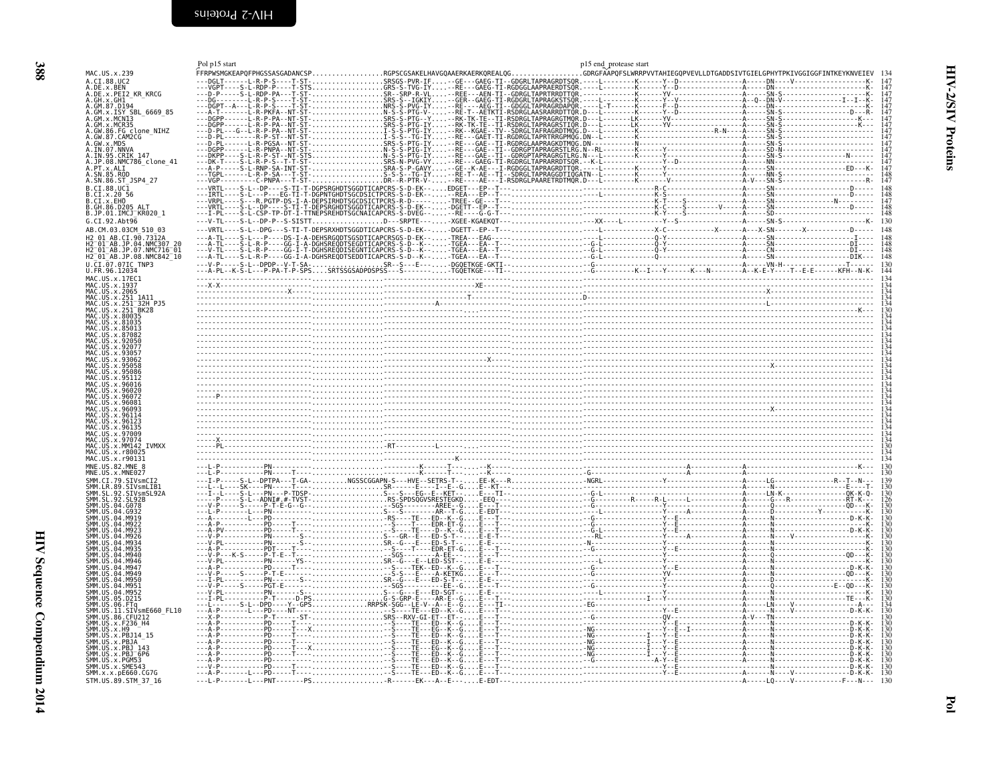<span id="page-9-0"></span>

<span id="page-9-1"></span>

| FFRPWSMGKEAPQFPHGSSASGADANCSPRGPSCGSAKELHAVGQAAERKAERKQREALQGGDRGFAAPQFSLWRRPVVTAHIEGQPVEVLLDTGADDSIVTGIELGPHYTPKIVGGIGGFINTKEYKNVEIEV<br>MAC.US.x.239<br>A.CI.88.UC2<br>A.DE.x.BEN<br>A.DE.x.PEI2 KR KRCG<br>A.GH.x.GH1<br>A. GM. 87. D194<br>A. GM. x. ISY<br>A. GM. x. ISY<br>A. GM. x. MCR35<br>A. GM. x. MCR35<br>A. GM. 86. FG. clone_NIHZ<br>A.GW.87.CAM2CG<br>A.GW.x.MDS<br>A.IN.07.NNVA<br>A.IN.07.NNVA<br>A.IN.95.CRIK 147<br>A.JP.08.NMC786 clone 41<br>A.PT.x.ALI<br>A.SN.85.ROD<br>A.SN.86.ST JSP4 27<br>B.CI.88.UC1<br>B.CI.x.20 56<br>B.CI.x.EHO<br>B.GH.86.D205<br>B.JP.01.IMCJ KR020_1<br>G.CI.92.Abt96<br>148<br>AB.CM.03.03CM 510 03<br>H2 01 AB.CI.90.7312A<br>H2 <sup>-</sup> 01 <sup>-</sup> AB.JP.04.NMC307<br>H2-01-AB.JP.07.NMC716-01<br>H2-01-AB.JP.08.NMC842-10<br>$\frac{148}{148}$<br>U.CI.07.07IC TNP3<br>U.FR.96.12034<br>$\frac{130}{144}$<br>MAC.US.x.17EC1<br>MAC. US. x. 1937<br>MAC.US.x.2065<br>MAC.US.X.2007<br>MAC.US.x.251_1A11<br>MAC.US.x.251_32H_PJ5<br>MAC.US.x.251 <sup>-</sup> BK28<br><b>IIS x 9305</b><br>MAC.US.x.97009<br>MAC.US.x.MM142 IVMXX<br>US.x.r800<br>MAC.US.x.r90131<br>$\frac{130}{130}$<br>MNE.US.82.MNE 8<br>MNE.US.x.MNE027<br>SIVsmLIB1<br>SMM.SL.92.<br>SMM.SL.92.<br>SIVsmSL92A<br>SL.92<br>SMM. US.04<br><b>SMM 11S</b><br>D215.<br>SMM. US<br>SMM. US. 11. STV<br>SMM. US. 11. STVSmE6<br>SMM. US. 86. CFU212<br>SMM. US. x. F236_H4<br>SIVsmE660 FL10<br>SMM. US. x. H9<br>SMM.US.x.PBJ14 15<br>SMM. US. x. PBJA<br>SMM.US.x.PBJ 143<br>SMM.US.x.PBJ <sup>-</sup> 6P6<br>SMM.US.x.PGM53 |                 | Pol p15 start | p15 end_protease start |  |
|---------------------------------------------------------------------------------------------------------------------------------------------------------------------------------------------------------------------------------------------------------------------------------------------------------------------------------------------------------------------------------------------------------------------------------------------------------------------------------------------------------------------------------------------------------------------------------------------------------------------------------------------------------------------------------------------------------------------------------------------------------------------------------------------------------------------------------------------------------------------------------------------------------------------------------------------------------------------------------------------------------------------------------------------------------------------------------------------------------------------------------------------------------------------------------------------------------------------------------------------------------------------------------------------------------------------------------------------------------------------------------------------------------------------------------------------------------------------------------------------------------------------------------------------------------------|-----------------|---------------|------------------------|--|
|                                                                                                                                                                                                                                                                                                                                                                                                                                                                                                                                                                                                                                                                                                                                                                                                                                                                                                                                                                                                                                                                                                                                                                                                                                                                                                                                                                                                                                                                                                                                                               |                 |               |                        |  |
|                                                                                                                                                                                                                                                                                                                                                                                                                                                                                                                                                                                                                                                                                                                                                                                                                                                                                                                                                                                                                                                                                                                                                                                                                                                                                                                                                                                                                                                                                                                                                               |                 |               |                        |  |
|                                                                                                                                                                                                                                                                                                                                                                                                                                                                                                                                                                                                                                                                                                                                                                                                                                                                                                                                                                                                                                                                                                                                                                                                                                                                                                                                                                                                                                                                                                                                                               |                 |               |                        |  |
|                                                                                                                                                                                                                                                                                                                                                                                                                                                                                                                                                                                                                                                                                                                                                                                                                                                                                                                                                                                                                                                                                                                                                                                                                                                                                                                                                                                                                                                                                                                                                               |                 |               |                        |  |
|                                                                                                                                                                                                                                                                                                                                                                                                                                                                                                                                                                                                                                                                                                                                                                                                                                                                                                                                                                                                                                                                                                                                                                                                                                                                                                                                                                                                                                                                                                                                                               |                 |               |                        |  |
|                                                                                                                                                                                                                                                                                                                                                                                                                                                                                                                                                                                                                                                                                                                                                                                                                                                                                                                                                                                                                                                                                                                                                                                                                                                                                                                                                                                                                                                                                                                                                               |                 |               |                        |  |
|                                                                                                                                                                                                                                                                                                                                                                                                                                                                                                                                                                                                                                                                                                                                                                                                                                                                                                                                                                                                                                                                                                                                                                                                                                                                                                                                                                                                                                                                                                                                                               |                 |               |                        |  |
|                                                                                                                                                                                                                                                                                                                                                                                                                                                                                                                                                                                                                                                                                                                                                                                                                                                                                                                                                                                                                                                                                                                                                                                                                                                                                                                                                                                                                                                                                                                                                               |                 |               |                        |  |
|                                                                                                                                                                                                                                                                                                                                                                                                                                                                                                                                                                                                                                                                                                                                                                                                                                                                                                                                                                                                                                                                                                                                                                                                                                                                                                                                                                                                                                                                                                                                                               |                 |               |                        |  |
|                                                                                                                                                                                                                                                                                                                                                                                                                                                                                                                                                                                                                                                                                                                                                                                                                                                                                                                                                                                                                                                                                                                                                                                                                                                                                                                                                                                                                                                                                                                                                               |                 |               |                        |  |
|                                                                                                                                                                                                                                                                                                                                                                                                                                                                                                                                                                                                                                                                                                                                                                                                                                                                                                                                                                                                                                                                                                                                                                                                                                                                                                                                                                                                                                                                                                                                                               |                 |               |                        |  |
|                                                                                                                                                                                                                                                                                                                                                                                                                                                                                                                                                                                                                                                                                                                                                                                                                                                                                                                                                                                                                                                                                                                                                                                                                                                                                                                                                                                                                                                                                                                                                               |                 |               |                        |  |
|                                                                                                                                                                                                                                                                                                                                                                                                                                                                                                                                                                                                                                                                                                                                                                                                                                                                                                                                                                                                                                                                                                                                                                                                                                                                                                                                                                                                                                                                                                                                                               |                 |               |                        |  |
|                                                                                                                                                                                                                                                                                                                                                                                                                                                                                                                                                                                                                                                                                                                                                                                                                                                                                                                                                                                                                                                                                                                                                                                                                                                                                                                                                                                                                                                                                                                                                               |                 |               |                        |  |
|                                                                                                                                                                                                                                                                                                                                                                                                                                                                                                                                                                                                                                                                                                                                                                                                                                                                                                                                                                                                                                                                                                                                                                                                                                                                                                                                                                                                                                                                                                                                                               |                 |               |                        |  |
|                                                                                                                                                                                                                                                                                                                                                                                                                                                                                                                                                                                                                                                                                                                                                                                                                                                                                                                                                                                                                                                                                                                                                                                                                                                                                                                                                                                                                                                                                                                                                               |                 |               |                        |  |
|                                                                                                                                                                                                                                                                                                                                                                                                                                                                                                                                                                                                                                                                                                                                                                                                                                                                                                                                                                                                                                                                                                                                                                                                                                                                                                                                                                                                                                                                                                                                                               |                 |               |                        |  |
|                                                                                                                                                                                                                                                                                                                                                                                                                                                                                                                                                                                                                                                                                                                                                                                                                                                                                                                                                                                                                                                                                                                                                                                                                                                                                                                                                                                                                                                                                                                                                               |                 |               |                        |  |
|                                                                                                                                                                                                                                                                                                                                                                                                                                                                                                                                                                                                                                                                                                                                                                                                                                                                                                                                                                                                                                                                                                                                                                                                                                                                                                                                                                                                                                                                                                                                                               |                 |               |                        |  |
|                                                                                                                                                                                                                                                                                                                                                                                                                                                                                                                                                                                                                                                                                                                                                                                                                                                                                                                                                                                                                                                                                                                                                                                                                                                                                                                                                                                                                                                                                                                                                               |                 |               |                        |  |
|                                                                                                                                                                                                                                                                                                                                                                                                                                                                                                                                                                                                                                                                                                                                                                                                                                                                                                                                                                                                                                                                                                                                                                                                                                                                                                                                                                                                                                                                                                                                                               |                 |               |                        |  |
|                                                                                                                                                                                                                                                                                                                                                                                                                                                                                                                                                                                                                                                                                                                                                                                                                                                                                                                                                                                                                                                                                                                                                                                                                                                                                                                                                                                                                                                                                                                                                               |                 |               |                        |  |
|                                                                                                                                                                                                                                                                                                                                                                                                                                                                                                                                                                                                                                                                                                                                                                                                                                                                                                                                                                                                                                                                                                                                                                                                                                                                                                                                                                                                                                                                                                                                                               |                 |               |                        |  |
|                                                                                                                                                                                                                                                                                                                                                                                                                                                                                                                                                                                                                                                                                                                                                                                                                                                                                                                                                                                                                                                                                                                                                                                                                                                                                                                                                                                                                                                                                                                                                               |                 |               |                        |  |
|                                                                                                                                                                                                                                                                                                                                                                                                                                                                                                                                                                                                                                                                                                                                                                                                                                                                                                                                                                                                                                                                                                                                                                                                                                                                                                                                                                                                                                                                                                                                                               |                 |               |                        |  |
|                                                                                                                                                                                                                                                                                                                                                                                                                                                                                                                                                                                                                                                                                                                                                                                                                                                                                                                                                                                                                                                                                                                                                                                                                                                                                                                                                                                                                                                                                                                                                               |                 |               |                        |  |
|                                                                                                                                                                                                                                                                                                                                                                                                                                                                                                                                                                                                                                                                                                                                                                                                                                                                                                                                                                                                                                                                                                                                                                                                                                                                                                                                                                                                                                                                                                                                                               |                 |               |                        |  |
|                                                                                                                                                                                                                                                                                                                                                                                                                                                                                                                                                                                                                                                                                                                                                                                                                                                                                                                                                                                                                                                                                                                                                                                                                                                                                                                                                                                                                                                                                                                                                               |                 |               |                        |  |
|                                                                                                                                                                                                                                                                                                                                                                                                                                                                                                                                                                                                                                                                                                                                                                                                                                                                                                                                                                                                                                                                                                                                                                                                                                                                                                                                                                                                                                                                                                                                                               |                 |               |                        |  |
|                                                                                                                                                                                                                                                                                                                                                                                                                                                                                                                                                                                                                                                                                                                                                                                                                                                                                                                                                                                                                                                                                                                                                                                                                                                                                                                                                                                                                                                                                                                                                               |                 |               |                        |  |
|                                                                                                                                                                                                                                                                                                                                                                                                                                                                                                                                                                                                                                                                                                                                                                                                                                                                                                                                                                                                                                                                                                                                                                                                                                                                                                                                                                                                                                                                                                                                                               |                 |               |                        |  |
|                                                                                                                                                                                                                                                                                                                                                                                                                                                                                                                                                                                                                                                                                                                                                                                                                                                                                                                                                                                                                                                                                                                                                                                                                                                                                                                                                                                                                                                                                                                                                               |                 |               |                        |  |
|                                                                                                                                                                                                                                                                                                                                                                                                                                                                                                                                                                                                                                                                                                                                                                                                                                                                                                                                                                                                                                                                                                                                                                                                                                                                                                                                                                                                                                                                                                                                                               |                 |               |                        |  |
|                                                                                                                                                                                                                                                                                                                                                                                                                                                                                                                                                                                                                                                                                                                                                                                                                                                                                                                                                                                                                                                                                                                                                                                                                                                                                                                                                                                                                                                                                                                                                               |                 |               |                        |  |
|                                                                                                                                                                                                                                                                                                                                                                                                                                                                                                                                                                                                                                                                                                                                                                                                                                                                                                                                                                                                                                                                                                                                                                                                                                                                                                                                                                                                                                                                                                                                                               |                 |               |                        |  |
|                                                                                                                                                                                                                                                                                                                                                                                                                                                                                                                                                                                                                                                                                                                                                                                                                                                                                                                                                                                                                                                                                                                                                                                                                                                                                                                                                                                                                                                                                                                                                               |                 |               |                        |  |
|                                                                                                                                                                                                                                                                                                                                                                                                                                                                                                                                                                                                                                                                                                                                                                                                                                                                                                                                                                                                                                                                                                                                                                                                                                                                                                                                                                                                                                                                                                                                                               |                 |               |                        |  |
|                                                                                                                                                                                                                                                                                                                                                                                                                                                                                                                                                                                                                                                                                                                                                                                                                                                                                                                                                                                                                                                                                                                                                                                                                                                                                                                                                                                                                                                                                                                                                               |                 |               |                        |  |
|                                                                                                                                                                                                                                                                                                                                                                                                                                                                                                                                                                                                                                                                                                                                                                                                                                                                                                                                                                                                                                                                                                                                                                                                                                                                                                                                                                                                                                                                                                                                                               |                 |               |                        |  |
|                                                                                                                                                                                                                                                                                                                                                                                                                                                                                                                                                                                                                                                                                                                                                                                                                                                                                                                                                                                                                                                                                                                                                                                                                                                                                                                                                                                                                                                                                                                                                               |                 |               |                        |  |
|                                                                                                                                                                                                                                                                                                                                                                                                                                                                                                                                                                                                                                                                                                                                                                                                                                                                                                                                                                                                                                                                                                                                                                                                                                                                                                                                                                                                                                                                                                                                                               |                 |               |                        |  |
|                                                                                                                                                                                                                                                                                                                                                                                                                                                                                                                                                                                                                                                                                                                                                                                                                                                                                                                                                                                                                                                                                                                                                                                                                                                                                                                                                                                                                                                                                                                                                               |                 |               |                        |  |
|                                                                                                                                                                                                                                                                                                                                                                                                                                                                                                                                                                                                                                                                                                                                                                                                                                                                                                                                                                                                                                                                                                                                                                                                                                                                                                                                                                                                                                                                                                                                                               |                 |               |                        |  |
|                                                                                                                                                                                                                                                                                                                                                                                                                                                                                                                                                                                                                                                                                                                                                                                                                                                                                                                                                                                                                                                                                                                                                                                                                                                                                                                                                                                                                                                                                                                                                               |                 |               |                        |  |
|                                                                                                                                                                                                                                                                                                                                                                                                                                                                                                                                                                                                                                                                                                                                                                                                                                                                                                                                                                                                                                                                                                                                                                                                                                                                                                                                                                                                                                                                                                                                                               |                 |               |                        |  |
|                                                                                                                                                                                                                                                                                                                                                                                                                                                                                                                                                                                                                                                                                                                                                                                                                                                                                                                                                                                                                                                                                                                                                                                                                                                                                                                                                                                                                                                                                                                                                               |                 |               |                        |  |
|                                                                                                                                                                                                                                                                                                                                                                                                                                                                                                                                                                                                                                                                                                                                                                                                                                                                                                                                                                                                                                                                                                                                                                                                                                                                                                                                                                                                                                                                                                                                                               |                 |               |                        |  |
|                                                                                                                                                                                                                                                                                                                                                                                                                                                                                                                                                                                                                                                                                                                                                                                                                                                                                                                                                                                                                                                                                                                                                                                                                                                                                                                                                                                                                                                                                                                                                               |                 |               |                        |  |
|                                                                                                                                                                                                                                                                                                                                                                                                                                                                                                                                                                                                                                                                                                                                                                                                                                                                                                                                                                                                                                                                                                                                                                                                                                                                                                                                                                                                                                                                                                                                                               |                 |               |                        |  |
|                                                                                                                                                                                                                                                                                                                                                                                                                                                                                                                                                                                                                                                                                                                                                                                                                                                                                                                                                                                                                                                                                                                                                                                                                                                                                                                                                                                                                                                                                                                                                               |                 |               |                        |  |
|                                                                                                                                                                                                                                                                                                                                                                                                                                                                                                                                                                                                                                                                                                                                                                                                                                                                                                                                                                                                                                                                                                                                                                                                                                                                                                                                                                                                                                                                                                                                                               |                 |               |                        |  |
|                                                                                                                                                                                                                                                                                                                                                                                                                                                                                                                                                                                                                                                                                                                                                                                                                                                                                                                                                                                                                                                                                                                                                                                                                                                                                                                                                                                                                                                                                                                                                               |                 |               |                        |  |
|                                                                                                                                                                                                                                                                                                                                                                                                                                                                                                                                                                                                                                                                                                                                                                                                                                                                                                                                                                                                                                                                                                                                                                                                                                                                                                                                                                                                                                                                                                                                                               |                 |               |                        |  |
|                                                                                                                                                                                                                                                                                                                                                                                                                                                                                                                                                                                                                                                                                                                                                                                                                                                                                                                                                                                                                                                                                                                                                                                                                                                                                                                                                                                                                                                                                                                                                               |                 |               |                        |  |
|                                                                                                                                                                                                                                                                                                                                                                                                                                                                                                                                                                                                                                                                                                                                                                                                                                                                                                                                                                                                                                                                                                                                                                                                                                                                                                                                                                                                                                                                                                                                                               |                 |               |                        |  |
| SMM.x.x.pE660.CG7G                                                                                                                                                                                                                                                                                                                                                                                                                                                                                                                                                                                                                                                                                                                                                                                                                                                                                                                                                                                                                                                                                                                                                                                                                                                                                                                                                                                                                                                                                                                                            | SMM.US.x.SME543 |               |                        |  |
| STM.US.89.STM_37_16                                                                                                                                                                                                                                                                                                                                                                                                                                                                                                                                                                                                                                                                                                                                                                                                                                                                                                                                                                                                                                                                                                                                                                                                                                                                                                                                                                                                                                                                                                                                           |                 |               |                        |  |

Pol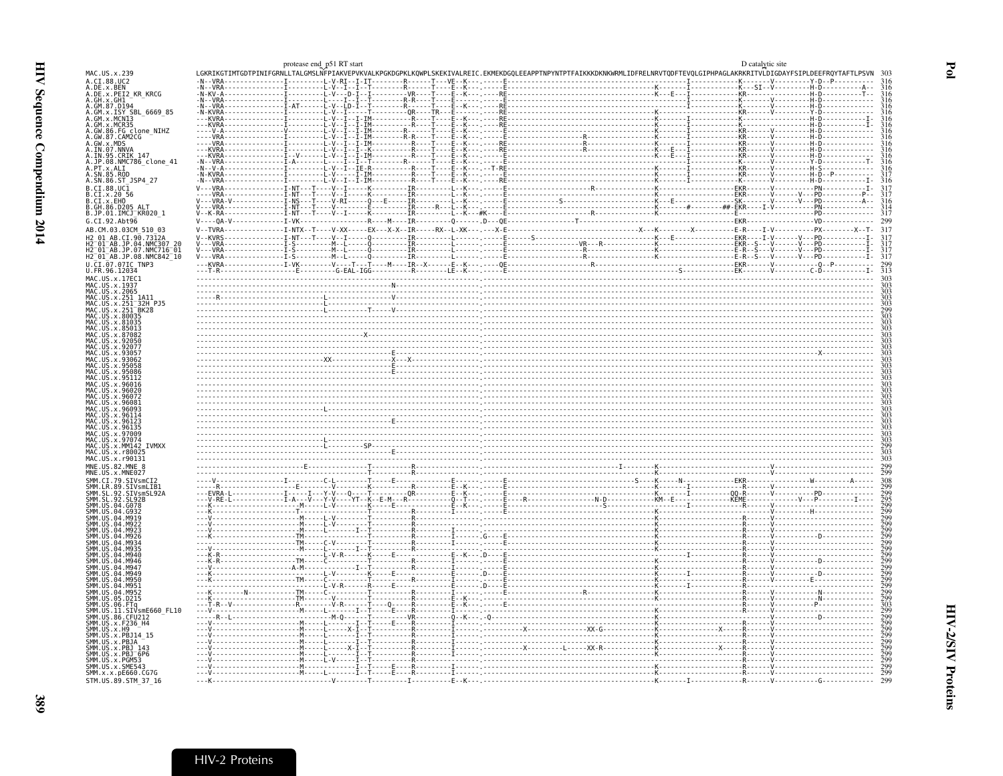<span id="page-10-0"></span>

|                                                                                                                                                                                                                                                                                                                                                                                                                                                                                                                                                                                                                      | protease end p51 RT start           |  |  |  | D catalytic site | LGKRIKGTIMTGDTPINIFGRNLLTALGMSLNFPIAKVEPVKVALKPGKDGPKLKQWPLSKEKIVALREIC.EKMEKDGQLEEAPPTNPYNTPTFAIKKKDKNKWRMLIDFRELNRVTQDFTEVQLGIPHPAGLAKRKRITVLDIGDAYFSIPLDEEFRQYTAFTLPSVN |                   |
|----------------------------------------------------------------------------------------------------------------------------------------------------------------------------------------------------------------------------------------------------------------------------------------------------------------------------------------------------------------------------------------------------------------------------------------------------------------------------------------------------------------------------------------------------------------------------------------------------------------------|-------------------------------------|--|--|--|------------------|----------------------------------------------------------------------------------------------------------------------------------------------------------------------------|-------------------|
| MAC.US.x.239<br>A.CI.88.UC2                                                                                                                                                                                                                                                                                                                                                                                                                                                                                                                                                                                          |                                     |  |  |  |                  |                                                                                                                                                                            |                   |
| A.DE.X.BEN<br>A.DE.X.PEI2_KR_KRCG<br>A.GH.X.GH1<br>A.GM.87.D194<br>A.GM.X.ISY, SBL_6669_85                                                                                                                                                                                                                                                                                                                                                                                                                                                                                                                           |                                     |  |  |  |                  |                                                                                                                                                                            |                   |
|                                                                                                                                                                                                                                                                                                                                                                                                                                                                                                                                                                                                                      |                                     |  |  |  |                  |                                                                                                                                                                            |                   |
|                                                                                                                                                                                                                                                                                                                                                                                                                                                                                                                                                                                                                      |                                     |  |  |  |                  |                                                                                                                                                                            |                   |
| A.GM.x.MCN13<br>A.GM.x.MCN13<br>A.GM.x.MCR35<br>A.GW.86.FG clone_NIHZ<br>A.GW.87.CAM2CG                                                                                                                                                                                                                                                                                                                                                                                                                                                                                                                              |                                     |  |  |  |                  |                                                                                                                                                                            |                   |
|                                                                                                                                                                                                                                                                                                                                                                                                                                                                                                                                                                                                                      |                                     |  |  |  |                  |                                                                                                                                                                            |                   |
| A.GW.x.MDS<br>A.IN.07.NNVA                                                                                                                                                                                                                                                                                                                                                                                                                                                                                                                                                                                           |                                     |  |  |  |                  |                                                                                                                                                                            |                   |
| .IN.95.CRIK 147                                                                                                                                                                                                                                                                                                                                                                                                                                                                                                                                                                                                      |                                     |  |  |  |                  |                                                                                                                                                                            |                   |
| A.JP.08.NMC786_clone_41<br>A.JP.08.NMC786_clone_41<br>A.SN.85.ROD<br>A.SN.86.ST_JSP4_27                                                                                                                                                                                                                                                                                                                                                                                                                                                                                                                              |                                     |  |  |  |                  |                                                                                                                                                                            |                   |
|                                                                                                                                                                                                                                                                                                                                                                                                                                                                                                                                                                                                                      |                                     |  |  |  |                  |                                                                                                                                                                            |                   |
| B.CI.88.UC1                                                                                                                                                                                                                                                                                                                                                                                                                                                                                                                                                                                                          |                                     |  |  |  |                  |                                                                                                                                                                            |                   |
| B.CI.x.20 56<br>B.CI.x.EHO<br>B.GH.86.D205_ALT                                                                                                                                                                                                                                                                                                                                                                                                                                                                                                                                                                       |                                     |  |  |  |                  |                                                                                                                                                                            |                   |
| B.JP.01.IMCJ_KR020_1                                                                                                                                                                                                                                                                                                                                                                                                                                                                                                                                                                                                 |                                     |  |  |  |                  |                                                                                                                                                                            |                   |
| G.CI.92.Abt96<br>AB.CM.03.03CM 510 03                                                                                                                                                                                                                                                                                                                                                                                                                                                                                                                                                                                |                                     |  |  |  |                  |                                                                                                                                                                            | 317               |
| H2 01 AB.CI.90.7312A                                                                                                                                                                                                                                                                                                                                                                                                                                                                                                                                                                                                 | T-NT---T----V--T-----O----------TR- |  |  |  |                  |                                                                                                                                                                            |                   |
| H2-01-AB.JP.04.NMC307 20<br>H2-01-AB.JP.07.NMC716-01<br>H2-01-AB.JP.08.NMC842-10                                                                                                                                                                                                                                                                                                                                                                                                                                                                                                                                     |                                     |  |  |  |                  |                                                                                                                                                                            | $\frac{317}{317}$ |
| U.CI.07.07IC TNP3                                                                                                                                                                                                                                                                                                                                                                                                                                                                                                                                                                                                    |                                     |  |  |  |                  |                                                                                                                                                                            |                   |
| U.FR.96.12034                                                                                                                                                                                                                                                                                                                                                                                                                                                                                                                                                                                                        |                                     |  |  |  |                  |                                                                                                                                                                            | $\frac{299}{313}$ |
| MAC.US.x.17EC1<br>MAC.US.x.1937                                                                                                                                                                                                                                                                                                                                                                                                                                                                                                                                                                                      |                                     |  |  |  |                  |                                                                                                                                                                            |                   |
| MAC.US.x.2065<br>US.x.251 1A11                                                                                                                                                                                                                                                                                                                                                                                                                                                                                                                                                                                       |                                     |  |  |  |                  |                                                                                                                                                                            |                   |
| MAC.US.x.251 <sup>-</sup> 32H PJ5<br>.US.x.251 <sup>-</sup> BK28                                                                                                                                                                                                                                                                                                                                                                                                                                                                                                                                                     |                                     |  |  |  |                  |                                                                                                                                                                            |                   |
| MAC<br>.US.x.80035                                                                                                                                                                                                                                                                                                                                                                                                                                                                                                                                                                                                   |                                     |  |  |  |                  |                                                                                                                                                                            |                   |
| MAC.US.x.81035<br>MAC.US.x.81035<br>MAC.US.x.87082<br>MAC.US.x.92050                                                                                                                                                                                                                                                                                                                                                                                                                                                                                                                                                 |                                     |  |  |  |                  |                                                                                                                                                                            |                   |
|                                                                                                                                                                                                                                                                                                                                                                                                                                                                                                                                                                                                                      |                                     |  |  |  |                  |                                                                                                                                                                            |                   |
| .x.92056                                                                                                                                                                                                                                                                                                                                                                                                                                                                                                                                                                                                             |                                     |  |  |  |                  |                                                                                                                                                                            |                   |
| x.92077.                                                                                                                                                                                                                                                                                                                                                                                                                                                                                                                                                                                                             |                                     |  |  |  |                  |                                                                                                                                                                            |                   |
|                                                                                                                                                                                                                                                                                                                                                                                                                                                                                                                                                                                                                      |                                     |  |  |  |                  |                                                                                                                                                                            |                   |
| MAC.US.x.95086                                                                                                                                                                                                                                                                                                                                                                                                                                                                                                                                                                                                       |                                     |  |  |  |                  |                                                                                                                                                                            |                   |
| MAC.US.x.9601                                                                                                                                                                                                                                                                                                                                                                                                                                                                                                                                                                                                        |                                     |  |  |  |                  |                                                                                                                                                                            |                   |
| MAC                                                                                                                                                                                                                                                                                                                                                                                                                                                                                                                                                                                                                  |                                     |  |  |  |                  |                                                                                                                                                                            |                   |
| US.x.96093                                                                                                                                                                                                                                                                                                                                                                                                                                                                                                                                                                                                           |                                     |  |  |  |                  |                                                                                                                                                                            |                   |
| MAC.US.x.96081<br>.US.x.96114                                                                                                                                                                                                                                                                                                                                                                                                                                                                                                                                                                                        |                                     |  |  |  |                  |                                                                                                                                                                            |                   |
| MAC<br>MAC<br>MAC<br>.US.x.9612<br>MAC.US.x.96135                                                                                                                                                                                                                                                                                                                                                                                                                                                                                                                                                                    |                                     |  |  |  |                  |                                                                                                                                                                            |                   |
|                                                                                                                                                                                                                                                                                                                                                                                                                                                                                                                                                                                                                      |                                     |  |  |  |                  |                                                                                                                                                                            |                   |
|                                                                                                                                                                                                                                                                                                                                                                                                                                                                                                                                                                                                                      |                                     |  |  |  |                  |                                                                                                                                                                            |                   |
|                                                                                                                                                                                                                                                                                                                                                                                                                                                                                                                                                                                                                      |                                     |  |  |  |                  |                                                                                                                                                                            |                   |
|                                                                                                                                                                                                                                                                                                                                                                                                                                                                                                                                                                                                                      |                                     |  |  |  |                  |                                                                                                                                                                            |                   |
|                                                                                                                                                                                                                                                                                                                                                                                                                                                                                                                                                                                                                      |                                     |  |  |  |                  |                                                                                                                                                                            |                   |
| .92.SIVsmSL92A                                                                                                                                                                                                                                                                                                                                                                                                                                                                                                                                                                                                       |                                     |  |  |  |                  |                                                                                                                                                                            |                   |
|                                                                                                                                                                                                                                                                                                                                                                                                                                                                                                                                                                                                                      |                                     |  |  |  |                  |                                                                                                                                                                            |                   |
|                                                                                                                                                                                                                                                                                                                                                                                                                                                                                                                                                                                                                      |                                     |  |  |  |                  |                                                                                                                                                                            |                   |
| . M926                                                                                                                                                                                                                                                                                                                                                                                                                                                                                                                                                                                                               |                                     |  |  |  |                  |                                                                                                                                                                            |                   |
|                                                                                                                                                                                                                                                                                                                                                                                                                                                                                                                                                                                                                      |                                     |  |  |  |                  |                                                                                                                                                                            |                   |
|                                                                                                                                                                                                                                                                                                                                                                                                                                                                                                                                                                                                                      |                                     |  |  |  |                  |                                                                                                                                                                            |                   |
| . M94.                                                                                                                                                                                                                                                                                                                                                                                                                                                                                                                                                                                                               |                                     |  |  |  |                  |                                                                                                                                                                            |                   |
| M949<br>$.04.$ M956                                                                                                                                                                                                                                                                                                                                                                                                                                                                                                                                                                                                  |                                     |  |  |  |                  |                                                                                                                                                                            |                   |
| M95 <sup>-</sup>                                                                                                                                                                                                                                                                                                                                                                                                                                                                                                                                                                                                     |                                     |  |  |  |                  |                                                                                                                                                                            |                   |
|                                                                                                                                                                                                                                                                                                                                                                                                                                                                                                                                                                                                                      |                                     |  |  |  |                  |                                                                                                                                                                            |                   |
| . IIS . 06 . FTa                                                                                                                                                                                                                                                                                                                                                                                                                                                                                                                                                                                                     |                                     |  |  |  |                  |                                                                                                                                                                            |                   |
|                                                                                                                                                                                                                                                                                                                                                                                                                                                                                                                                                                                                                      |                                     |  |  |  |                  |                                                                                                                                                                            |                   |
|                                                                                                                                                                                                                                                                                                                                                                                                                                                                                                                                                                                                                      |                                     |  |  |  |                  |                                                                                                                                                                            |                   |
| .US.x.PBJ14 15<br>.US.x.PBJA                                                                                                                                                                                                                                                                                                                                                                                                                                                                                                                                                                                         |                                     |  |  |  |                  |                                                                                                                                                                            |                   |
| MAC.US.x.97009<br>MAC.US.x.97074<br>MAC.US.x.MM142 IVMXX<br>MAC.US.x.r80025<br>MAC.US.x.r90131<br>MNE.US.82.MNE 8<br>MNE.US.x.MNE027<br>SMM.CI.79.SIVsmCI2<br>SMM. LR. 89. SIVSML12<br>SMM. SL. 92. SIVSML1B1<br>SMM. SL. 92. SIVSMSL92,<br>SMM. US. 94. G078<br>SMM. US. 04. G932<br>SMM. US. 04. G932<br>SMM. US. 04. M919<br>ŚMM<br>SMM.<br>.<br>Smm<br>SMM<br>ŚMM<br>ŚMM<br>SMM<br>ŚMM<br>SMM.<br>SMM IIS 04<br>SMM.US.04.M952<br>SMM.US.05.D215<br>SMM<br>ŠMM.ŬŠ.II.SIVsmE660 FL10<br>SMM.US.86.CFU212<br>SMM.US.x.F236_H4<br>SMM.US.x.H9<br>SMM<br>ŚMM<br>SMM<br>US.x.PBJ 143<br>SMM.US.x.PBJ <sup>-</sup> 6P6 |                                     |  |  |  |                  |                                                                                                                                                                            |                   |
| SMM.US.x.PGM53<br>SMM.US.x.SME543<br>SMM.x.x.pE660.CG7G                                                                                                                                                                                                                                                                                                                                                                                                                                                                                                                                                              |                                     |  |  |  |                  |                                                                                                                                                                            |                   |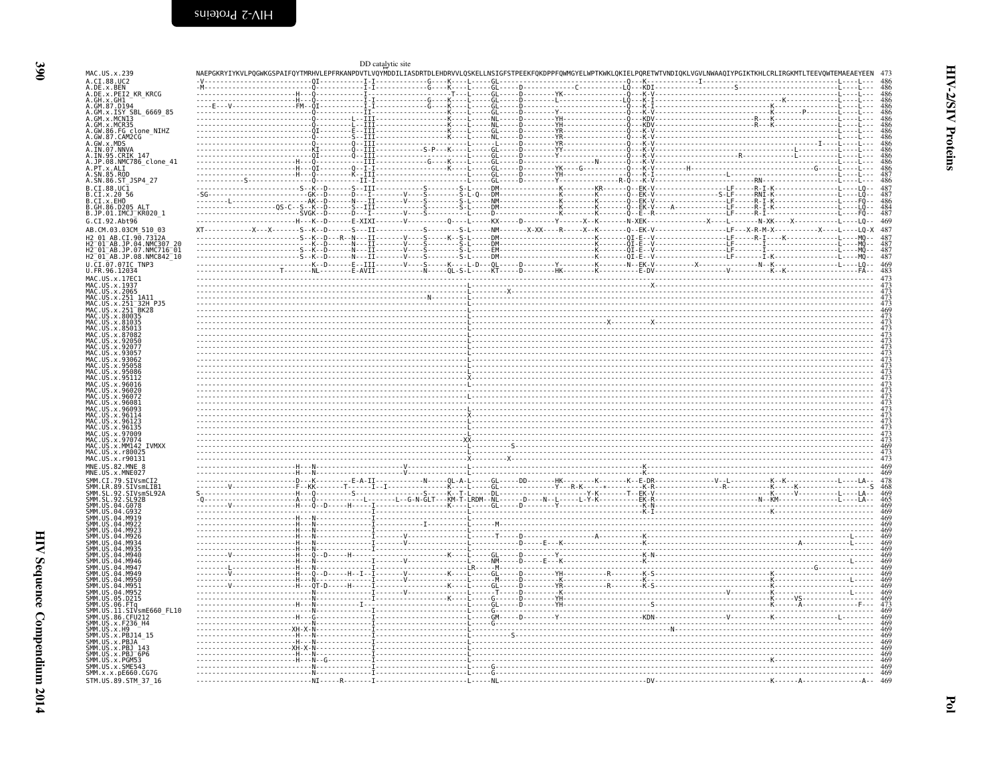MAC US x 239

|  |  |  | $\begin{minipage}[t]{.000\textwidth} {\begin{minipage}[t]{.000\textwidth} {\begin{minipage}[t]{.000\textwidth} {\begin{minipage}[t]{.000\textwidth} {\begin{minipage}[t]{.000\textwidth} {\begin{minipage}[t]{.000\textwidth} {\begin{minipage}[t]{.000\textwidth} {\begin{minipage}[t]{.000\textwidth} {\begin{minipage}[t]{.000\textwidth} {\begin{minipage}[t]{.000\textwidth} {\begin{minipage}[t]{.000\textwidth} {\begin{minipage}[t]{.000\textwidth} {\begin{minipage}[t]{.000\textwidth$<br>XT------------X--X------S--K--D------S--II-----------S-------S-L-----NM-------X-XX----R----------Q--EK-V---------------LE----X-R-M-X----------------LQ-X 487 |
|--|--|--|------------------------------------------------------------------------------------------------------------------------------------------------------------------------------------------------------------------------------------------------------------------------------------------------------------------------------------------------------------------------------------------------------------------------------------------------------------------------------------------------------------------------------------------------------------------------------------------------------------------------------------------------------------------|

<span id="page-11-0"></span>DD catalytic site

NAEPGKRYIYKVLPOGWKGSPAIFOYTMRHVLEPFRKANPDVTLVOYMDDILIASDRTDLEHDRVVLOSKELLNSIGFSTPEEKFOKDPPFOWMGYELWPTKWKLOKIELPORETWTVNDIOKLVGVLNWAAOIYPGIKTKHLCRLIRGKMTLTEEVOWTEMAEAEYEEN 473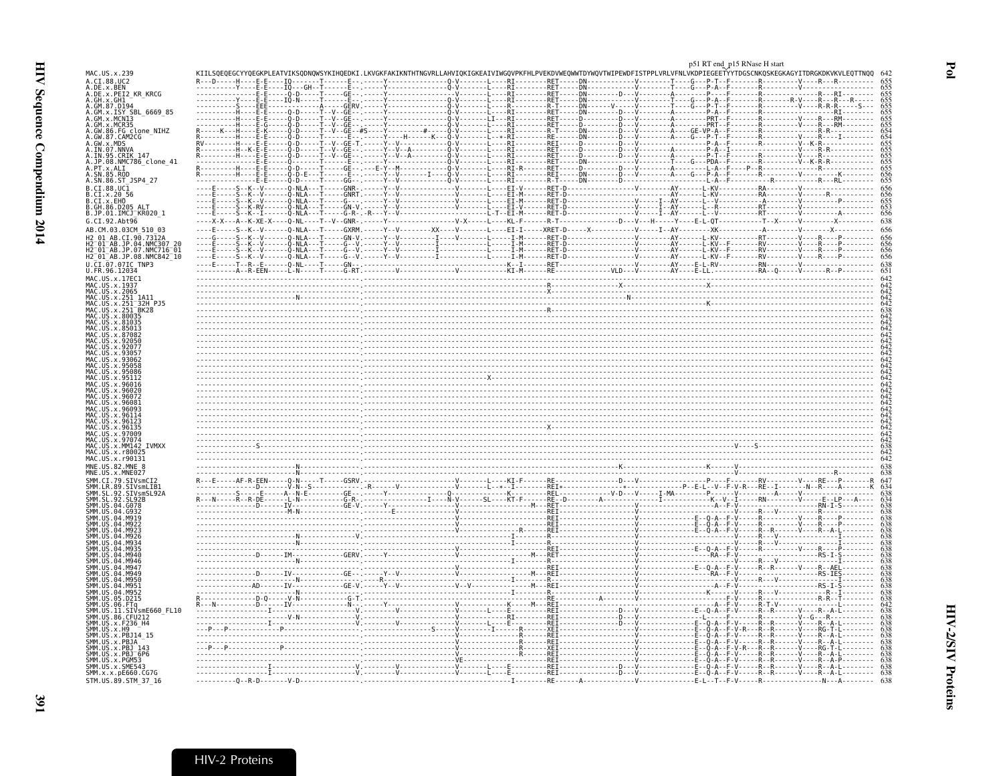<span id="page-12-0"></span>

|                                                                                                                 |                                                        |          | p51 RT end_p15 RNase H start                                                                                                                                               |
|-----------------------------------------------------------------------------------------------------------------|--------------------------------------------------------|----------|----------------------------------------------------------------------------------------------------------------------------------------------------------------------------|
| MAC.US.x.239<br>A.CI.88.UC2                                                                                     |                                                        | $-RET -$ | KIILSQEQEGCYYQEGKPLEATVIKSQDNQWSYKIHQEDKI.LKVGKFAKIKNTHTNGVRLLAHVIQKIGKEAIVIWGQVPKFHLPVEKDVWEQWWTDYWQVTWIPEWDFISTPPLVRLVFNLVKDPIEGEETYYTDGSCNKQSKEGKAGYITDRGKDKVKVLEQTTNQQ |
| A.DE.x.BEN                                                                                                      | ----------- <sup>1</sup> ----Ε-Ε<br>----------γ----Ε-Ε |          |                                                                                                                                                                            |
| A.DE.X.PEI2_KR_KRCG<br>A.GH.X.GH1<br>A.GM.87.D194                                                               |                                                        |          |                                                                                                                                                                            |
| A.GM.x.ISY SBL 6669 85<br>A.GM.x.MCNI3                                                                          |                                                        |          |                                                                                                                                                                            |
| A.GM.x.MCR35                                                                                                    |                                                        |          |                                                                                                                                                                            |
|                                                                                                                 |                                                        |          |                                                                                                                                                                            |
| A.GW.86.FG clone_NIHZ<br>A.GW.87.CAM2CG -<br>A.GW.x.MDS<br>A.IN.97.NNVA<br>A.IN.95.CRIK 147<br>A.IN.98.CRIK 147 |                                                        |          |                                                                                                                                                                            |
| A.JP.08.NMC786_clone_41<br>A.PT.x.ALI_                                                                          |                                                        |          |                                                                                                                                                                            |
| A.SN.85.ROD                                                                                                     |                                                        |          |                                                                                                                                                                            |
| A.SN.86.ST_JSP4_27<br>B.CI.88.UC1                                                                               |                                                        |          |                                                                                                                                                                            |
| B.CI.x.20 56<br>B.CI.x.EHO                                                                                      |                                                        |          |                                                                                                                                                                            |
| B.GH.86.D205 ALT<br>B.JP.01.IMCJ KR020 1                                                                        |                                                        |          |                                                                                                                                                                            |
| G.CI.92.Abt96                                                                                                   |                                                        |          |                                                                                                                                                                            |
| AB.CM.03.03CM 510 03<br>AB.CI.90.7312A<br>H2 01                                                                 |                                                        |          |                                                                                                                                                                            |
| H2 01 AB.JP.04.NMC307 20<br>H2-01-AB.JP.07.NMC716-01                                                            |                                                        |          |                                                                                                                                                                            |
| H2 01 AB.JP.08.NMC842 10                                                                                        |                                                        |          |                                                                                                                                                                            |
| U.CI.07.07IC TNP3<br>U.FR.96.12034                                                                              |                                                        |          |                                                                                                                                                                            |
| MAC.US.x.17EC1<br>MAC.US.x.1937                                                                                 |                                                        |          |                                                                                                                                                                            |
| MAC.US.x.2065                                                                                                   |                                                        |          |                                                                                                                                                                            |
| .US.x.251 1A11<br>US.x.251 <sup>-</sup> 32H PJ5                                                                 |                                                        |          |                                                                                                                                                                            |
| MAC.US.x.251 <sup>-</sup> BK28<br>US.x.80035                                                                    |                                                        |          |                                                                                                                                                                            |
| .U.S. x.81035<br>. US. x. 8501.                                                                                 |                                                        |          |                                                                                                                                                                            |
|                                                                                                                 |                                                        |          |                                                                                                                                                                            |
|                                                                                                                 |                                                        |          |                                                                                                                                                                            |
| IAC IIS X 93062                                                                                                 |                                                        |          |                                                                                                                                                                            |
|                                                                                                                 |                                                        |          |                                                                                                                                                                            |
|                                                                                                                 |                                                        |          |                                                                                                                                                                            |
| 96081                                                                                                           |                                                        |          |                                                                                                                                                                            |
| U.S. x. 96093<br>. US . x . 9611                                                                                |                                                        |          |                                                                                                                                                                            |
| .US.x.961<br>US.x.96135                                                                                         |                                                        |          |                                                                                                                                                                            |
| .us.x.97009<br>MAC IIS x 97074                                                                                  |                                                        |          |                                                                                                                                                                            |
| MAC.US.x.MM142 IVMXX                                                                                            |                                                        |          |                                                                                                                                                                            |
| MAC.US.x.r80025<br>MAC.US.x.r90131                                                                              |                                                        |          |                                                                                                                                                                            |
| MNE.US.82.MNE<br>MNE.US.x.MNE027                                                                                |                                                        |          |                                                                                                                                                                            |
| SMM.CI.79.SIVsmCI2                                                                                              |                                                        |          |                                                                                                                                                                            |
| SMM.LR.89.SIVsmLIB1<br>SMM.SL.92.SIVsmSL92<br>SL.92<br>SMM.SL                                                   |                                                        |          |                                                                                                                                                                            |
| SMM.US                                                                                                          |                                                        |          |                                                                                                                                                                            |
| SMM.US.04.G932<br>SMM.US.04.M919<br>MQ22                                                                        |                                                        |          |                                                                                                                                                                            |
|                                                                                                                 |                                                        |          |                                                                                                                                                                            |
|                                                                                                                 |                                                        |          |                                                                                                                                                                            |
| <b>M940</b>                                                                                                     |                                                        |          |                                                                                                                                                                            |
|                                                                                                                 |                                                        |          |                                                                                                                                                                            |
|                                                                                                                 |                                                        |          |                                                                                                                                                                            |
|                                                                                                                 |                                                        |          |                                                                                                                                                                            |
|                                                                                                                 |                                                        |          |                                                                                                                                                                            |
| ŠMM.ŪŠ.ÕÕ.FTq<br>SMM.US.11.SIVsmE660_FL10                                                                       |                                                        |          |                                                                                                                                                                            |
| SMM. US. 86. CFU212<br>SMM. US. x. F236_H4<br>SMM.US.x.H9                                                       |                                                        |          |                                                                                                                                                                            |
| SMM.US.x.PBJ14<br>SMM.US.x.PBJA                                                                                 |                                                        |          |                                                                                                                                                                            |
| SMM. US. x. PBJ 143<br>SMM.US.x.PBJ <sup>-</sup> 6P6                                                            |                                                        |          |                                                                                                                                                                            |
| SMM.US.x.PGM53                                                                                                  |                                                        |          |                                                                                                                                                                            |
| SMM.US.x.SME543<br>SMM.x.x.pE660.CG7G                                                                           |                                                        |          |                                                                                                                                                                            |
| STM.US.89.STM 37 16                                                                                             |                                                        | . T RF   |                                                                                                                                                                            |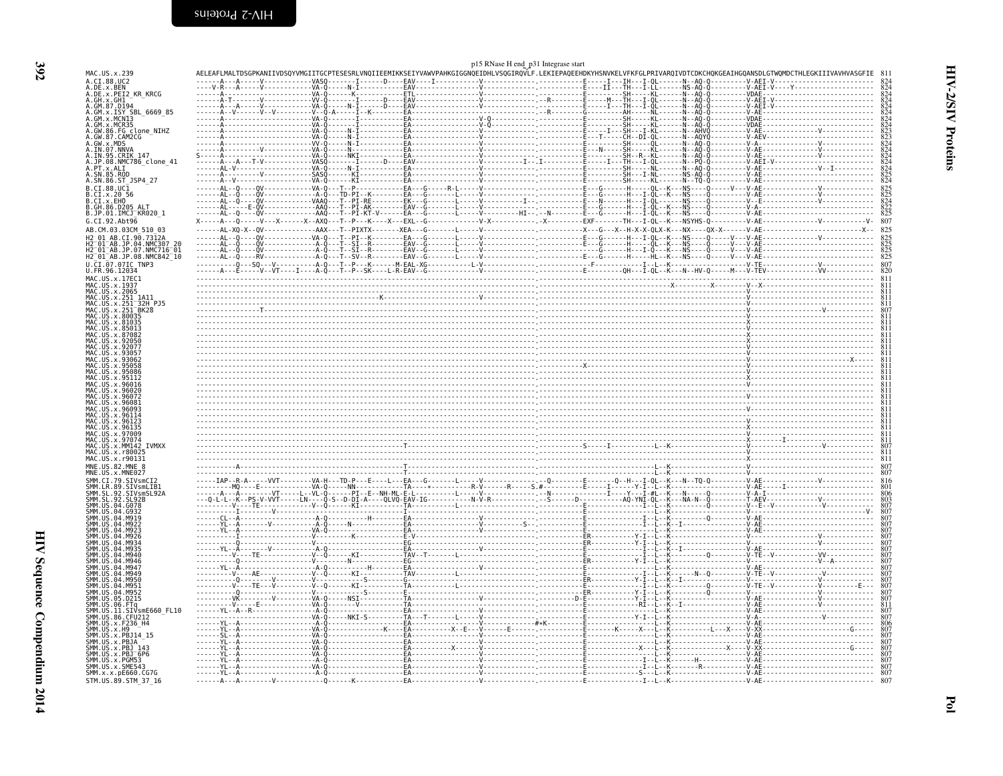<span id="page-13-0"></span>

|                                                                            |  | p15 RNase H end_p31 Integrase start |  |                                                                                                                                                                                                                                   |
|----------------------------------------------------------------------------|--|-------------------------------------|--|-----------------------------------------------------------------------------------------------------------------------------------------------------------------------------------------------------------------------------------|
| MAC.US.x.239<br>A.CI.88.UC2                                                |  |                                     |  | AELEAFLMALTDSGPKANIIVDSQYVMGIITGCPTESESRLVNQIIEEMIKKSEIYVAWVPAHKGIGGNQEIDHLVSQGIRQVLF.LEKIEPAQEEHDKYHSNVKELVFKFGLPRIVARQIVDTCDKCHQKGEAIHGQANSDLGTWQMDCTHLEGKIIIVAVHVASGFIE                                                        |
| A.DE.x.BEN<br>A.DE.x.PEI2_KR_KRCG                                          |  |                                     |  |                                                                                                                                                                                                                                   |
| A.GH.X.GH1 <sup>-</sup><br>A.GM.87.D194                                    |  |                                     |  |                                                                                                                                                                                                                                   |
| A.GM.X.ISY SBL_6669_85<br>A.GM.x.MCNI3                                     |  |                                     |  |                                                                                                                                                                                                                                   |
| A.GM.x.MCR35                                                               |  |                                     |  |                                                                                                                                                                                                                                   |
| A.GW.86.FG clone NIHZ<br>A.GW.87.CAM2CG                                    |  |                                     |  |                                                                                                                                                                                                                                   |
| A.GW.x.MDS<br>A.IN.07.NNVA                                                 |  |                                     |  |                                                                                                                                                                                                                                   |
| A.IN.95.CRIK 147                                                           |  |                                     |  |                                                                                                                                                                                                                                   |
| A.JP.08.NMC786_clone_41<br>A.PT.x.ALI                                      |  |                                     |  |                                                                                                                                                                                                                                   |
| A.SN.85.ROD<br>A.SN.86.ST JSP4 27                                          |  |                                     |  |                                                                                                                                                                                                                                   |
| B.CI.88.UC1                                                                |  |                                     |  |                                                                                                                                                                                                                                   |
| B.CI.x.20 56<br>B.CI.x.EHO<br>B.GH.86.D205 ALT<br>B.JP.01.IMCJ_KR020_1     |  |                                     |  |                                                                                                                                                                                                                                   |
|                                                                            |  |                                     |  |                                                                                                                                                                                                                                   |
| G.CI.92.Abt96                                                              |  |                                     |  |                                                                                                                                                                                                                                   |
| AB.CM.03.03CM 510 03                                                       |  |                                     |  |                                                                                                                                                                                                                                   |
| H2 01 AB.CI.90.7312A<br>H2 <sup>-</sup> 01 <sup>-</sup> AB.JP.04.NMC307 20 |  |                                     |  |                                                                                                                                                                                                                                   |
| $01^-$ AB.JP.07.NMC716 $^-$ 01<br>H2 01 AB.JP.08.NMC842 10                 |  |                                     |  |                                                                                                                                                                                                                                   |
| U.CI.07.07IC TNP3                                                          |  |                                     |  | 807                                                                                                                                                                                                                               |
| U.FR.96.12034                                                              |  |                                     |  |                                                                                                                                                                                                                                   |
| MAC.US.x.17EC1<br>MAC.US.x.1937                                            |  |                                     |  |                                                                                                                                                                                                                                   |
| MAC.US.x.2065                                                              |  |                                     |  |                                                                                                                                                                                                                                   |
| MAC.US.x.251_1A11<br>MAC.US.x.251_32H_PJ5<br>MAC.US.x.251_BK28             |  |                                     |  |                                                                                                                                                                                                                                   |
| US.x.80035                                                                 |  |                                     |  |                                                                                                                                                                                                                                   |
| .US.x.81035                                                                |  |                                     |  |                                                                                                                                                                                                                                   |
|                                                                            |  |                                     |  |                                                                                                                                                                                                                                   |
|                                                                            |  |                                     |  |                                                                                                                                                                                                                                   |
|                                                                            |  |                                     |  |                                                                                                                                                                                                                                   |
|                                                                            |  |                                     |  |                                                                                                                                                                                                                                   |
|                                                                            |  |                                     |  |                                                                                                                                                                                                                                   |
|                                                                            |  |                                     |  |                                                                                                                                                                                                                                   |
|                                                                            |  |                                     |  |                                                                                                                                                                                                                                   |
| MAC.US.x<br>.96114                                                         |  |                                     |  |                                                                                                                                                                                                                                   |
| MAC<br>US.x.9612<br>MAC.US.x.96135                                         |  |                                     |  |                                                                                                                                                                                                                                   |
| US.x.97009<br>.US.x.9707                                                   |  |                                     |  | $\frac{1}{2}$ . The contract of the contract of the contract of the contract of the contract of the contract of the contract of the contract of the contract of the contract of the contract of the contract of the contract of t |
| US.x.MM142 IVMXX                                                           |  |                                     |  |                                                                                                                                                                                                                                   |
| .x.r80025<br>MAC.US.x.r90131                                               |  |                                     |  |                                                                                                                                                                                                                                   |
| MNF. US. 82. MNF. 8<br>MNE.US.x.MNE027                                     |  |                                     |  |                                                                                                                                                                                                                                   |
| .79.SIVsmCI2                                                               |  |                                     |  |                                                                                                                                                                                                                                   |
| SMM.LR.89.SIVsmLIB1<br>SIVsmSL92A                                          |  |                                     |  |                                                                                                                                                                                                                                   |
| .04.6078                                                                   |  |                                     |  |                                                                                                                                                                                                                                   |
|                                                                            |  |                                     |  |                                                                                                                                                                                                                                   |
|                                                                            |  |                                     |  |                                                                                                                                                                                                                                   |
|                                                                            |  |                                     |  |                                                                                                                                                                                                                                   |
| 04 M93                                                                     |  |                                     |  |                                                                                                                                                                                                                                   |
| $04$ MQ $46$<br>$0.4$ MQ $46$                                              |  |                                     |  |                                                                                                                                                                                                                                   |
| 04 M94                                                                     |  |                                     |  |                                                                                                                                                                                                                                   |
| 04.M949<br><b>MQ50</b>                                                     |  |                                     |  |                                                                                                                                                                                                                                   |
|                                                                            |  |                                     |  |                                                                                                                                                                                                                                   |
| SMM IIS<br>. 05.D215                                                       |  |                                     |  |                                                                                                                                                                                                                                   |
| SMM.US.06.FTa<br>SMM.US.11.SIVsmE660 FL10                                  |  |                                     |  |                                                                                                                                                                                                                                   |
| SMM. US.86. CFU212<br>SMM. US. x. F236 H4                                  |  |                                     |  |                                                                                                                                                                                                                                   |
| SMM. US. x. H9<br>US.x.PBJ14 15                                            |  |                                     |  |                                                                                                                                                                                                                                   |
| .x.PBJA                                                                    |  |                                     |  |                                                                                                                                                                                                                                   |
| US.x.PBJ<br>SMM.US.x.PBJ <sup>-6P6</sup>                                   |  |                                     |  |                                                                                                                                                                                                                                   |
| SMM.US.x.PGM53<br>SMM.US.x.SME543                                          |  |                                     |  |                                                                                                                                                                                                                                   |
| SMM.x.x.pE660.CG7G                                                         |  |                                     |  |                                                                                                                                                                                                                                   |
| STM.US.89.STM 37 16                                                        |  |                                     |  |                                                                                                                                                                                                                                   |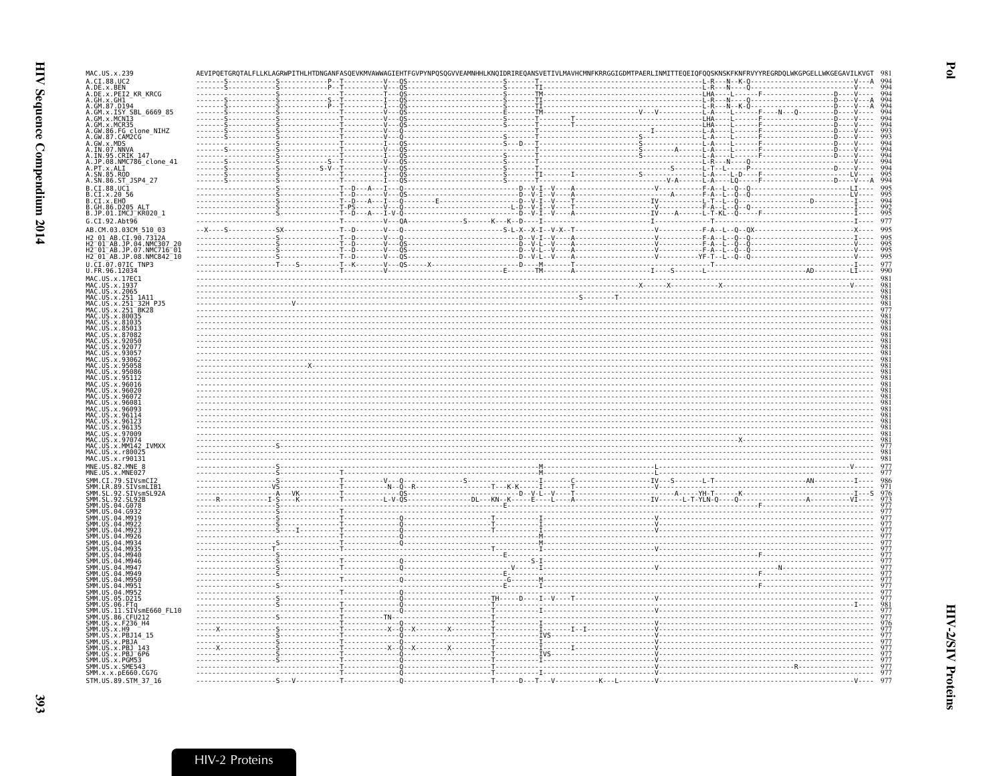| MAC.US.x.239                                                                                                                                                                                                                                                                        |  |                    |  | AEVIPQETGRQTALFLLKLAGRWPITHLHTDNGANFASQEVKMVAWWAGIEHTFGVPYNPQSQGVVEAMNHHLKNQIDRIREQANSVETIVLMAVHCMNFKRRGGIGDMTPAERLINMITTEQEIQFQQSKNSKFKNFRVYYREGRDQLWKGPGELLWKGEGAVILKVGT                                                                                                                                                                                                                                                                                                                                                                |  |     |
|-------------------------------------------------------------------------------------------------------------------------------------------------------------------------------------------------------------------------------------------------------------------------------------|--|--------------------|--|-------------------------------------------------------------------------------------------------------------------------------------------------------------------------------------------------------------------------------------------------------------------------------------------------------------------------------------------------------------------------------------------------------------------------------------------------------------------------------------------------------------------------------------------|--|-----|
| A.CI.88.UC2<br>A.DE.x.BEN                                                                                                                                                                                                                                                           |  |                    |  |                                                                                                                                                                                                                                                                                                                                                                                                                                                                                                                                           |  |     |
| A.DE.x.PEI2 KR KRCG<br>A. DE. x. PEI2_KR_KRCG<br>A. GM. x. GH1<br>A. GM. x. ISY_SBL_6669_85<br>A. GM. x. ISY_SBL_6669_85<br>A. GM. x. ISY_SBL_6669_85<br>A. GM. x. MCN35<br>A. GW. 85 . CRIKE_147<br>A. SN. 85 . CRIKE_147<br>A. IN. 05 . NNKE_147<br>A. IN. 05 . NNKE_147<br>A. SN |  |                    |  | $\begin{minipage}[t]{.15\textwidth}\begin{tabular}{0.99\textwidth}\begin{tabular}{0.99\textwidth}\begin{tabular}{0.99\textwidth}\begin{tabular}{0.99\textwidth}\begin{tabular}{0.99\textwidth}\begin{tabular}{0.99\textwidth}\begin{tabular}{0.99\textwidth}\begin{tabular}{0.99\textwidth}\begin{tabular}{0.99\textwidth}\begin{tabular}{0.99\textwidth}\begin{tabular}{0.99\textwidth}\begin{tabular}{0.99\textwidth}\begin{tabular}{0.99\textwidth}\begin{tabular}{0.99\textwidth}\begin{tabular}{0.99\textwidth}\begin{tabular}{0.99$ |  | QQ. |
|                                                                                                                                                                                                                                                                                     |  |                    |  |                                                                                                                                                                                                                                                                                                                                                                                                                                                                                                                                           |  |     |
|                                                                                                                                                                                                                                                                                     |  |                    |  |                                                                                                                                                                                                                                                                                                                                                                                                                                                                                                                                           |  |     |
|                                                                                                                                                                                                                                                                                     |  |                    |  |                                                                                                                                                                                                                                                                                                                                                                                                                                                                                                                                           |  |     |
|                                                                                                                                                                                                                                                                                     |  |                    |  |                                                                                                                                                                                                                                                                                                                                                                                                                                                                                                                                           |  |     |
|                                                                                                                                                                                                                                                                                     |  |                    |  |                                                                                                                                                                                                                                                                                                                                                                                                                                                                                                                                           |  |     |
|                                                                                                                                                                                                                                                                                     |  |                    |  |                                                                                                                                                                                                                                                                                                                                                                                                                                                                                                                                           |  |     |
| B.CI.88.UC1                                                                                                                                                                                                                                                                         |  |                    |  |                                                                                                                                                                                                                                                                                                                                                                                                                                                                                                                                           |  |     |
|                                                                                                                                                                                                                                                                                     |  |                    |  |                                                                                                                                                                                                                                                                                                                                                                                                                                                                                                                                           |  |     |
| B.CI.x.20<br>B.CI.x.20 56<br>B.CI.x.EHO<br>B.GH.86.D205 ALT<br>B.JP.01.IMCJ_KR020_1                                                                                                                                                                                                 |  |                    |  |                                                                                                                                                                                                                                                                                                                                                                                                                                                                                                                                           |  |     |
| G.CI.92.Abt96<br>AB.CM.03.03CM_510_03                                                                                                                                                                                                                                               |  |                    |  |                                                                                                                                                                                                                                                                                                                                                                                                                                                                                                                                           |  |     |
| 90.                                                                                                                                                                                                                                                                                 |  |                    |  |                                                                                                                                                                                                                                                                                                                                                                                                                                                                                                                                           |  |     |
| H2-01-AB.JP.04.NMC307 20<br>H2-01-AB.JP.07.NMC716-01<br>H2-01-AB.JP.08.NMC842-10                                                                                                                                                                                                    |  |                    |  |                                                                                                                                                                                                                                                                                                                                                                                                                                                                                                                                           |  |     |
| CI.07.07IC TNP3                                                                                                                                                                                                                                                                     |  |                    |  | $\begin{minipage}{0.03\textwidth} \begin{tabular}{ c c c c c } \hline \textbf{0.03\textwidth} & \textbf{0.04\textwidth} & \textbf{0.05\textwidth} & \textbf{0.06\textwidth} & \textbf{0.07\textwidth} & \textbf{0.07\textwidth} & \textbf{0.07\textwidth} & \textbf{0.07\textwidth} & \textbf{0.07\textwidth} & \textbf{0.07\textwidth} & \textbf{0.07\textwidth} & \textbf{0.07\textwidth} & \textbf{0.07\textwidth} & \textbf{0.07\textwidth} & \text$                                                                                  |  |     |
| U.FR.96.12034<br>MAC.US.x.17EC1<br>MAC.US.x.1937                                                                                                                                                                                                                                    |  |                    |  |                                                                                                                                                                                                                                                                                                                                                                                                                                                                                                                                           |  |     |
| MAC.US.x.2065                                                                                                                                                                                                                                                                       |  |                    |  |                                                                                                                                                                                                                                                                                                                                                                                                                                                                                                                                           |  |     |
| MAC.<br>US.x.251<br>1A11<br>$1 - 32H$ PJ5<br>US.x.25                                                                                                                                                                                                                                |  |                    |  |                                                                                                                                                                                                                                                                                                                                                                                                                                                                                                                                           |  |     |
| US.x.251<br>BK28<br>MAC.US.x.80035                                                                                                                                                                                                                                                  |  |                    |  |                                                                                                                                                                                                                                                                                                                                                                                                                                                                                                                                           |  |     |
| MAC<br>x.81035<br>MAC.<br>.x.85013<br><b>US</b><br>x.8708                                                                                                                                                                                                                           |  |                    |  |                                                                                                                                                                                                                                                                                                                                                                                                                                                                                                                                           |  |     |
| MAC<br>MAC.US                                                                                                                                                                                                                                                                       |  |                    |  |                                                                                                                                                                                                                                                                                                                                                                                                                                                                                                                                           |  |     |
|                                                                                                                                                                                                                                                                                     |  |                    |  |                                                                                                                                                                                                                                                                                                                                                                                                                                                                                                                                           |  |     |
|                                                                                                                                                                                                                                                                                     |  |                    |  |                                                                                                                                                                                                                                                                                                                                                                                                                                                                                                                                           |  |     |
|                                                                                                                                                                                                                                                                                     |  |                    |  |                                                                                                                                                                                                                                                                                                                                                                                                                                                                                                                                           |  |     |
|                                                                                                                                                                                                                                                                                     |  |                    |  |                                                                                                                                                                                                                                                                                                                                                                                                                                                                                                                                           |  |     |
|                                                                                                                                                                                                                                                                                     |  |                    |  |                                                                                                                                                                                                                                                                                                                                                                                                                                                                                                                                           |  |     |
| MAC.US<br>МАС                                                                                                                                                                                                                                                                       |  |                    |  |                                                                                                                                                                                                                                                                                                                                                                                                                                                                                                                                           |  |     |
| MAC.US.x.9613<br>MAC.US.x.97009                                                                                                                                                                                                                                                     |  |                    |  |                                                                                                                                                                                                                                                                                                                                                                                                                                                                                                                                           |  |     |
| MAC.US.x.97074<br>MAC.US.x.MM142 IVMXX                                                                                                                                                                                                                                              |  |                    |  |                                                                                                                                                                                                                                                                                                                                                                                                                                                                                                                                           |  |     |
| MAC.US.x.r80025<br>MAC.US.x.r90131                                                                                                                                                                                                                                                  |  |                    |  |                                                                                                                                                                                                                                                                                                                                                                                                                                                                                                                                           |  |     |
| MNE.US.82.MNE 8<br>MNE.US.x.MNE027                                                                                                                                                                                                                                                  |  |                    |  |                                                                                                                                                                                                                                                                                                                                                                                                                                                                                                                                           |  |     |
| SMM<br>CI.79.SIVsmCI2<br>LR.89.SIVsmLIB1<br><b>SMM</b>                                                                                                                                                                                                                              |  |                    |  |                                                                                                                                                                                                                                                                                                                                                                                                                                                                                                                                           |  |     |
| SMM<br>SMM<br>.92.<br>SIVsmSL92A<br>92. SL92B                                                                                                                                                                                                                                       |  |                    |  |                                                                                                                                                                                                                                                                                                                                                                                                                                                                                                                                           |  |     |
| <b>SMM</b>                                                                                                                                                                                                                                                                          |  |                    |  |                                                                                                                                                                                                                                                                                                                                                                                                                                                                                                                                           |  |     |
| <b>SMM</b><br>5MM                                                                                                                                                                                                                                                                   |  |                    |  |                                                                                                                                                                                                                                                                                                                                                                                                                                                                                                                                           |  |     |
| SМM<br>SМM<br>SМM                                                                                                                                                                                                                                                                   |  |                    |  |                                                                                                                                                                                                                                                                                                                                                                                                                                                                                                                                           |  |     |
| SМM<br>M93<br>SМM                                                                                                                                                                                                                                                                   |  |                    |  |                                                                                                                                                                                                                                                                                                                                                                                                                                                                                                                                           |  |     |
| SMM.<br>04.M946<br>SMM.<br>MQA                                                                                                                                                                                                                                                      |  |                    |  |                                                                                                                                                                                                                                                                                                                                                                                                                                                                                                                                           |  |     |
| smm<br>Smm<br>04 M949<br>M956                                                                                                                                                                                                                                                       |  |                    |  |                                                                                                                                                                                                                                                                                                                                                                                                                                                                                                                                           |  |     |
| 04 M95<br>US<br>.04.M952                                                                                                                                                                                                                                                            |  |                    |  |                                                                                                                                                                                                                                                                                                                                                                                                                                                                                                                                           |  |     |
| SMM<br>SMM<br>SMM<br>SMM<br>SMM<br>SMM<br>SMM<br>SMM<br>SMM<br>US.05.D215                                                                                                                                                                                                           |  |                    |  |                                                                                                                                                                                                                                                                                                                                                                                                                                                                                                                                           |  |     |
| .US.06.FTq<br>.US.06.FTq<br>.US.11.SIVsmE660_FL10<br>.US.x.F236_H4<br>.US.x.F236_H4                                                                                                                                                                                                 |  | $- - - - - TN - -$ |  |                                                                                                                                                                                                                                                                                                                                                                                                                                                                                                                                           |  |     |
| US.x.H9                                                                                                                                                                                                                                                                             |  |                    |  |                                                                                                                                                                                                                                                                                                                                                                                                                                                                                                                                           |  |     |
| US.x.PBJ14_15<br>US X PBJA                                                                                                                                                                                                                                                          |  |                    |  |                                                                                                                                                                                                                                                                                                                                                                                                                                                                                                                                           |  |     |
| ŠMM<br>US . x . PBJ<br>US . x . PBJ _ 143<br>US . x . PBJ _ 6P6<br>MM.                                                                                                                                                                                                              |  |                    |  |                                                                                                                                                                                                                                                                                                                                                                                                                                                                                                                                           |  |     |
| SMM.US.x.PGM53<br>SMM.US.x.SME543                                                                                                                                                                                                                                                   |  |                    |  |                                                                                                                                                                                                                                                                                                                                                                                                                                                                                                                                           |  |     |
| SMM.x.x.pE660.CG7G<br>STM.US.89.STM_37_16                                                                                                                                                                                                                                           |  |                    |  |                                                                                                                                                                                                                                                                                                                                                                                                                                                                                                                                           |  | 977 |
|                                                                                                                                                                                                                                                                                     |  |                    |  |                                                                                                                                                                                                                                                                                                                                                                                                                                                                                                                                           |  |     |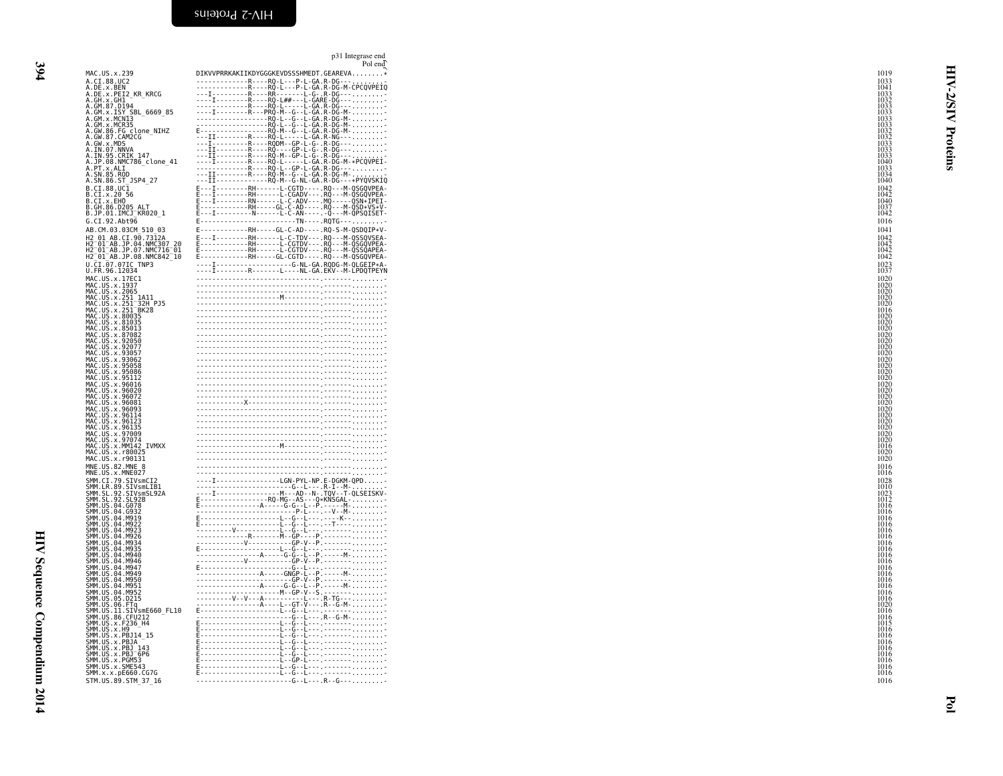<span id="page-15-0"></span>p31 Integrase endPol end

|                                                                                                                                                                                                                                                                    | Pol end                                                                                                                                                                                                                                                  |              |
|--------------------------------------------------------------------------------------------------------------------------------------------------------------------------------------------------------------------------------------------------------------------|----------------------------------------------------------------------------------------------------------------------------------------------------------------------------------------------------------------------------------------------------------|--------------|
| MAC.US.x.239                                                                                                                                                                                                                                                       | DIKVVPRRKAKIIKDYGGGKEVDSSSHMEDT.GEAREVA*                                                                                                                                                                                                                 | 1019         |
| A.CI.88.UC2                                                                                                                                                                                                                                                        | R  R  - P - L - GA . R - DG - -                                                                                                                                                                                                                          | 1033         |
| A.DE.x.BEN                                                                                                                                                                                                                                                         | France (1992)<br>France (1992)<br>France (1992)<br>France (1992)<br>France (1993)<br>Contract (1994)<br>Contract (1994)<br>Contract (1994)<br>Contract (1994)<br>Contract (1994)<br>Contract (1994)<br>Contract (1994)<br>Contract (1994)<br>Contract (1 |              |
| A.DE.x.PEI2 KR KRCG                                                                                                                                                                                                                                                |                                                                                                                                                                                                                                                          | 1033         |
| A.GH.x.GH1                                                                                                                                                                                                                                                         |                                                                                                                                                                                                                                                          | 1032         |
| A.GM.87.D194<br>A.GM.x.ISY SBL 6669 85                                                                                                                                                                                                                             |                                                                                                                                                                                                                                                          | 1033<br>1033 |
| A.GM.x.MCN13                                                                                                                                                                                                                                                       |                                                                                                                                                                                                                                                          | 1033         |
| A.GM.x.MCR35                                                                                                                                                                                                                                                       |                                                                                                                                                                                                                                                          | 1033         |
| A.GW.86.FG clone_NIHZ<br>A.GW.87.CAM2CG                                                                                                                                                                                                                            |                                                                                                                                                                                                                                                          | 1032<br>1032 |
|                                                                                                                                                                                                                                                                    |                                                                                                                                                                                                                                                          |              |
| A.GW. x. MDS<br>A. GW. x. MDS<br>A. IN. 07. NNVA<br>A. IN. 95. CRIK<br>A. PT. x. ALI<br>A. PT. x. ALI<br>A. SN. 85. ROD<br>A. SN. 86. ST_JSP4_27                                                                                                                   |                                                                                                                                                                                                                                                          | 1033         |
|                                                                                                                                                                                                                                                                    |                                                                                                                                                                                                                                                          | 1033<br>1033 |
|                                                                                                                                                                                                                                                                    |                                                                                                                                                                                                                                                          | 1040         |
|                                                                                                                                                                                                                                                                    |                                                                                                                                                                                                                                                          | 1033         |
|                                                                                                                                                                                                                                                                    |                                                                                                                                                                                                                                                          | 1034         |
|                                                                                                                                                                                                                                                                    |                                                                                                                                                                                                                                                          | 1040         |
| B.CI.88.UC1                                                                                                                                                                                                                                                        | E---I--------RH------L-CGTD---- RQ---M-QSGQVPEA-                                                                                                                                                                                                         | 1042         |
| B.CI.x.20 56<br>B.CI.x.EHO                                                                                                                                                                                                                                         | E---I-----------RH------L-CGADV----RQ---M-QSGQVPEA-<br>E---I---------RN------L-C-ADV----RQ-----QSN*IPEI-<br>E---I---------RN-----L-C-ADV----MQ-----QSN*IPEI-<br>E---I-----------RN-----L-C-AN-----.Q---M-QPSQISET-                                       | 1042         |
|                                                                                                                                                                                                                                                                    |                                                                                                                                                                                                                                                          | 1040         |
| B.GH.86.D205 ALT<br>B.JP.01.IMCJ KR020 1                                                                                                                                                                                                                           |                                                                                                                                                                                                                                                          | 1037<br>1042 |
|                                                                                                                                                                                                                                                                    |                                                                                                                                                                                                                                                          |              |
| G.CI.92.Abt96                                                                                                                                                                                                                                                      | E-------------------------TN----- RQTG-------------                                                                                                                                                                                                      | 1016         |
| AB.CM.03.03CM 510 03                                                                                                                                                                                                                                               | E------------RH-----GL-C-AD---- . RQ-S-M-QSDQIP*V-                                                                                                                                                                                                       | 1041         |
| H2 01 AB.CI.90.7312A                                                                                                                                                                                                                                               |                                                                                                                                                                                                                                                          | 1042         |
| H2-01-AB.JP.04.NMC307_20<br>H2-01-AB.JP.07.NMC716-01                                                                                                                                                                                                               |                                                                                                                                                                                                                                                          | 1042         |
|                                                                                                                                                                                                                                                                    |                                                                                                                                                                                                                                                          | 1042         |
| H2 <sup>-</sup> 01 <sup>-</sup> AB.JP.08.NMC842 <sup>-10</sup>                                                                                                                                                                                                     | E - - - - - - - - - - - - RH - - - - - GL - CGTD - - - - . RQ - - - M - QSGQVPEA -                                                                                                                                                                       | 1042         |
| U.CI.07.07IC_TNP3                                                                                                                                                                                                                                                  |                                                                                                                                                                                                                                                          | 1023<br>1037 |
| U.FR.96.12034                                                                                                                                                                                                                                                      |                                                                                                                                                                                                                                                          |              |
| MAC.US.x.17EC1                                                                                                                                                                                                                                                     |                                                                                                                                                                                                                                                          | 1020<br>1020 |
| MAC.US.x.1937                                                                                                                                                                                                                                                      |                                                                                                                                                                                                                                                          |              |
|                                                                                                                                                                                                                                                                    |                                                                                                                                                                                                                                                          | 1020<br>1020 |
| 32H PJ5                                                                                                                                                                                                                                                            |                                                                                                                                                                                                                                                          | 1020         |
|                                                                                                                                                                                                                                                                    |                                                                                                                                                                                                                                                          | 1016         |
|                                                                                                                                                                                                                                                                    |                                                                                                                                                                                                                                                          | 1020         |
|                                                                                                                                                                                                                                                                    |                                                                                                                                                                                                                                                          | 1020         |
| MAC.US.x.2965<br>MAC.US.x.2965<br>MAC.US.x.251_3A11<br>MAC.US.x.251_32H PMAC.US.x.251_32H<br>MAC.US.x.880935<br>MAC.US.x.880935<br>MAC.US.x.880933<br>MAC.US.x.880933<br>MAC.US.x.880932<br>MAC.US.x.87082                                                         |                                                                                                                                                                                                                                                          | 1020<br>1020 |
|                                                                                                                                                                                                                                                                    |                                                                                                                                                                                                                                                          | 1020         |
| MAC.US.x.92050<br>MAC.US.x.92077                                                                                                                                                                                                                                   |                                                                                                                                                                                                                                                          | 1020         |
| MAC. US. x. 93057                                                                                                                                                                                                                                                  |                                                                                                                                                                                                                                                          |              |
| MAC.US.x.93062<br>MAC.US.x.95058                                                                                                                                                                                                                                   |                                                                                                                                                                                                                                                          |              |
|                                                                                                                                                                                                                                                                    |                                                                                                                                                                                                                                                          |              |
| MAC.US.x.95086                                                                                                                                                                                                                                                     |                                                                                                                                                                                                                                                          |              |
| MAC.US.x.95112                                                                                                                                                                                                                                                     |                                                                                                                                                                                                                                                          |              |
| MAC.US.x.96016<br>MAC. US. x. 96020                                                                                                                                                                                                                                |                                                                                                                                                                                                                                                          | 1020<br>1020 |
|                                                                                                                                                                                                                                                                    |                                                                                                                                                                                                                                                          | 1020         |
|                                                                                                                                                                                                                                                                    |                                                                                                                                                                                                                                                          | 1020         |
|                                                                                                                                                                                                                                                                    |                                                                                                                                                                                                                                                          | 1020         |
|                                                                                                                                                                                                                                                                    |                                                                                                                                                                                                                                                          | 1020         |
|                                                                                                                                                                                                                                                                    |                                                                                                                                                                                                                                                          | 1020         |
|                                                                                                                                                                                                                                                                    |                                                                                                                                                                                                                                                          | 1020         |
|                                                                                                                                                                                                                                                                    |                                                                                                                                                                                                                                                          | 1020<br>1020 |
| MAC.US.x.96020<br>MAC.US.x.96072<br>MAC.US.x.96081<br>MAC.US.x.96093<br>MAC.US.x.960114<br>MAC.US.x.96113<br>MAC.US.x.97089<br>MAC.US.x.97009<br>MAC.US.x.970094<br>MAC.US.x.970094<br>MAC.US.x.970094<br>MAC.US.x.970094                                          |                                                                                                                                                                                                                                                          | 1016         |
| MAC.US.x.r80025                                                                                                                                                                                                                                                    |                                                                                                                                                                                                                                                          | 1020         |
| MAC.US.x.r90131                                                                                                                                                                                                                                                    |                                                                                                                                                                                                                                                          | 1020         |
| MNE.US.82.MNE 8<br>MNE.US.x.MNE027                                                                                                                                                                                                                                 |                                                                                                                                                                                                                                                          | 1016         |
|                                                                                                                                                                                                                                                                    |                                                                                                                                                                                                                                                          | -1016        |
| SMM.CI.79.SIVsmCI2                                                                                                                                                                                                                                                 |                                                                                                                                                                                                                                                          | 1028         |
| SMM.LR.89.SIVsmLIB1<br>SMM.SL.92.SIVsmSL92A                                                                                                                                                                                                                        |                                                                                                                                                                                                                                                          | 1010         |
|                                                                                                                                                                                                                                                                    |                                                                                                                                                                                                                                                          | 1023         |
| SMM. SL. 92. SL92B                                                                                                                                                                                                                                                 |                                                                                                                                                                                                                                                          | 1012<br>1016 |
| SMM. US. 04. G078                                                                                                                                                                                                                                                  |                                                                                                                                                                                                                                                          |              |
| SMM. US. 04. 6932<br>SMM. US. 04. M919                                                                                                                                                                                                                             |                                                                                                                                                                                                                                                          |              |
| SMM. US. 04. M922<br>SMM. US. 04. M923                                                                                                                                                                                                                             |                                                                                                                                                                                                                                                          |              |
|                                                                                                                                                                                                                                                                    |                                                                                                                                                                                                                                                          |              |
| SMM.<br>US.04.M926                                                                                                                                                                                                                                                 |                                                                                                                                                                                                                                                          |              |
| SMM.<br>US.04.M934                                                                                                                                                                                                                                                 |                                                                                                                                                                                                                                                          |              |
| SMM<br>US.04.M935<br>US.04.M940                                                                                                                                                                                                                                    |                                                                                                                                                                                                                                                          |              |
| SMM. US.04.M946                                                                                                                                                                                                                                                    |                                                                                                                                                                                                                                                          | 1016         |
|                                                                                                                                                                                                                                                                    |                                                                                                                                                                                                                                                          | 1016         |
| SMM. US. 04. M946<br>SMM. US. 04. M947<br>SMM. US. 04. M959<br>SMM. US. 04. M950<br>SMM. US. 04. M950<br>SMM. US. 04. M952<br>SMM. US. 06. FTq<br>SMM. US. 06. CFU212<br>SMM. US. 36. CFU212<br>SMM. US. 36. CFU212<br>SMM. US. x. F236<br>SMM. US. x. F1936<br>SM |                                                                                                                                                                                                                                                          | 1016         |
|                                                                                                                                                                                                                                                                    |                                                                                                                                                                                                                                                          |              |
|                                                                                                                                                                                                                                                                    |                                                                                                                                                                                                                                                          |              |
|                                                                                                                                                                                                                                                                    |                                                                                                                                                                                                                                                          |              |
|                                                                                                                                                                                                                                                                    |                                                                                                                                                                                                                                                          |              |
|                                                                                                                                                                                                                                                                    |                                                                                                                                                                                                                                                          | 1016         |
|                                                                                                                                                                                                                                                                    |                                                                                                                                                                                                                                                          | 1015         |
|                                                                                                                                                                                                                                                                    |                                                                                                                                                                                                                                                          |              |
|                                                                                                                                                                                                                                                                    |                                                                                                                                                                                                                                                          |              |
|                                                                                                                                                                                                                                                                    |                                                                                                                                                                                                                                                          | 1016         |
| SMM. US. x. PBJA <sup>---</sup><br>SMM. US. x. PBJ_143                                                                                                                                                                                                             |                                                                                                                                                                                                                                                          | 1016         |
| SMM.US.x.PBJ-6P6<br>SMM.US.x.PBJ-6P6                                                                                                                                                                                                                               |                                                                                                                                                                                                                                                          | 1016<br>1016 |
|                                                                                                                                                                                                                                                                    |                                                                                                                                                                                                                                                          |              |
| SMM. US. x. SME543                                                                                                                                                                                                                                                 |                                                                                                                                                                                                                                                          |              |
| SMM.x.x.pE660.CG7G                                                                                                                                                                                                                                                 |                                                                                                                                                                                                                                                          | 1016         |
| STM.US.89.STM 37 16                                                                                                                                                                                                                                                | ------------------------G--L---.R--G---                                                                                                                                                                                                                  | 1016         |

HIV Sequence Compendium 2014 HIV Sequence Compendium 2014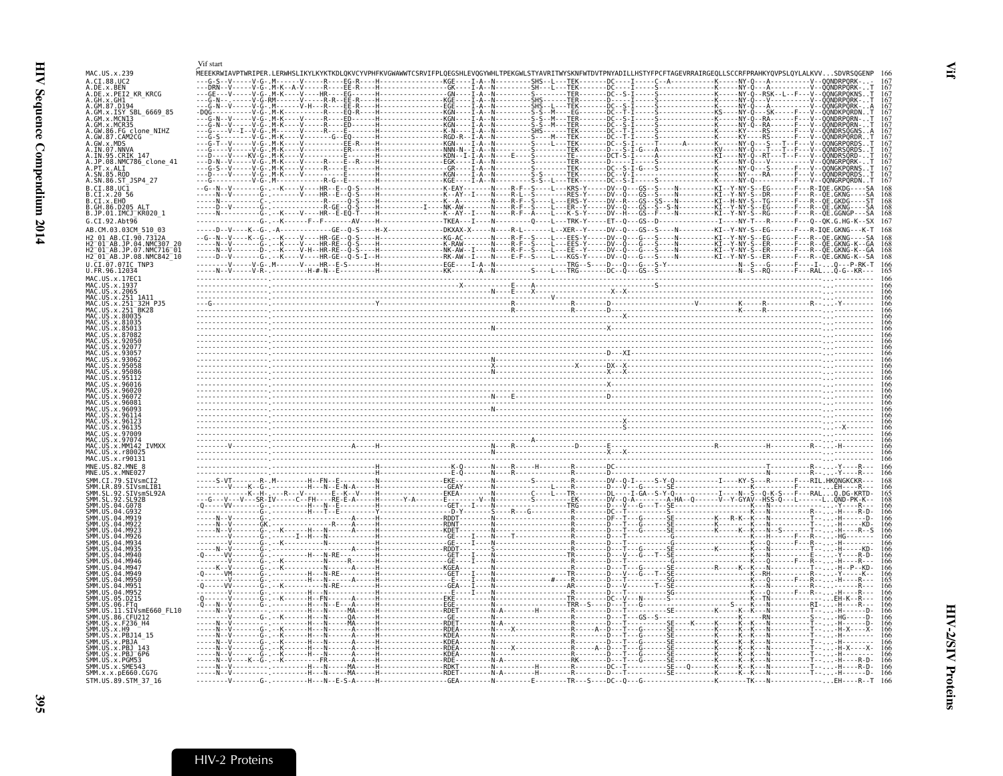<span id="page-16-1"></span><span id="page-16-0"></span>

|                                                                                    | Vif start |                                                                                                                                                                                                                                                                                                                                                                                                                                                               |                         |  |  |
|------------------------------------------------------------------------------------|-----------|---------------------------------------------------------------------------------------------------------------------------------------------------------------------------------------------------------------------------------------------------------------------------------------------------------------------------------------------------------------------------------------------------------------------------------------------------------------|-------------------------|--|--|
| MAC.US.x.239<br>A.CI.88.UC2                                                        |           | YEEEKRWIAVPTWRIPER.LERWHSLIKYLKYKTKDLQKVCYVPHFKVGWAWWTCSRVIFPLQEGSHLEVQGYWHLTPEKGWLSTYAVRITWYSKNFWTDVTPNYADILLHSTYFPCFTAGEVRRAIRGEQLLSCCRFPRAHKYQVPSLQYLALKVV.                                                                                                                                                                                                                                                                                                | H----------------KGF--- |  |  |
| A.DE.x.BEN<br>A.DE.x.PEI2_KR_KRCG<br>A.GH.x.GH1                                    |           | $\begin{minip{\textbf{0.1}}\begin{bmatrix} \textbf{0.1}}\textbf{0.2} \end{bmatrix} \begin{bmatrix} \textbf{0.3} \textbf{0.4} \end{bmatrix} \begin{bmatrix} \textbf{0.4} \textbf{0.4} \end{bmatrix} \begin{bmatrix} \textbf{0.4} \textbf{0.4} \end{bmatrix} \begin{bmatrix} \textbf{0.4} \textbf{0.4} \end{bmatrix} \begin{bmatrix} \textbf{0.4} \textbf{0.4} \end{bmatrix} \begin{bmatrix} \textbf{0.4} \textbf{0.4} \end{bmatrix} \begin{bmatrix} \textbf{0$ |                         |  |  |
|                                                                                    |           |                                                                                                                                                                                                                                                                                                                                                                                                                                                               |                         |  |  |
| A.GM.87.D194<br>A.GM.x.ISY SBL 6669 85                                             |           |                                                                                                                                                                                                                                                                                                                                                                                                                                                               |                         |  |  |
| MCR35                                                                              |           |                                                                                                                                                                                                                                                                                                                                                                                                                                                               |                         |  |  |
| A.GW.86.FG_clone_NIHZ<br>A.GW.87.CAM2CG                                            |           |                                                                                                                                                                                                                                                                                                                                                                                                                                                               |                         |  |  |
| A.GW.x.MDS<br>A.IN.07.NNVA                                                         |           |                                                                                                                                                                                                                                                                                                                                                                                                                                                               |                         |  |  |
| A.IN.95.CRIK 147                                                                   |           |                                                                                                                                                                                                                                                                                                                                                                                                                                                               |                         |  |  |
| A.JP.08.NMC786_clone_41<br>A. PT. x. ALT<br>A. SN. 85. ROD                         |           |                                                                                                                                                                                                                                                                                                                                                                                                                                                               |                         |  |  |
| A.SN.86.ST_JSP4_27                                                                 |           |                                                                                                                                                                                                                                                                                                                                                                                                                                                               |                         |  |  |
| B.CI.88.UC1<br>B.CI.x.20 56                                                        |           |                                                                                                                                                                                                                                                                                                                                                                                                                                                               |                         |  |  |
| B.CI.X.EHO<br>.86.D205<br>AL <sub>T</sub>                                          |           |                                                                                                                                                                                                                                                                                                                                                                                                                                                               |                         |  |  |
| B.JP.01.IMCJ KR020 1                                                               |           |                                                                                                                                                                                                                                                                                                                                                                                                                                                               |                         |  |  |
| G.CI.92.Abt96<br>AB.CM.03.03CM 510 03                                              |           | -V----K--G-, -A-------------GE--O-S----H-X-------------DKXAX-X-----N----R-L------L--XER--Y-----DV--O---GS--S----N----------KI--Y-NY-S--EG------F---R-                                                                                                                                                                                                                                                                                                         |                         |  |  |
| .CT.90.7312A                                                                       |           | --G--N--V----K--G-,--K----V----HR-GE--Q-S----H-------------KG-AC-------N----R-F--S---L---EES-Y-----DV--Q---G---S----N-----------KT--Y-NY-S--EG-------                                                                                                                                                                                                                                                                                                         |                         |  |  |
| JP.04.NMC307 20<br>H2 <sup>-</sup> 01 <sup>-</sup> AB.JP.07.NMC716 <sup>-</sup> 01 |           |                                                                                                                                                                                                                                                                                                                                                                                                                                                               |                         |  |  |
| H2 01 AB.JP.08.NMC842 10<br>U.CI.07.07IC TNP3                                      |           |                                                                                                                                                                                                                                                                                                                                                                                                                                                               |                         |  |  |
| U.FR.96.12034<br>MAC.US.x.17EC1                                                    |           | $\frac{1}{1}$                                                                                                                                                                                                                                                                                                                                                                                                                                                 |                         |  |  |
| MAC.US.x.1937<br>MAC US x 2065                                                     |           |                                                                                                                                                                                                                                                                                                                                                                                                                                                               |                         |  |  |
| 32H P.15                                                                           |           |                                                                                                                                                                                                                                                                                                                                                                                                                                                               |                         |  |  |
| BK28<br>US.x.251                                                                   |           |                                                                                                                                                                                                                                                                                                                                                                                                                                                               |                         |  |  |
| US.x.80035                                                                         |           |                                                                                                                                                                                                                                                                                                                                                                                                                                                               |                         |  |  |
|                                                                                    |           |                                                                                                                                                                                                                                                                                                                                                                                                                                                               |                         |  |  |
|                                                                                    |           |                                                                                                                                                                                                                                                                                                                                                                                                                                                               |                         |  |  |
|                                                                                    |           |                                                                                                                                                                                                                                                                                                                                                                                                                                                               |                         |  |  |
|                                                                                    |           |                                                                                                                                                                                                                                                                                                                                                                                                                                                               |                         |  |  |
|                                                                                    |           |                                                                                                                                                                                                                                                                                                                                                                                                                                                               |                         |  |  |
|                                                                                    |           |                                                                                                                                                                                                                                                                                                                                                                                                                                                               |                         |  |  |
|                                                                                    |           |                                                                                                                                                                                                                                                                                                                                                                                                                                                               |                         |  |  |
|                                                                                    |           |                                                                                                                                                                                                                                                                                                                                                                                                                                                               |                         |  |  |
|                                                                                    |           |                                                                                                                                                                                                                                                                                                                                                                                                                                                               |                         |  |  |
| <b>TVMXX</b>                                                                       |           |                                                                                                                                                                                                                                                                                                                                                                                                                                                               |                         |  |  |
|                                                                                    |           |                                                                                                                                                                                                                                                                                                                                                                                                                                                               |                         |  |  |
| US.82.MNE                                                                          |           |                                                                                                                                                                                                                                                                                                                                                                                                                                                               |                         |  |  |
|                                                                                    |           |                                                                                                                                                                                                                                                                                                                                                                                                                                                               |                         |  |  |
|                                                                                    |           |                                                                                                                                                                                                                                                                                                                                                                                                                                                               |                         |  |  |
|                                                                                    |           |                                                                                                                                                                                                                                                                                                                                                                                                                                                               |                         |  |  |
|                                                                                    |           |                                                                                                                                                                                                                                                                                                                                                                                                                                                               |                         |  |  |
|                                                                                    |           |                                                                                                                                                                                                                                                                                                                                                                                                                                                               |                         |  |  |
|                                                                                    |           |                                                                                                                                                                                                                                                                                                                                                                                                                                                               |                         |  |  |
|                                                                                    |           |                                                                                                                                                                                                                                                                                                                                                                                                                                                               |                         |  |  |
|                                                                                    |           |                                                                                                                                                                                                                                                                                                                                                                                                                                                               |                         |  |  |
|                                                                                    |           |                                                                                                                                                                                                                                                                                                                                                                                                                                                               |                         |  |  |
|                                                                                    |           |                                                                                                                                                                                                                                                                                                                                                                                                                                                               |                         |  |  |
| 05.D215                                                                            |           |                                                                                                                                                                                                                                                                                                                                                                                                                                                               |                         |  |  |
| .11.SIVsmE660 FL10                                                                 |           |                                                                                                                                                                                                                                                                                                                                                                                                                                                               |                         |  |  |
| .86.CFU212<br>US.x.F236 H4                                                         |           |                                                                                                                                                                                                                                                                                                                                                                                                                                                               |                         |  |  |
|                                                                                    |           |                                                                                                                                                                                                                                                                                                                                                                                                                                                               |                         |  |  |
| US.x.PBJ14 15<br>.x.PBJA                                                           |           |                                                                                                                                                                                                                                                                                                                                                                                                                                                               |                         |  |  |
| US.x.PBJ<br>.x.PBJ <sup>-</sup> 6P6                                                |           |                                                                                                                                                                                                                                                                                                                                                                                                                                                               |                         |  |  |
| U.S. x. PGM53<br>SMM. US. x. SME543                                                |           |                                                                                                                                                                                                                                                                                                                                                                                                                                                               |                         |  |  |
| SMM.x.x.pE660.CG7G<br>STM.US.89.STM 37 16                                          |           |                                                                                                                                                                                                                                                                                                                                                                                                                                                               |                         |  |  |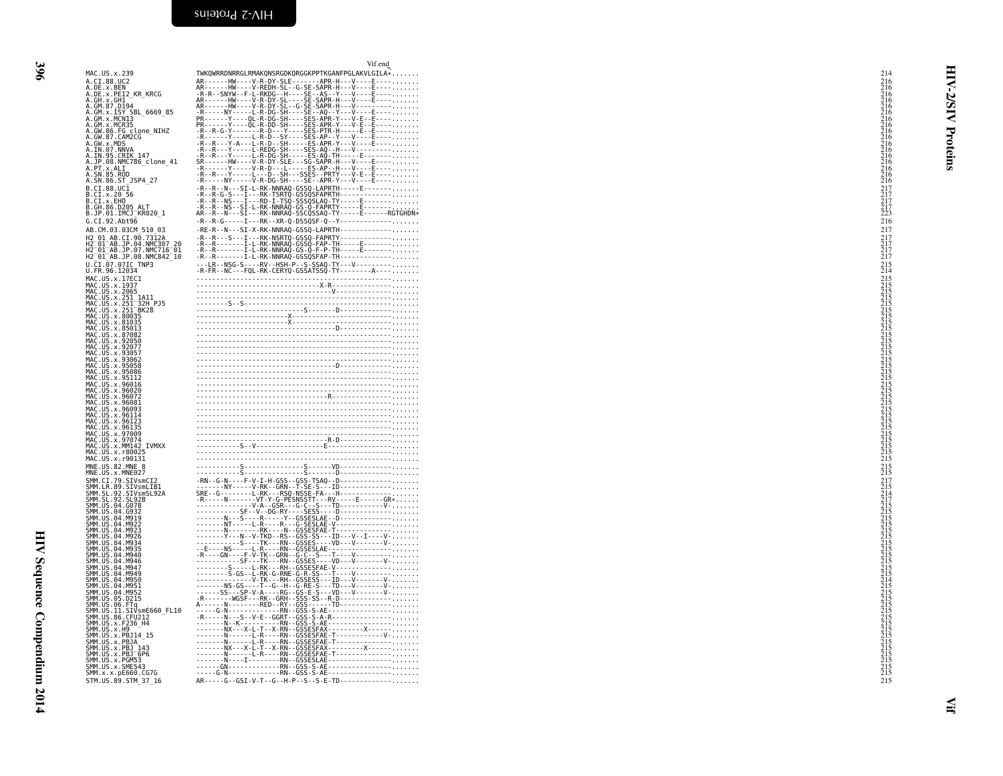HIV Sequence Compendium 2014 HIV Sequence Compendium 2014

<span id="page-17-0"></span>

| MAC.US.x.239                                                                                                                                                           | Vif end<br>TWKQWRRDNRRGLRMAKQNSRGDKQRGGKPPTKGANFPGLAKVLGILA*                                                                                                                                                                                                                                                                                                                          | 214                                                            |
|------------------------------------------------------------------------------------------------------------------------------------------------------------------------|---------------------------------------------------------------------------------------------------------------------------------------------------------------------------------------------------------------------------------------------------------------------------------------------------------------------------------------------------------------------------------------|----------------------------------------------------------------|
| .<br>A.CI.88.UC2<br>A.DE.x.BEN<br>A.DE.x.PEI2_KR_KRCG                                                                                                                  |                                                                                                                                                                                                                                                                                                                                                                                       | ⋖                                                              |
| A.GH.x.GH1                                                                                                                                                             |                                                                                                                                                                                                                                                                                                                                                                                       | <b>S/S</b>                                                     |
|                                                                                                                                                                        |                                                                                                                                                                                                                                                                                                                                                                                       |                                                                |
|                                                                                                                                                                        |                                                                                                                                                                                                                                                                                                                                                                                       | ₹                                                              |
| A.GW.86.FG_clone_NIHZ                                                                                                                                                  |                                                                                                                                                                                                                                                                                                                                                                                       |                                                                |
| A.GW.87.CAM2CG<br>A.GW.x.MDS                                                                                                                                           |                                                                                                                                                                                                                                                                                                                                                                                       | Proteins                                                       |
|                                                                                                                                                                        |                                                                                                                                                                                                                                                                                                                                                                                       |                                                                |
| A.IN.07.NNVA<br>A.IN.07.NNVA<br>A.IN.95.CRIK 147<br>A.PT.x.ALI<br>A.PT.x.ALI                                                                                           |                                                                                                                                                                                                                                                                                                                                                                                       |                                                                |
| .SN.85.ROD<br>A.SN.86.ST JSP4 27                                                                                                                                       | -R-----NY-----V-R-DG-SH----SE--APR-Y---V----E----                                                                                                                                                                                                                                                                                                                                     |                                                                |
| B.CI.88.UCI<br>B.CI.x.20 56<br>B.CI.x.EHO                                                                                                                              |                                                                                                                                                                                                                                                                                                                                                                                       | $\begin{array}{c} 217 \\ 217 \\ 217 \\ 217 \\ 223 \end{array}$ |
| <b>B.GH.86.D205 ALT</b>                                                                                                                                                |                                                                                                                                                                                                                                                                                                                                                                                       |                                                                |
| B.JP.01.IMCJ <sup>-</sup> KR020 1                                                                                                                                      |                                                                                                                                                                                                                                                                                                                                                                                       |                                                                |
| G.CI.92.Abt96<br>AB.CM.03.03CM 510 03                                                                                                                                  | $-R - R - G - - - - I - - RK - XR - Q - DSSQSF - Q - Y - - - - - - - - - - - - - - - - - - -$<br>-RE-R--N---SI-X-RK-NNRAQ-GSSQ-LAPRTH-------------                                                                                                                                                                                                                                    | 216<br>217                                                     |
| H2 01 AB.CI.90.7312A                                                                                                                                                   |                                                                                                                                                                                                                                                                                                                                                                                       | $\frac{217}{217}$<br>$\frac{217}{217}$                         |
| H2-01-AB.JP.04.NMC307-20<br>H2-01-AB.JP.04.NMC307-20<br>H2-01-AB.JP.08.NMC842-10                                                                                       |                                                                                                                                                                                                                                                                                                                                                                                       |                                                                |
| U.CI.07.07IC TNP3<br>U.FR.96.12034                                                                                                                                     |                                                                                                                                                                                                                                                                                                                                                                                       | $^{215}_{214}$                                                 |
| MAC.US.x.17EC1                                                                                                                                                         |                                                                                                                                                                                                                                                                                                                                                                                       |                                                                |
| MAC.US.x.1937                                                                                                                                                          |                                                                                                                                                                                                                                                                                                                                                                                       |                                                                |
|                                                                                                                                                                        |                                                                                                                                                                                                                                                                                                                                                                                       |                                                                |
| mAC.US.x.1937<br>MAC.US.x.2965<br>MAC.US.x.251 1A11<br>MAC.US.x.251 BK28<br>MAC.US.x.251 BK28<br>MAC.US.x.80035<br>MAC.US.x.80035<br>MAC.US.x.80035                    |                                                                                                                                                                                                                                                                                                                                                                                       |                                                                |
| MAC.US.x.85013                                                                                                                                                         |                                                                                                                                                                                                                                                                                                                                                                                       |                                                                |
|                                                                                                                                                                        |                                                                                                                                                                                                                                                                                                                                                                                       |                                                                |
| MAC.US.x.83082<br>MAC.US.x.87082<br>MAC.US.x.92050<br>MAC.US.x.93057<br>MAC.US.x.93062                                                                                 | $\begin{picture}(100,100)(0,0) \put(0,0){\vector(1,0){100}} \put(10,0){\vector(1,0){100}} \put(10,0){\vector(1,0){100}} \put(10,0){\vector(1,0){100}} \put(10,0){\vector(1,0){100}} \put(10,0){\vector(1,0){100}} \put(10,0){\vector(1,0){100}} \put(10,0){\vector(1,0){100}} \put(10,0){\vector(1,0){100}} \put(10,0){\vector(1,0){100}} \put(10,0){\vector(1,0$                     |                                                                |
| MAC.US.x.95058                                                                                                                                                         |                                                                                                                                                                                                                                                                                                                                                                                       |                                                                |
| MAC.US.x.95086                                                                                                                                                         |                                                                                                                                                                                                                                                                                                                                                                                       |                                                                |
| MAC.US.x.35112<br>MAC.US.x.96016<br>MAC.US.x.96020<br>MAC.US.x.96072                                                                                                   |                                                                                                                                                                                                                                                                                                                                                                                       |                                                                |
| MAC.US.x.96081                                                                                                                                                         |                                                                                                                                                                                                                                                                                                                                                                                       |                                                                |
| MAC.US.x.96093<br>MAC.US.x.96114                                                                                                                                       |                                                                                                                                                                                                                                                                                                                                                                                       |                                                                |
|                                                                                                                                                                        |                                                                                                                                                                                                                                                                                                                                                                                       |                                                                |
| MAC.US.x.96123<br>MAC.US.x.96135<br>MAC.US.x.97009<br>MAC.US.x.97074                                                                                                   |                                                                                                                                                                                                                                                                                                                                                                                       |                                                                |
| MAČ.ŪŠ.x.MM142 IVMXX<br>MAC.US.x.r80025                                                                                                                                |                                                                                                                                                                                                                                                                                                                                                                                       |                                                                |
| MAC.US.x.r90131                                                                                                                                                        |                                                                                                                                                                                                                                                                                                                                                                                       |                                                                |
| MNE.US.82.MNE_8<br>MNE.US.x.MNE027                                                                                                                                     |                                                                                                                                                                                                                                                                                                                                                                                       | $^{215}_{215}$                                                 |
| SMM.CI.79.SIVsmCI2                                                                                                                                                     |                                                                                                                                                                                                                                                                                                                                                                                       |                                                                |
|                                                                                                                                                                        |                                                                                                                                                                                                                                                                                                                                                                                       |                                                                |
| SMM . C.I. /9. SIVSMCIZ<br>SMM . ER. 89. SIVSMLIB1<br>SMM . SL. 92. SIVSMSL92A<br>SMM . US. 04. G078<br>SMM . US. 04. G932<br>SMM . US. 04. M919<br>SMM . US. 04. M919 |                                                                                                                                                                                                                                                                                                                                                                                       |                                                                |
| SMM.US.04.M922                                                                                                                                                         |                                                                                                                                                                                                                                                                                                                                                                                       |                                                                |
| SMM.US.04.M923                                                                                                                                                         |                                                                                                                                                                                                                                                                                                                                                                                       |                                                                |
| ŠMM.UŠ.04.M926<br>SMM.US.04.M934<br>SMM.US.04.M935                                                                                                                     |                                                                                                                                                                                                                                                                                                                                                                                       |                                                                |
| SMM. US. 04. M940<br>SMM.US.04.M946                                                                                                                                    |                                                                                                                                                                                                                                                                                                                                                                                       |                                                                |
| SMM.US.04.M947                                                                                                                                                         |                                                                                                                                                                                                                                                                                                                                                                                       |                                                                |
| SMM. US. 04. M949<br>SMM. US. 04. M950<br>SMM. US. 04. M951<br>SMM. US. 04. M952                                                                                       |                                                                                                                                                                                                                                                                                                                                                                                       |                                                                |
| SMM.US.05.D215                                                                                                                                                         |                                                                                                                                                                                                                                                                                                                                                                                       |                                                                |
| SMM.US.09.12115<br>SMM.US.06.FTq<br>SMM.US.11.SIVsmE660_FL10<br>SMM.US.86.CFU212<br>SMM.US.x.P9<br>SMM.US.x.P9<br>SMM.US.x.P914_15                                     |                                                                                                                                                                                                                                                                                                                                                                                       |                                                                |
|                                                                                                                                                                        |                                                                                                                                                                                                                                                                                                                                                                                       |                                                                |
|                                                                                                                                                                        |                                                                                                                                                                                                                                                                                                                                                                                       |                                                                |
| SMM.US.x.PBJA                                                                                                                                                          |                                                                                                                                                                                                                                                                                                                                                                                       |                                                                |
| SMM.US.x.PBJ 143<br>SMM.US.x.PBJ 143<br>SMM.US.x.PGM53<br>SMM.US.x.PGM542                                                                                              |                                                                                                                                                                                                                                                                                                                                                                                       |                                                                |
| SMM.US.x.SME543<br>ŠMM.x.x.pE660.CG7G                                                                                                                                  |                                                                                                                                                                                                                                                                                                                                                                                       |                                                                |
| STM.US.89.STM 37 16                                                                                                                                                    | $R_{1,1} = \begin{bmatrix} 1 & 0 & 0 & 0 \\ 0 & 0 & 0 & 0 \\ 0 & 0 & 0 & 0 \\ 0 & 0 & 0 & 0 \\ 0 & 0 & 0 & 0 \\ 0 & 0 & 0 & 0 \\ 0 & 0 & 0 & 0 \\ 0 & 0 & 0 & 0 \\ 0 & 0 & 0 & 0 \\ 0 & 0 & 0 & 0 \\ 0 & 0 & 0 & 0 \\ 0 & 0 & 0 & 0 \\ 0 & 0 & 0 & 0 \\ 0 & 0 & 0 & 0 \\ 0 & 0 & 0 & 0 \\ 0 & 0 & 0 & 0 \\ 0 & 0 & 0 & 0 \\ 0 &$<br>AR-----G--GSI-V-T--G--H-P--S--S-E-TD------------- | 215                                                            |
|                                                                                                                                                                        |                                                                                                                                                                                                                                                                                                                                                                                       |                                                                |
|                                                                                                                                                                        |                                                                                                                                                                                                                                                                                                                                                                                       |                                                                |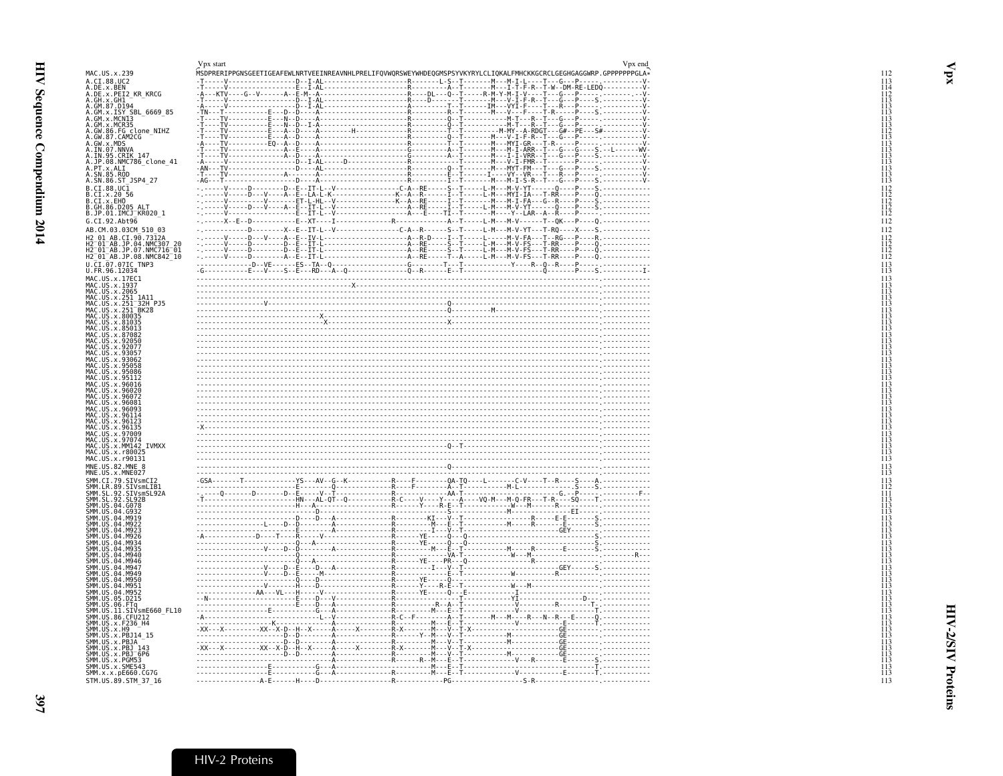<span id="page-18-1"></span><span id="page-18-0"></span>

|                                                                                                                                                                                                                                                                    | Vpx start                                                                                                                                                                                                                                                                                                                                                                                                                                                                                            | Vpx end |
|--------------------------------------------------------------------------------------------------------------------------------------------------------------------------------------------------------------------------------------------------------------------|------------------------------------------------------------------------------------------------------------------------------------------------------------------------------------------------------------------------------------------------------------------------------------------------------------------------------------------------------------------------------------------------------------------------------------------------------------------------------------------------------|---------|
| MAC.US.x.239                                                                                                                                                                                                                                                       | MSDPRERIPPGNSGEETIGEAFEWLNRTVEEINREAVNHLPRELIFQVWQRSWEYWHDEQGMSPSYVKYRYLCLIQKALFMHCKKGCRCLGEGHGAGGWRP.GPPPPPPPGLA*                                                                                                                                                                                                                                                                                                                                                                                   |         |
| A.CI.88.UC2<br>A.DE.x.BEN                                                                                                                                                                                                                                          |                                                                                                                                                                                                                                                                                                                                                                                                                                                                                                      |         |
| A.DE.x.PEI2 KR KRCG                                                                                                                                                                                                                                                |                                                                                                                                                                                                                                                                                                                                                                                                                                                                                                      |         |
|                                                                                                                                                                                                                                                                    |                                                                                                                                                                                                                                                                                                                                                                                                                                                                                                      |         |
| A.DE.x.PET2_KR_KRCG<br>A.GH.x.GH1<br>A.GM.x.ISY_5BL_6669_85<br>A.GM.x.ISY_5BL_6669_85<br>A.GM.x.MCN13<br>A.GM.x.MCR35<br>A.GM.x.MOS<br>A.GM.87.CARCCG<br>A.GW.87.CARCCGC_CLOR<br>A.GW.87.CARCCGC_CLOR<br>A.TN.95.CRKC147<br>A.TN.95.CRKC147<br>A.DP.98.NMC786_CLOR |                                                                                                                                                                                                                                                                                                                                                                                                                                                                                                      |         |
|                                                                                                                                                                                                                                                                    |                                                                                                                                                                                                                                                                                                                                                                                                                                                                                                      |         |
|                                                                                                                                                                                                                                                                    |                                                                                                                                                                                                                                                                                                                                                                                                                                                                                                      |         |
|                                                                                                                                                                                                                                                                    |                                                                                                                                                                                                                                                                                                                                                                                                                                                                                                      |         |
|                                                                                                                                                                                                                                                                    |                                                                                                                                                                                                                                                                                                                                                                                                                                                                                                      |         |
|                                                                                                                                                                                                                                                                    |                                                                                                                                                                                                                                                                                                                                                                                                                                                                                                      |         |
|                                                                                                                                                                                                                                                                    |                                                                                                                                                                                                                                                                                                                                                                                                                                                                                                      |         |
| A. SN.85.ROD<br>A. SN.86.ST_JSP4_27                                                                                                                                                                                                                                |                                                                                                                                                                                                                                                                                                                                                                                                                                                                                                      |         |
| B.CI.88.UC1                                                                                                                                                                                                                                                        |                                                                                                                                                                                                                                                                                                                                                                                                                                                                                                      |         |
| B.CI.x.20 56<br>B.CI.x.EHO<br>B.GH.86.D205_ALT                                                                                                                                                                                                                     |                                                                                                                                                                                                                                                                                                                                                                                                                                                                                                      |         |
| B.JP.01.IMCJ <sup>-</sup> KR020 1                                                                                                                                                                                                                                  |                                                                                                                                                                                                                                                                                                                                                                                                                                                                                                      |         |
| G.CI.92.Abt96                                                                                                                                                                                                                                                      |                                                                                                                                                                                                                                                                                                                                                                                                                                                                                                      |         |
| AB.CM.03.03CM 510 03                                                                                                                                                                                                                                               |                                                                                                                                                                                                                                                                                                                                                                                                                                                                                                      |         |
|                                                                                                                                                                                                                                                                    |                                                                                                                                                                                                                                                                                                                                                                                                                                                                                                      |         |
|                                                                                                                                                                                                                                                                    |                                                                                                                                                                                                                                                                                                                                                                                                                                                                                                      |         |
| H2 01 AB.CI.90.7312A<br>H2 01 AB.CI.90.7312A<br>H2 01 AB.JP.04.NMC307 20<br>H2 01 AB.JP.07.NMC716 01<br>H2 01 AB.JP.08.NMC842 10                                                                                                                                   |                                                                                                                                                                                                                                                                                                                                                                                                                                                                                                      |         |
| U.CI.07.07IC TNP3<br>U.FR.96.12034                                                                                                                                                                                                                                 |                                                                                                                                                                                                                                                                                                                                                                                                                                                                                                      |         |
| MAC.US.x.17EC1                                                                                                                                                                                                                                                     |                                                                                                                                                                                                                                                                                                                                                                                                                                                                                                      |         |
| MAC.US.x.1937                                                                                                                                                                                                                                                      | $\begin{minipage}{0.99\textwidth} \begin{minipage}{0.99\textwidth} \begin{minipage}{0.99\textwidth} \begin{minipage}{0.99\textwidth} \begin{minipage}{0.99\textwidth} \begin{minipage}{0.99\textwidth} \begin{minipage}{0.99\textwidth} \begin{minipage}{0.99\textwidth} \begin{minipage}{0.99\textwidth} \begin{minipage}{0.99\textwidth} \begin{minipage}{0.99\textwidth} \begin{minipage}{0.99\textwidth} \begin{minipage}{0.99\textwidth} \begin{minipage}{0.99\textwidth} \begin{minipage}{0.9$ |         |
|                                                                                                                                                                                                                                                                    |                                                                                                                                                                                                                                                                                                                                                                                                                                                                                                      |         |
|                                                                                                                                                                                                                                                                    |                                                                                                                                                                                                                                                                                                                                                                                                                                                                                                      |         |
| PIAC. US. x. 1935<br>MAC. US. x. 251<br>MAC. US. x. 251 1A11<br>MAC. US. x. 251 132H<br>PIAC. US. x. 251 BK28<br>MAC. US. x. 80035<br>MAC. US. x. 81035<br>MAC. US. x. 85033<br>MAC. US. x. 85033<br>MAC. US. x. 85033                                             |                                                                                                                                                                                                                                                                                                                                                                                                                                                                                                      |         |
|                                                                                                                                                                                                                                                                    |                                                                                                                                                                                                                                                                                                                                                                                                                                                                                                      |         |
|                                                                                                                                                                                                                                                                    |                                                                                                                                                                                                                                                                                                                                                                                                                                                                                                      |         |
| MAC.US.x.87082<br>MAC.US.x.92050                                                                                                                                                                                                                                   |                                                                                                                                                                                                                                                                                                                                                                                                                                                                                                      |         |
| MAC. US. x. 92077<br>MAC. US. x. 93057                                                                                                                                                                                                                             |                                                                                                                                                                                                                                                                                                                                                                                                                                                                                                      |         |
| MAC.US.x.93062<br>MAC.US.x.93062                                                                                                                                                                                                                                   |                                                                                                                                                                                                                                                                                                                                                                                                                                                                                                      |         |
| MAC.US.x.95086<br>MAC.US.x.95086                                                                                                                                                                                                                                   | and the state of the state of the state of the state of the state of the state of the state of the                                                                                                                                                                                                                                                                                                                                                                                                   |         |
|                                                                                                                                                                                                                                                                    |                                                                                                                                                                                                                                                                                                                                                                                                                                                                                                      |         |
| MAC.US.x.96016<br>MAC.US.x.96020                                                                                                                                                                                                                                   |                                                                                                                                                                                                                                                                                                                                                                                                                                                                                                      |         |
| MAC.US.x.96072<br>MAC.US.x.96081                                                                                                                                                                                                                                   |                                                                                                                                                                                                                                                                                                                                                                                                                                                                                                      |         |
| MAC.US.x.96093<br>MAC.US.x.96114<br>MAC.US.x.96123                                                                                                                                                                                                                 |                                                                                                                                                                                                                                                                                                                                                                                                                                                                                                      |         |
|                                                                                                                                                                                                                                                                    |                                                                                                                                                                                                                                                                                                                                                                                                                                                                                                      |         |
| MAC.US.x.96135                                                                                                                                                                                                                                                     |                                                                                                                                                                                                                                                                                                                                                                                                                                                                                                      |         |
| MAC.US.x.97009<br>MAC.US.x.97074<br>MAC.US.x.MM142_IVMXX                                                                                                                                                                                                           |                                                                                                                                                                                                                                                                                                                                                                                                                                                                                                      |         |
| MAC.US.x.r80025                                                                                                                                                                                                                                                    |                                                                                                                                                                                                                                                                                                                                                                                                                                                                                                      |         |
| MAC.US.x.r90131                                                                                                                                                                                                                                                    |                                                                                                                                                                                                                                                                                                                                                                                                                                                                                                      |         |
| MNE.US.82.MNE 8<br>MNE.US.x.MNE027                                                                                                                                                                                                                                 |                                                                                                                                                                                                                                                                                                                                                                                                                                                                                                      |         |
| SMM.CI.79.SIVsmCI2                                                                                                                                                                                                                                                 |                                                                                                                                                                                                                                                                                                                                                                                                                                                                                                      |         |
| SMM.LR.89.SIVSmLIB1<br>SMM.SL.92.SIVSmLIB1<br>SMM.SL.92.SL92B                                                                                                                                                                                                      |                                                                                                                                                                                                                                                                                                                                                                                                                                                                                                      |         |
|                                                                                                                                                                                                                                                                    |                                                                                                                                                                                                                                                                                                                                                                                                                                                                                                      |         |
| SMM. US. 04. G078                                                                                                                                                                                                                                                  |                                                                                                                                                                                                                                                                                                                                                                                                                                                                                                      |         |
| SMM. US. 04. G932<br>SMM. US. 04. M919<br>SMM. US. 04. M922                                                                                                                                                                                                        |                                                                                                                                                                                                                                                                                                                                                                                                                                                                                                      |         |
| SMM. U.S. 04. M923                                                                                                                                                                                                                                                 |                                                                                                                                                                                                                                                                                                                                                                                                                                                                                                      |         |
| SMM. U.S. 04. M926                                                                                                                                                                                                                                                 |                                                                                                                                                                                                                                                                                                                                                                                                                                                                                                      |         |
| SMM. US. 04. M934<br>SMM. U.S. 04. M935                                                                                                                                                                                                                            |                                                                                                                                                                                                                                                                                                                                                                                                                                                                                                      |         |
| SMM. US. 04. M940                                                                                                                                                                                                                                                  |                                                                                                                                                                                                                                                                                                                                                                                                                                                                                                      |         |
| SMM. US. 04. M946<br>SMM. US. 04. M947                                                                                                                                                                                                                             |                                                                                                                                                                                                                                                                                                                                                                                                                                                                                                      |         |
| SMM. US. 04. M949<br>SMM. US. 04. M950                                                                                                                                                                                                                             | $\frac{1}{1} \cdot \frac{1}{1} \cdot \frac{1}{1} \cdot \frac{1}{1} \cdot \frac{1}{1} \cdot \frac{1}{1} \cdot \frac{1}{1} \cdot \frac{1}{1} \cdot \frac{1}{1} \cdot \frac{1}{1} \cdot \frac{1}{1} \cdot \frac{1}{1} \cdot \frac{1}{1} \cdot \frac{1}{1} \cdot \frac{1}{1} \cdot \frac{1}{1} \cdot \frac{1}{1} \cdot \frac{1}{1} \cdot \frac{1}{1} \cdot \frac{1}{1} \cdot \frac{1}{1} \cdot \frac{1}{1} \cdot \frac{1}{1} \cdot \frac{1}{1} \cdot \frac{1$                                            |         |
| SMM.US.04.M951                                                                                                                                                                                                                                                     |                                                                                                                                                                                                                                                                                                                                                                                                                                                                                                      |         |
| SMM. US.04.M952<br>SMM. US. 05. D215                                                                                                                                                                                                                               |                                                                                                                                                                                                                                                                                                                                                                                                                                                                                                      |         |
| SMM.US.06.FTq                                                                                                                                                                                                                                                      |                                                                                                                                                                                                                                                                                                                                                                                                                                                                                                      |         |
| SMM.US.11.SIVsmE660 FL10                                                                                                                                                                                                                                           |                                                                                                                                                                                                                                                                                                                                                                                                                                                                                                      |         |
|                                                                                                                                                                                                                                                                    |                                                                                                                                                                                                                                                                                                                                                                                                                                                                                                      |         |
| SMM . US . 11. S11Vsmeton<br>SMM . US . 86. CFU212<br>SMM . US . x. F236_H4<br>SMM . US . x. PB . 11<br>SMM . US . x. PB . 14<br>SMM . US . x. PB . 143<br>SMM . US . x . PB . 169<br>SMM . US . x . PGM53<br>SMM . US . x . PGM53<br>SMM . US . x . PGM5          |                                                                                                                                                                                                                                                                                                                                                                                                                                                                                                      |         |
|                                                                                                                                                                                                                                                                    |                                                                                                                                                                                                                                                                                                                                                                                                                                                                                                      |         |
|                                                                                                                                                                                                                                                                    |                                                                                                                                                                                                                                                                                                                                                                                                                                                                                                      |         |
| SMM. US. x. SME543                                                                                                                                                                                                                                                 |                                                                                                                                                                                                                                                                                                                                                                                                                                                                                                      |         |
| SMM.x.x.pE660.CG7G                                                                                                                                                                                                                                                 |                                                                                                                                                                                                                                                                                                                                                                                                                                                                                                      |         |
| STM.US.89.STM 37 16                                                                                                                                                                                                                                                |                                                                                                                                                                                                                                                                                                                                                                                                                                                                                                      |         |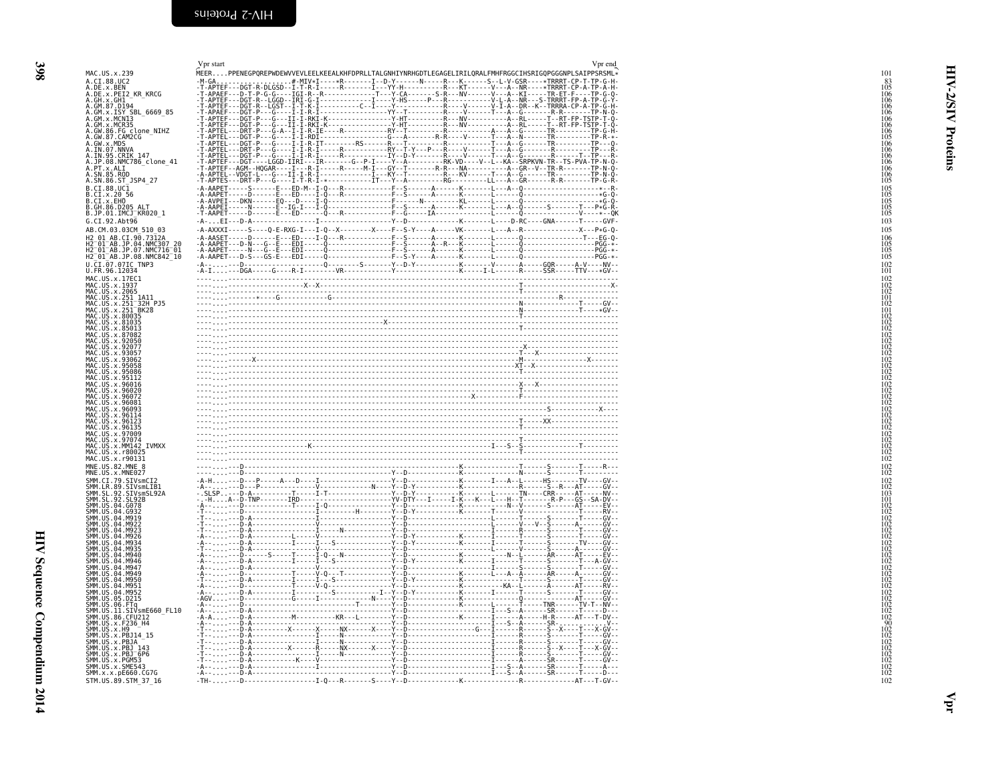| MAC. US. x, 2018. A. C. 2018. A. 2018. A. 2018. A. 2018. A. 2018. A. 2018. A. 2018. A. 2018. A. 2018. A. 2018. A. 2018. A. 2018. A. 2018. A. 2018. A. 2018. A. 2018. A. 2018. A. 2018. A. 2018. A. 2018. A. 2018. A. 2018. A.<br>HIV Sequence Compendium 2014 | 398 |  |
|---------------------------------------------------------------------------------------------------------------------------------------------------------------------------------------------------------------------------------------------------------------|-----|--|
|                                                                                                                                                                                                                                                               |     |  |
|                                                                                                                                                                                                                                                               |     |  |
|                                                                                                                                                                                                                                                               |     |  |
|                                                                                                                                                                                                                                                               |     |  |
|                                                                                                                                                                                                                                                               |     |  |
|                                                                                                                                                                                                                                                               |     |  |

<span id="page-19-0"></span>

| .US.x.239<br>I.88.UC2<br>.x.BEN<br>.x.PEI2_KR_KRCG<br>E. X. PELZ_NN_NNCO<br>H. 87. D194<br>M. X. ISY SBL_6669_85<br>M. X. MCN13<br>M. X. MCR35<br>W. 86. FG_clone_NIHZ<br>W. X. MDS<br>W. X. MDS<br>W.x.MDS<br>N.07.NNVA<br>N.95.CRIK 147<br>P.08.NMC786 clone 41<br>.x.ALI<br>N.85.ROD<br>N.86.ST_JSP4_27<br>I.88.UCĪ<br>I.x. <u>20</u> _56<br>İ.X.ÉHO<br>H.86.D205 ALT<br>P.01.IMCJ <sup>-</sup> KR020 1<br>I.92.Abt96<br>CM.03.03CM 510 03<br>01 AB.CI.90.7312A<br>01 AB.JP.04.NMC307 20<br>01 AB.JP.07.NMC716 01<br>01 AB.JP.08.NMC842 10<br>I.07.07IC TNP3<br>R.96.12034<br>.US.x.17EC1<br>US.x.1937<br>US x 2065<br>US.x.251 1A11<br>US.x.251 32H PJ5<br>US.x.251 BK28<br>US.x.80035<br>US.x.81035<br>US.x.85013<br>US.x.87082<br>us<br>.x.96016<br>US<br>.x.96020<br>US.x.<br>US.x.96114<br>US.x.96135<br>US.x.97009<br>US.x.97074<br>US.x.MM142<br>IVMXX<br>US.x.r80025<br>US.x.r90131<br>US.82.MNE 8<br>US.x.MNE027<br>CI.79.SIVsmCI2<br>LR.89.SIVsmLIB1<br>SL.92.SIVsmSL92A<br>SL.92.SL92B<br>US.04.G078<br>US.04.G932<br><b>US</b><br>04.M919<br>04 M922<br>US<br>US.<br>US.04.M935<br>US<br>04<br>04<br>04<br>04.M950<br>US.04.M951<br>US.04.M952<br>US<br>.05.D215<br>.US.06.FTq<br>.US.06.FTq<br>.US.11.SIVsmE660_FL10<br>.US.x.F236_H4<br>.US.x.F236_H4<br>US.x.H9<br>US.x.PBJ14_15<br>US.x.PBJA<br>US.X.PBJ 143<br>US.x.PBJ <sup>-6P6</sup><br>US.x.PGM53<br>US.x.SME543<br>x.x.pE660.CG7G<br>US.89.STM 37 16 | Vpr start |  | Vpr end |
|-------------------------------------------------------------------------------------------------------------------------------------------------------------------------------------------------------------------------------------------------------------------------------------------------------------------------------------------------------------------------------------------------------------------------------------------------------------------------------------------------------------------------------------------------------------------------------------------------------------------------------------------------------------------------------------------------------------------------------------------------------------------------------------------------------------------------------------------------------------------------------------------------------------------------------------------------------------------------------------------------------------------------------------------------------------------------------------------------------------------------------------------------------------------------------------------------------------------------------------------------------------------------------------------------------------------------------------------------------------------------------------------------------------------------------|-----------|--|---------|
|                                                                                                                                                                                                                                                                                                                                                                                                                                                                                                                                                                                                                                                                                                                                                                                                                                                                                                                                                                                                                                                                                                                                                                                                                                                                                                                                                                                                                               |           |  |         |
|                                                                                                                                                                                                                                                                                                                                                                                                                                                                                                                                                                                                                                                                                                                                                                                                                                                                                                                                                                                                                                                                                                                                                                                                                                                                                                                                                                                                                               |           |  |         |
|                                                                                                                                                                                                                                                                                                                                                                                                                                                                                                                                                                                                                                                                                                                                                                                                                                                                                                                                                                                                                                                                                                                                                                                                                                                                                                                                                                                                                               |           |  |         |
|                                                                                                                                                                                                                                                                                                                                                                                                                                                                                                                                                                                                                                                                                                                                                                                                                                                                                                                                                                                                                                                                                                                                                                                                                                                                                                                                                                                                                               |           |  |         |
|                                                                                                                                                                                                                                                                                                                                                                                                                                                                                                                                                                                                                                                                                                                                                                                                                                                                                                                                                                                                                                                                                                                                                                                                                                                                                                                                                                                                                               |           |  |         |
|                                                                                                                                                                                                                                                                                                                                                                                                                                                                                                                                                                                                                                                                                                                                                                                                                                                                                                                                                                                                                                                                                                                                                                                                                                                                                                                                                                                                                               |           |  |         |
|                                                                                                                                                                                                                                                                                                                                                                                                                                                                                                                                                                                                                                                                                                                                                                                                                                                                                                                                                                                                                                                                                                                                                                                                                                                                                                                                                                                                                               |           |  |         |
|                                                                                                                                                                                                                                                                                                                                                                                                                                                                                                                                                                                                                                                                                                                                                                                                                                                                                                                                                                                                                                                                                                                                                                                                                                                                                                                                                                                                                               |           |  |         |
|                                                                                                                                                                                                                                                                                                                                                                                                                                                                                                                                                                                                                                                                                                                                                                                                                                                                                                                                                                                                                                                                                                                                                                                                                                                                                                                                                                                                                               |           |  |         |
|                                                                                                                                                                                                                                                                                                                                                                                                                                                                                                                                                                                                                                                                                                                                                                                                                                                                                                                                                                                                                                                                                                                                                                                                                                                                                                                                                                                                                               |           |  |         |
|                                                                                                                                                                                                                                                                                                                                                                                                                                                                                                                                                                                                                                                                                                                                                                                                                                                                                                                                                                                                                                                                                                                                                                                                                                                                                                                                                                                                                               |           |  |         |
|                                                                                                                                                                                                                                                                                                                                                                                                                                                                                                                                                                                                                                                                                                                                                                                                                                                                                                                                                                                                                                                                                                                                                                                                                                                                                                                                                                                                                               |           |  |         |
|                                                                                                                                                                                                                                                                                                                                                                                                                                                                                                                                                                                                                                                                                                                                                                                                                                                                                                                                                                                                                                                                                                                                                                                                                                                                                                                                                                                                                               |           |  |         |
|                                                                                                                                                                                                                                                                                                                                                                                                                                                                                                                                                                                                                                                                                                                                                                                                                                                                                                                                                                                                                                                                                                                                                                                                                                                                                                                                                                                                                               |           |  |         |
|                                                                                                                                                                                                                                                                                                                                                                                                                                                                                                                                                                                                                                                                                                                                                                                                                                                                                                                                                                                                                                                                                                                                                                                                                                                                                                                                                                                                                               |           |  |         |
|                                                                                                                                                                                                                                                                                                                                                                                                                                                                                                                                                                                                                                                                                                                                                                                                                                                                                                                                                                                                                                                                                                                                                                                                                                                                                                                                                                                                                               |           |  |         |
|                                                                                                                                                                                                                                                                                                                                                                                                                                                                                                                                                                                                                                                                                                                                                                                                                                                                                                                                                                                                                                                                                                                                                                                                                                                                                                                                                                                                                               |           |  |         |
|                                                                                                                                                                                                                                                                                                                                                                                                                                                                                                                                                                                                                                                                                                                                                                                                                                                                                                                                                                                                                                                                                                                                                                                                                                                                                                                                                                                                                               |           |  |         |
|                                                                                                                                                                                                                                                                                                                                                                                                                                                                                                                                                                                                                                                                                                                                                                                                                                                                                                                                                                                                                                                                                                                                                                                                                                                                                                                                                                                                                               |           |  |         |
|                                                                                                                                                                                                                                                                                                                                                                                                                                                                                                                                                                                                                                                                                                                                                                                                                                                                                                                                                                                                                                                                                                                                                                                                                                                                                                                                                                                                                               |           |  |         |
|                                                                                                                                                                                                                                                                                                                                                                                                                                                                                                                                                                                                                                                                                                                                                                                                                                                                                                                                                                                                                                                                                                                                                                                                                                                                                                                                                                                                                               |           |  |         |
|                                                                                                                                                                                                                                                                                                                                                                                                                                                                                                                                                                                                                                                                                                                                                                                                                                                                                                                                                                                                                                                                                                                                                                                                                                                                                                                                                                                                                               |           |  |         |
|                                                                                                                                                                                                                                                                                                                                                                                                                                                                                                                                                                                                                                                                                                                                                                                                                                                                                                                                                                                                                                                                                                                                                                                                                                                                                                                                                                                                                               |           |  |         |
|                                                                                                                                                                                                                                                                                                                                                                                                                                                                                                                                                                                                                                                                                                                                                                                                                                                                                                                                                                                                                                                                                                                                                                                                                                                                                                                                                                                                                               |           |  |         |
|                                                                                                                                                                                                                                                                                                                                                                                                                                                                                                                                                                                                                                                                                                                                                                                                                                                                                                                                                                                                                                                                                                                                                                                                                                                                                                                                                                                                                               |           |  |         |
|                                                                                                                                                                                                                                                                                                                                                                                                                                                                                                                                                                                                                                                                                                                                                                                                                                                                                                                                                                                                                                                                                                                                                                                                                                                                                                                                                                                                                               |           |  |         |
|                                                                                                                                                                                                                                                                                                                                                                                                                                                                                                                                                                                                                                                                                                                                                                                                                                                                                                                                                                                                                                                                                                                                                                                                                                                                                                                                                                                                                               |           |  |         |
|                                                                                                                                                                                                                                                                                                                                                                                                                                                                                                                                                                                                                                                                                                                                                                                                                                                                                                                                                                                                                                                                                                                                                                                                                                                                                                                                                                                                                               |           |  |         |
|                                                                                                                                                                                                                                                                                                                                                                                                                                                                                                                                                                                                                                                                                                                                                                                                                                                                                                                                                                                                                                                                                                                                                                                                                                                                                                                                                                                                                               |           |  |         |
|                                                                                                                                                                                                                                                                                                                                                                                                                                                                                                                                                                                                                                                                                                                                                                                                                                                                                                                                                                                                                                                                                                                                                                                                                                                                                                                                                                                                                               |           |  |         |
|                                                                                                                                                                                                                                                                                                                                                                                                                                                                                                                                                                                                                                                                                                                                                                                                                                                                                                                                                                                                                                                                                                                                                                                                                                                                                                                                                                                                                               |           |  |         |
|                                                                                                                                                                                                                                                                                                                                                                                                                                                                                                                                                                                                                                                                                                                                                                                                                                                                                                                                                                                                                                                                                                                                                                                                                                                                                                                                                                                                                               |           |  |         |
|                                                                                                                                                                                                                                                                                                                                                                                                                                                                                                                                                                                                                                                                                                                                                                                                                                                                                                                                                                                                                                                                                                                                                                                                                                                                                                                                                                                                                               |           |  |         |
|                                                                                                                                                                                                                                                                                                                                                                                                                                                                                                                                                                                                                                                                                                                                                                                                                                                                                                                                                                                                                                                                                                                                                                                                                                                                                                                                                                                                                               |           |  |         |
|                                                                                                                                                                                                                                                                                                                                                                                                                                                                                                                                                                                                                                                                                                                                                                                                                                                                                                                                                                                                                                                                                                                                                                                                                                                                                                                                                                                                                               |           |  |         |
|                                                                                                                                                                                                                                                                                                                                                                                                                                                                                                                                                                                                                                                                                                                                                                                                                                                                                                                                                                                                                                                                                                                                                                                                                                                                                                                                                                                                                               |           |  |         |
|                                                                                                                                                                                                                                                                                                                                                                                                                                                                                                                                                                                                                                                                                                                                                                                                                                                                                                                                                                                                                                                                                                                                                                                                                                                                                                                                                                                                                               |           |  |         |
|                                                                                                                                                                                                                                                                                                                                                                                                                                                                                                                                                                                                                                                                                                                                                                                                                                                                                                                                                                                                                                                                                                                                                                                                                                                                                                                                                                                                                               |           |  |         |
|                                                                                                                                                                                                                                                                                                                                                                                                                                                                                                                                                                                                                                                                                                                                                                                                                                                                                                                                                                                                                                                                                                                                                                                                                                                                                                                                                                                                                               |           |  |         |
|                                                                                                                                                                                                                                                                                                                                                                                                                                                                                                                                                                                                                                                                                                                                                                                                                                                                                                                                                                                                                                                                                                                                                                                                                                                                                                                                                                                                                               |           |  |         |
|                                                                                                                                                                                                                                                                                                                                                                                                                                                                                                                                                                                                                                                                                                                                                                                                                                                                                                                                                                                                                                                                                                                                                                                                                                                                                                                                                                                                                               |           |  |         |
|                                                                                                                                                                                                                                                                                                                                                                                                                                                                                                                                                                                                                                                                                                                                                                                                                                                                                                                                                                                                                                                                                                                                                                                                                                                                                                                                                                                                                               |           |  |         |
|                                                                                                                                                                                                                                                                                                                                                                                                                                                                                                                                                                                                                                                                                                                                                                                                                                                                                                                                                                                                                                                                                                                                                                                                                                                                                                                                                                                                                               |           |  |         |
|                                                                                                                                                                                                                                                                                                                                                                                                                                                                                                                                                                                                                                                                                                                                                                                                                                                                                                                                                                                                                                                                                                                                                                                                                                                                                                                                                                                                                               |           |  |         |
|                                                                                                                                                                                                                                                                                                                                                                                                                                                                                                                                                                                                                                                                                                                                                                                                                                                                                                                                                                                                                                                                                                                                                                                                                                                                                                                                                                                                                               |           |  |         |
|                                                                                                                                                                                                                                                                                                                                                                                                                                                                                                                                                                                                                                                                                                                                                                                                                                                                                                                                                                                                                                                                                                                                                                                                                                                                                                                                                                                                                               |           |  |         |
|                                                                                                                                                                                                                                                                                                                                                                                                                                                                                                                                                                                                                                                                                                                                                                                                                                                                                                                                                                                                                                                                                                                                                                                                                                                                                                                                                                                                                               |           |  |         |
|                                                                                                                                                                                                                                                                                                                                                                                                                                                                                                                                                                                                                                                                                                                                                                                                                                                                                                                                                                                                                                                                                                                                                                                                                                                                                                                                                                                                                               |           |  |         |
|                                                                                                                                                                                                                                                                                                                                                                                                                                                                                                                                                                                                                                                                                                                                                                                                                                                                                                                                                                                                                                                                                                                                                                                                                                                                                                                                                                                                                               |           |  |         |
|                                                                                                                                                                                                                                                                                                                                                                                                                                                                                                                                                                                                                                                                                                                                                                                                                                                                                                                                                                                                                                                                                                                                                                                                                                                                                                                                                                                                                               |           |  |         |
|                                                                                                                                                                                                                                                                                                                                                                                                                                                                                                                                                                                                                                                                                                                                                                                                                                                                                                                                                                                                                                                                                                                                                                                                                                                                                                                                                                                                                               |           |  |         |
|                                                                                                                                                                                                                                                                                                                                                                                                                                                                                                                                                                                                                                                                                                                                                                                                                                                                                                                                                                                                                                                                                                                                                                                                                                                                                                                                                                                                                               |           |  |         |
|                                                                                                                                                                                                                                                                                                                                                                                                                                                                                                                                                                                                                                                                                                                                                                                                                                                                                                                                                                                                                                                                                                                                                                                                                                                                                                                                                                                                                               |           |  |         |
|                                                                                                                                                                                                                                                                                                                                                                                                                                                                                                                                                                                                                                                                                                                                                                                                                                                                                                                                                                                                                                                                                                                                                                                                                                                                                                                                                                                                                               |           |  |         |
|                                                                                                                                                                                                                                                                                                                                                                                                                                                                                                                                                                                                                                                                                                                                                                                                                                                                                                                                                                                                                                                                                                                                                                                                                                                                                                                                                                                                                               |           |  |         |
|                                                                                                                                                                                                                                                                                                                                                                                                                                                                                                                                                                                                                                                                                                                                                                                                                                                                                                                                                                                                                                                                                                                                                                                                                                                                                                                                                                                                                               |           |  |         |
|                                                                                                                                                                                                                                                                                                                                                                                                                                                                                                                                                                                                                                                                                                                                                                                                                                                                                                                                                                                                                                                                                                                                                                                                                                                                                                                                                                                                                               |           |  |         |
|                                                                                                                                                                                                                                                                                                                                                                                                                                                                                                                                                                                                                                                                                                                                                                                                                                                                                                                                                                                                                                                                                                                                                                                                                                                                                                                                                                                                                               |           |  |         |
|                                                                                                                                                                                                                                                                                                                                                                                                                                                                                                                                                                                                                                                                                                                                                                                                                                                                                                                                                                                                                                                                                                                                                                                                                                                                                                                                                                                                                               |           |  |         |
|                                                                                                                                                                                                                                                                                                                                                                                                                                                                                                                                                                                                                                                                                                                                                                                                                                                                                                                                                                                                                                                                                                                                                                                                                                                                                                                                                                                                                               |           |  |         |
|                                                                                                                                                                                                                                                                                                                                                                                                                                                                                                                                                                                                                                                                                                                                                                                                                                                                                                                                                                                                                                                                                                                                                                                                                                                                                                                                                                                                                               |           |  |         |
|                                                                                                                                                                                                                                                                                                                                                                                                                                                                                                                                                                                                                                                                                                                                                                                                                                                                                                                                                                                                                                                                                                                                                                                                                                                                                                                                                                                                                               |           |  |         |
|                                                                                                                                                                                                                                                                                                                                                                                                                                                                                                                                                                                                                                                                                                                                                                                                                                                                                                                                                                                                                                                                                                                                                                                                                                                                                                                                                                                                                               |           |  |         |
|                                                                                                                                                                                                                                                                                                                                                                                                                                                                                                                                                                                                                                                                                                                                                                                                                                                                                                                                                                                                                                                                                                                                                                                                                                                                                                                                                                                                                               |           |  |         |
|                                                                                                                                                                                                                                                                                                                                                                                                                                                                                                                                                                                                                                                                                                                                                                                                                                                                                                                                                                                                                                                                                                                                                                                                                                                                                                                                                                                                                               |           |  |         |
|                                                                                                                                                                                                                                                                                                                                                                                                                                                                                                                                                                                                                                                                                                                                                                                                                                                                                                                                                                                                                                                                                                                                                                                                                                                                                                                                                                                                                               |           |  |         |
|                                                                                                                                                                                                                                                                                                                                                                                                                                                                                                                                                                                                                                                                                                                                                                                                                                                                                                                                                                                                                                                                                                                                                                                                                                                                                                                                                                                                                               |           |  |         |
|                                                                                                                                                                                                                                                                                                                                                                                                                                                                                                                                                                                                                                                                                                                                                                                                                                                                                                                                                                                                                                                                                                                                                                                                                                                                                                                                                                                                                               |           |  |         |
|                                                                                                                                                                                                                                                                                                                                                                                                                                                                                                                                                                                                                                                                                                                                                                                                                                                                                                                                                                                                                                                                                                                                                                                                                                                                                                                                                                                                                               |           |  |         |
|                                                                                                                                                                                                                                                                                                                                                                                                                                                                                                                                                                                                                                                                                                                                                                                                                                                                                                                                                                                                                                                                                                                                                                                                                                                                                                                                                                                                                               |           |  |         |
|                                                                                                                                                                                                                                                                                                                                                                                                                                                                                                                                                                                                                                                                                                                                                                                                                                                                                                                                                                                                                                                                                                                                                                                                                                                                                                                                                                                                                               |           |  |         |
|                                                                                                                                                                                                                                                                                                                                                                                                                                                                                                                                                                                                                                                                                                                                                                                                                                                                                                                                                                                                                                                                                                                                                                                                                                                                                                                                                                                                                               |           |  |         |
|                                                                                                                                                                                                                                                                                                                                                                                                                                                                                                                                                                                                                                                                                                                                                                                                                                                                                                                                                                                                                                                                                                                                                                                                                                                                                                                                                                                                                               |           |  |         |
|                                                                                                                                                                                                                                                                                                                                                                                                                                                                                                                                                                                                                                                                                                                                                                                                                                                                                                                                                                                                                                                                                                                                                                                                                                                                                                                                                                                                                               |           |  |         |
|                                                                                                                                                                                                                                                                                                                                                                                                                                                                                                                                                                                                                                                                                                                                                                                                                                                                                                                                                                                                                                                                                                                                                                                                                                                                                                                                                                                                                               |           |  |         |
|                                                                                                                                                                                                                                                                                                                                                                                                                                                                                                                                                                                                                                                                                                                                                                                                                                                                                                                                                                                                                                                                                                                                                                                                                                                                                                                                                                                                                               |           |  |         |
|                                                                                                                                                                                                                                                                                                                                                                                                                                                                                                                                                                                                                                                                                                                                                                                                                                                                                                                                                                                                                                                                                                                                                                                                                                                                                                                                                                                                                               |           |  |         |
|                                                                                                                                                                                                                                                                                                                                                                                                                                                                                                                                                                                                                                                                                                                                                                                                                                                                                                                                                                                                                                                                                                                                                                                                                                                                                                                                                                                                                               |           |  |         |
|                                                                                                                                                                                                                                                                                                                                                                                                                                                                                                                                                                                                                                                                                                                                                                                                                                                                                                                                                                                                                                                                                                                                                                                                                                                                                                                                                                                                                               |           |  |         |
|                                                                                                                                                                                                                                                                                                                                                                                                                                                                                                                                                                                                                                                                                                                                                                                                                                                                                                                                                                                                                                                                                                                                                                                                                                                                                                                                                                                                                               |           |  |         |
|                                                                                                                                                                                                                                                                                                                                                                                                                                                                                                                                                                                                                                                                                                                                                                                                                                                                                                                                                                                                                                                                                                                                                                                                                                                                                                                                                                                                                               |           |  |         |
|                                                                                                                                                                                                                                                                                                                                                                                                                                                                                                                                                                                                                                                                                                                                                                                                                                                                                                                                                                                                                                                                                                                                                                                                                                                                                                                                                                                                                               |           |  |         |
|                                                                                                                                                                                                                                                                                                                                                                                                                                                                                                                                                                                                                                                                                                                                                                                                                                                                                                                                                                                                                                                                                                                                                                                                                                                                                                                                                                                                                               |           |  |         |
|                                                                                                                                                                                                                                                                                                                                                                                                                                                                                                                                                                                                                                                                                                                                                                                                                                                                                                                                                                                                                                                                                                                                                                                                                                                                                                                                                                                                                               |           |  |         |
|                                                                                                                                                                                                                                                                                                                                                                                                                                                                                                                                                                                                                                                                                                                                                                                                                                                                                                                                                                                                                                                                                                                                                                                                                                                                                                                                                                                                                               |           |  |         |
|                                                                                                                                                                                                                                                                                                                                                                                                                                                                                                                                                                                                                                                                                                                                                                                                                                                                                                                                                                                                                                                                                                                                                                                                                                                                                                                                                                                                                               |           |  |         |

<span id="page-19-1"></span>HIV-2/SIV Proteins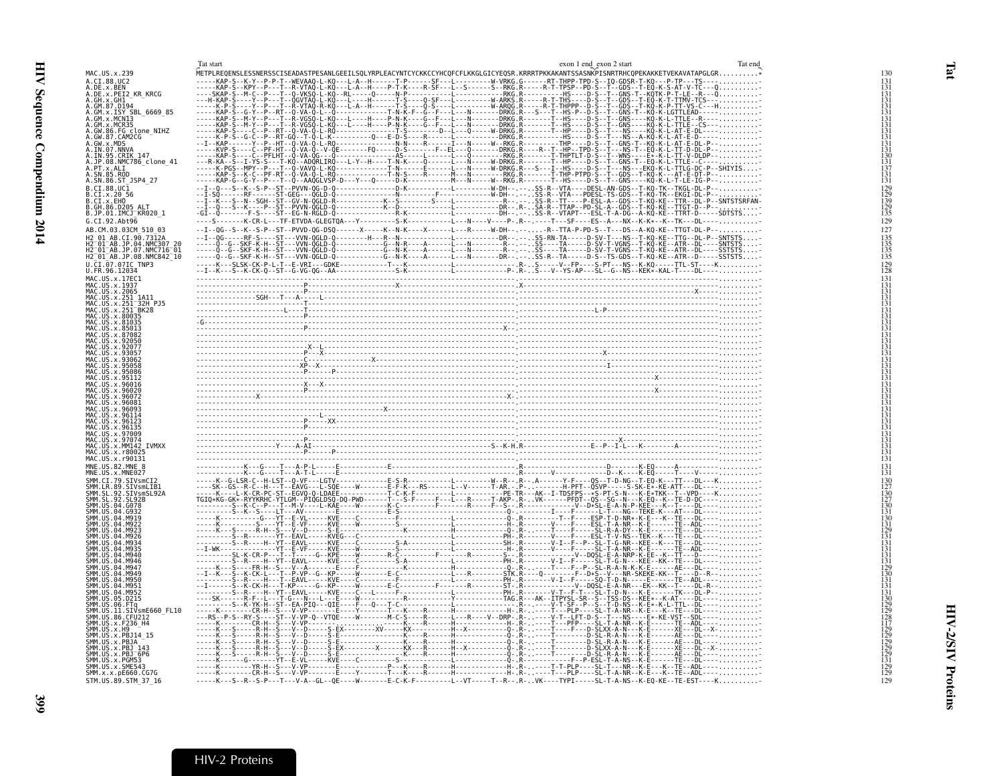|                                                                                                                                             | Tat start                                                                                                                              | Tat end<br>exon 1 end exon 2 start |
|---------------------------------------------------------------------------------------------------------------------------------------------|----------------------------------------------------------------------------------------------------------------------------------------|------------------------------------|
| MAC.US.x.239                                                                                                                                |                                                                                                                                        |                                    |
| A.CI.88.UC2<br>A.DE.x.BEN                                                                                                                   |                                                                                                                                        |                                    |
| A.DE.X.PEI2_KR_KRCG<br>A.GH.x.GH1                                                                                                           |                                                                                                                                        |                                    |
| A.GM.87.D194                                                                                                                                |                                                                                                                                        |                                    |
| A.GM.x.ISY SBL 6669 85<br>A.GM.x.MCN13                                                                                                      |                                                                                                                                        |                                    |
| A.GM.x.MCR35                                                                                                                                |                                                                                                                                        |                                    |
| A.GW.86.FG_clone_NIHZ<br>A.GW.87.CAM2CG                                                                                                     |                                                                                                                                        |                                    |
|                                                                                                                                             |                                                                                                                                        |                                    |
|                                                                                                                                             |                                                                                                                                        |                                    |
|                                                                                                                                             |                                                                                                                                        |                                    |
| A.GW.x.MDS<br>A.GW.x.MDS<br>A.IN.95.CRIK 147<br>A.IN.95.CRIK 147<br>A.P.N.x.ALI<br>A.SN.85.ROD<br>A.SN.85.ROD<br>R.SN.85.ROD<br>R.SN.85.ROD |                                                                                                                                        |                                    |
| B.CI.88.UC1                                                                                                                                 |                                                                                                                                        |                                    |
| B.CI.x.20 56<br>B.CI.x.20 56                                                                                                                |                                                                                                                                        |                                    |
| B.GH.86.D205 ALT<br>B.JP.01.IMCJ_KR020_1                                                                                                    |                                                                                                                                        |                                    |
|                                                                                                                                             |                                                                                                                                        |                                    |
| G.CI.92.Abt96<br>AB.CM.03.03CM 510 03                                                                                                       |                                                                                                                                        |                                    |
|                                                                                                                                             |                                                                                                                                        |                                    |
|                                                                                                                                             |                                                                                                                                        |                                    |
| M2_01_AB.CI_90_7312A<br>H2_01_AB.JP.04.NMC307_20<br>H2_01_AB.JP.04.NMC716_01<br>H2_01_AB.JP.08.NMC842_10<br>H2_01_AB.JP.08.NMC842_10        |                                                                                                                                        |                                    |
| U.CI.07.07IC TNP3<br>U.FR.96.12034                                                                                                          |                                                                                                                                        |                                    |
| MAC.US.x.17EC1                                                                                                                              |                                                                                                                                        |                                    |
| MAC. US. x. 1937                                                                                                                            |                                                                                                                                        |                                    |
| MAC.US.x.2065<br>MAC.US.x.251_1A11                                                                                                          |                                                                                                                                        |                                    |
| MAC.US.x.251-32H-PJ5<br>MAC.US.x.251-32H-PJ5                                                                                                |                                                                                                                                        |                                    |
| MAC.US.x.80035<br>MAC.US.x.81035                                                                                                            |                                                                                                                                        |                                    |
| MAC.US.x.850.                                                                                                                               |                                                                                                                                        |                                    |
|                                                                                                                                             |                                                                                                                                        |                                    |
| 92077                                                                                                                                       |                                                                                                                                        |                                    |
| <b>IIS x 9305</b><br>.115. x.9306                                                                                                           |                                                                                                                                        |                                    |
| <b>IIS x 95058</b><br>MAC.US.x.95086                                                                                                        |                                                                                                                                        |                                    |
|                                                                                                                                             |                                                                                                                                        |                                    |
| MAC.US.x.96016                                                                                                                              |                                                                                                                                        |                                    |
|                                                                                                                                             |                                                                                                                                        |                                    |
| IAC.US.x.9609                                                                                                                               |                                                                                                                                        |                                    |
| AC.US.x.961                                                                                                                                 |                                                                                                                                        |                                    |
| MAC.US.x.96135<br>MAC.US.x.97009                                                                                                            |                                                                                                                                        |                                    |
| MAC.US.x.9707                                                                                                                               |                                                                                                                                        |                                    |
| MAC.US.x.MM142 IVMXX<br>MAC.US.x.r80025                                                                                                     |                                                                                                                                        |                                    |
| MAC.US.x.r90131                                                                                                                             |                                                                                                                                        |                                    |
| MNE.US.82.MNE 8<br>MNE.US.x.MNE027                                                                                                          |                                                                                                                                        |                                    |
| CI.79.SIVsmCI2                                                                                                                              |                                                                                                                                        |                                    |
| ŠMM.LR.89.SIVsmLIB1<br>SMM.SL.92.SIVsmSL92A                                                                                                 |                                                                                                                                        |                                    |
| . SL. 92. SL92B<br>SMM. US.04.G078                                                                                                          |                                                                                                                                        |                                    |
|                                                                                                                                             |                                                                                                                                        |                                    |
|                                                                                                                                             |                                                                                                                                        |                                    |
|                                                                                                                                             |                                                                                                                                        |                                    |
|                                                                                                                                             |                                                                                                                                        |                                    |
|                                                                                                                                             |                                                                                                                                        |                                    |
| SMM.US<br>SMM IIS                                                                                                                           |                                                                                                                                        |                                    |
| модс                                                                                                                                        |                                                                                                                                        |                                    |
| M956<br>US.04<br>M951                                                                                                                       |                                                                                                                                        |                                    |
| LUS 04 M952<br>. US . 05 . D215                                                                                                             |                                                                                                                                        |                                    |
| SMM.US.06.FTq                                                                                                                               |                                                                                                                                        |                                    |
| ŠMM.ŪŠ.II.SIVsmE660 FL10<br>SMM.US.86.CFU212                                                                                                |                                                                                                                                        |                                    |
| SMM.US.x.F236_H4<br>SMM.US.x.H9                                                                                                             |                                                                                                                                        |                                    |
| SMM.US.x.PBJ14 15                                                                                                                           |                                                                                                                                        |                                    |
| SMM.US.x.PBJA<br>SMM.US.x.PBJ                                                                                                               |                                                                                                                                        |                                    |
| SMM.US.x.PBJ <sup>-</sup> 6P6<br>SMM.US.x.PGM53                                                                                             |                                                                                                                                        |                                    |
| SMM.US.x.SME543                                                                                                                             |                                                                                                                                        |                                    |
| SMM.x.x.pE660.CG7G<br>STM. US. 89. STM 37 16                                                                                                | -----K---S--R--S-P---T---V-A--GL--QE----W-------E-C-K-F---------L--VT-----T--R-- .R-. .VK----TYPI-----SL-T-A-NS--K-EQ-KE--TE-EST----K. |                                    |
|                                                                                                                                             |                                                                                                                                        |                                    |

<span id="page-20-1"></span>Tat

399

#### <span id="page-20-0"></span>HIV-2 Proteins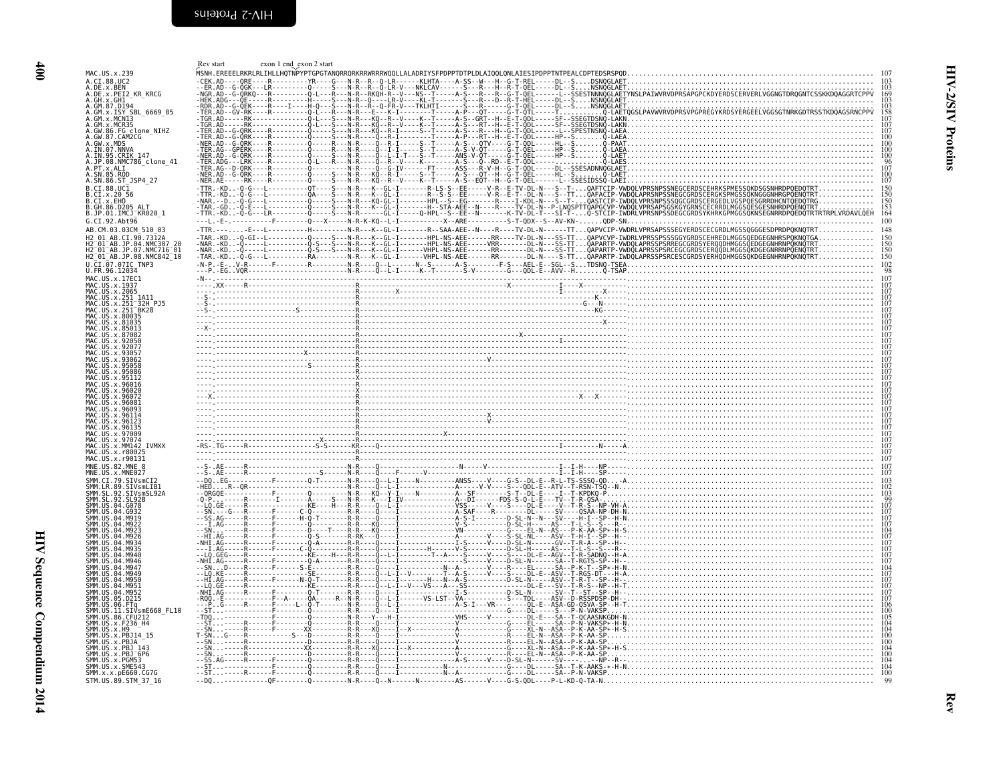<span id="page-21-1"></span>

|                                                                                                                                                                   | exon 1 end exon 2 start<br>Rev start |                                                                                                                   |
|-------------------------------------------------------------------------------------------------------------------------------------------------------------------|--------------------------------------|-------------------------------------------------------------------------------------------------------------------|
| MAC. US. x. 239                                                                                                                                                   |                                      | ~<br>MSNH.EREEELRKRLRLIHLLHQTNPYPTGPGTANQRRQRKRRWRRRWQQLLALADRIYSFPDPPTDTPLDLAIQQLQNLAIESIPDPPTNTPEALCDPTEDSRSPQD |
| A.CI.88.UC2                                                                                                                                                       |                                      | $-Q$ - LR - - - - - - KLHTA                                                                                       |
| A.DE.x.BEN<br>A.DE.x.PEI2_KR_KRCG                                                                                                                                 |                                      |                                                                                                                   |
| A.GH.x.GH1<br>A.GM.87.D194                                                                                                                                        |                                      |                                                                                                                   |
| A.GM.x.ISY SBL 6669 85                                                                                                                                            |                                      |                                                                                                                   |
| A.GM.x.MCNI3                                                                                                                                                      |                                      |                                                                                                                   |
| A.GM.x.MCR35<br>A.GM.x.MCR35<br>A.GW.86.FG clone_NIHZ<br>A.GW.87.CAM2CG<br>A.IW.97.NNVA<br>A.IN.95.CRIK 147<br>A.JP.98.NMC786_clone_41<br>A.JP.98.NMC786_clone_41 |                                      |                                                                                                                   |
|                                                                                                                                                                   |                                      |                                                                                                                   |
|                                                                                                                                                                   |                                      |                                                                                                                   |
|                                                                                                                                                                   |                                      |                                                                                                                   |
| A.PT.x.ALI<br>A.SN.85.ROD                                                                                                                                         |                                      |                                                                                                                   |
| A.SN.86.ST_JSP4_27                                                                                                                                                |                                      |                                                                                                                   |
| B.CI.88.UC1                                                                                                                                                       |                                      |                                                                                                                   |
| B.CI.x.20 56                                                                                                                                                      |                                      |                                                                                                                   |
| B.CI.X.EHO                                                                                                                                                        |                                      |                                                                                                                   |
| B.JP.01.IMCJ KR020 1                                                                                                                                              |                                      | $\frac{153}{164}$                                                                                                 |
| G.CI.92.Abt96                                                                                                                                                     |                                      |                                                                                                                   |
| AB.CM.03.03CM 510 03                                                                                                                                              |                                      |                                                                                                                   |
| H2 01 AB.CI.90.7312A                                                                                                                                              |                                      |                                                                                                                   |
| H2-01-AB.JP.04.NMC307_20<br>H2-01-AB.JP.07.NMC716-01<br>H2-01-AB.JP.08.NMC842_10                                                                                  |                                      |                                                                                                                   |
|                                                                                                                                                                   |                                      |                                                                                                                   |
| U.CI.07.07IC TNP3<br>U.FR.96.12034                                                                                                                                |                                      |                                                                                                                   |
| MAC.US.x.17EC1                                                                                                                                                    |                                      |                                                                                                                   |
| MAC.US.x.1937<br>MAC.US.x.2065                                                                                                                                    |                                      |                                                                                                                   |
| MAC.US.x.251 1A11<br>MAC.US.x.251 32H PJ5                                                                                                                         |                                      |                                                                                                                   |
| MAC.US.x.251 <sup>-</sup> BK28                                                                                                                                    |                                      |                                                                                                                   |
|                                                                                                                                                                   |                                      |                                                                                                                   |
|                                                                                                                                                                   |                                      |                                                                                                                   |
|                                                                                                                                                                   |                                      |                                                                                                                   |
|                                                                                                                                                                   |                                      |                                                                                                                   |
|                                                                                                                                                                   |                                      |                                                                                                                   |
|                                                                                                                                                                   |                                      |                                                                                                                   |
|                                                                                                                                                                   |                                      |                                                                                                                   |
|                                                                                                                                                                   |                                      |                                                                                                                   |
| <b>IIS x 96026</b>                                                                                                                                                |                                      |                                                                                                                   |
|                                                                                                                                                                   |                                      |                                                                                                                   |
|                                                                                                                                                                   |                                      |                                                                                                                   |
|                                                                                                                                                                   |                                      |                                                                                                                   |
|                                                                                                                                                                   |                                      |                                                                                                                   |
|                                                                                                                                                                   |                                      |                                                                                                                   |
|                                                                                                                                                                   |                                      |                                                                                                                   |
| MAC US x 97074                                                                                                                                                    |                                      |                                                                                                                   |
| MM142 IVMXX<br>MAC.US.x.r8002!                                                                                                                                    |                                      |                                                                                                                   |
| MAC.US.x.r90131                                                                                                                                                   |                                      |                                                                                                                   |
| MNE.US.x.MNE027                                                                                                                                                   |                                      |                                                                                                                   |
| SIVsmCI2                                                                                                                                                          |                                      |                                                                                                                   |
| .SIVsmLIB1                                                                                                                                                        |                                      |                                                                                                                   |
|                                                                                                                                                                   |                                      |                                                                                                                   |
|                                                                                                                                                                   |                                      |                                                                                                                   |
|                                                                                                                                                                   |                                      |                                                                                                                   |
|                                                                                                                                                                   |                                      |                                                                                                                   |
|                                                                                                                                                                   |                                      |                                                                                                                   |
|                                                                                                                                                                   |                                      |                                                                                                                   |
|                                                                                                                                                                   |                                      |                                                                                                                   |
|                                                                                                                                                                   |                                      |                                                                                                                   |
|                                                                                                                                                                   |                                      |                                                                                                                   |
|                                                                                                                                                                   |                                      |                                                                                                                   |
|                                                                                                                                                                   |                                      |                                                                                                                   |
| D215.                                                                                                                                                             |                                      |                                                                                                                   |
|                                                                                                                                                                   |                                      |                                                                                                                   |
| SIVsmE660 FL10.                                                                                                                                                   |                                      |                                                                                                                   |
| SMM.US.x.F236 H4                                                                                                                                                  |                                      |                                                                                                                   |
|                                                                                                                                                                   |                                      |                                                                                                                   |
|                                                                                                                                                                   |                                      |                                                                                                                   |
| $.x.PBJ-6P6$                                                                                                                                                      |                                      |                                                                                                                   |
|                                                                                                                                                                   |                                      |                                                                                                                   |
| SMM.US.x.SME543<br>SMM.x.x.pE660.CG7G<br>STM.US.89.STM 37 16                                                                                                      |                                      |                                                                                                                   |

<span id="page-21-0"></span>HIV Sequence Compendium 2014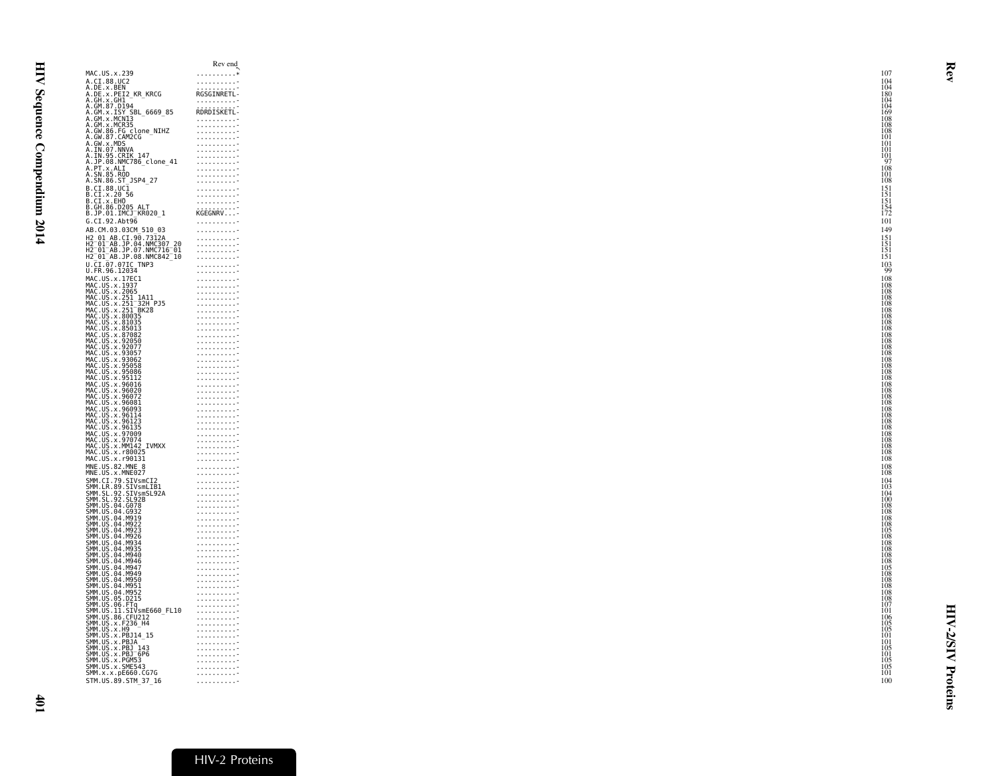<span id="page-22-0"></span>

|                                                                                                                                                                                                                                                                 | Rev end                                                                                                                                                                                                                                                                                                                 |
|-----------------------------------------------------------------------------------------------------------------------------------------------------------------------------------------------------------------------------------------------------------------|-------------------------------------------------------------------------------------------------------------------------------------------------------------------------------------------------------------------------------------------------------------------------------------------------------------------------|
| MAC.US.x.239                                                                                                                                                                                                                                                    | . *                                                                                                                                                                                                                                                                                                                     |
| A.CI.88.UC2<br>A.DE.x.BEN<br>A.DE.x.PEI2_KR_KRCG                                                                                                                                                                                                                | .                                                                                                                                                                                                                                                                                                                       |
|                                                                                                                                                                                                                                                                 | RGSGINRETL-                                                                                                                                                                                                                                                                                                             |
| A.GH.x.GH1                                                                                                                                                                                                                                                      | .                                                                                                                                                                                                                                                                                                                       |
| A.GM.87.D194<br>A.GM.x.ISY SBL_6669_85<br>A.GM.x.MCN13                                                                                                                                                                                                          | RDRDISKETL-                                                                                                                                                                                                                                                                                                             |
| A.GM.x.MCN13<br>A.GM.x.MCN13<br>A.GW.85.CGM2CG<br>A.GW.87.CAM2CG<br>A.IN.93.CRM2CG<br>A.IN.93.CRK<br>A.IN.93.CRK7786_clone_41<br>A.SN.85.RD<br>A.SN.86.CT<br>A.SN.86.CT                                                                                         | .<br>.                                                                                                                                                                                                                                                                                                                  |
|                                                                                                                                                                                                                                                                 | $\alpha$ , $\alpha$ , $\alpha$ , $\alpha$ , $\alpha$ , $\alpha$                                                                                                                                                                                                                                                         |
|                                                                                                                                                                                                                                                                 | $\alpha$ , and $\alpha$ , and $\alpha$ , and $\alpha$<br>.                                                                                                                                                                                                                                                              |
|                                                                                                                                                                                                                                                                 | .                                                                                                                                                                                                                                                                                                                       |
|                                                                                                                                                                                                                                                                 | .<br>.                                                                                                                                                                                                                                                                                                                  |
|                                                                                                                                                                                                                                                                 | .                                                                                                                                                                                                                                                                                                                       |
| A.SN.86.ST JSP4 27                                                                                                                                                                                                                                              | . 7<br>$\begin{array}{cccccccccccccc} . & . & . & . & . & . & . & . & . & . & . & . & . & \end{array}$                                                                                                                                                                                                                  |
| B.CI.88.UC1<br>B.CI.x.20 56<br>B.CI.x.EHO                                                                                                                                                                                                                       | .                                                                                                                                                                                                                                                                                                                       |
|                                                                                                                                                                                                                                                                 | $\begin{minipage}{.4\linewidth} \begin{tabular}{l} \hline \multicolumn{3}{c}{\textbf{1.1.1.1.1.1.1}} \end{tabular} \end{minipage}$                                                                                                                                                                                      |
| B.GH.86.D205_ALT                                                                                                                                                                                                                                                |                                                                                                                                                                                                                                                                                                                         |
| B.JP.01.IMCJ_KR020_1                                                                                                                                                                                                                                            | KGEGNRV                                                                                                                                                                                                                                                                                                                 |
| G.CI.92.Abt96                                                                                                                                                                                                                                                   | .                                                                                                                                                                                                                                                                                                                       |
| AB.CM.03.03CM_510_03                                                                                                                                                                                                                                            | .                                                                                                                                                                                                                                                                                                                       |
| H2_01_AB.CI.90.7312A<br>H2 <sup>_</sup> 01 <sup>_</sup> AB.JP.04.NMC307_20<br>H2_01_AB.JP.07.NMC716_01                                                                                                                                                          | $\alpha$ , $\alpha$ , $\alpha$ , $\alpha$ , $\alpha$ , $\alpha$<br>$\alpha$ , and $\alpha$ , and $\alpha$ , and $\alpha$                                                                                                                                                                                                |
|                                                                                                                                                                                                                                                                 | .                                                                                                                                                                                                                                                                                                                       |
| H2_01_AB.JP.08.NMC842_10                                                                                                                                                                                                                                        | .                                                                                                                                                                                                                                                                                                                       |
| U.CI.07.07IC TNP3<br>U.FR.96.12034                                                                                                                                                                                                                              | .                                                                                                                                                                                                                                                                                                                       |
| MAC.US.x.17EC1                                                                                                                                                                                                                                                  | .<br>.                                                                                                                                                                                                                                                                                                                  |
| MAC.US.x.1937                                                                                                                                                                                                                                                   | 1.1.1.1.1.1.1.1.7                                                                                                                                                                                                                                                                                                       |
| MAC.US.x.2065                                                                                                                                                                                                                                                   |                                                                                                                                                                                                                                                                                                                         |
|                                                                                                                                                                                                                                                                 | .                                                                                                                                                                                                                                                                                                                       |
|                                                                                                                                                                                                                                                                 | 1.1.1.1.1.1.1.1.7                                                                                                                                                                                                                                                                                                       |
| MAC. US. x. 2065<br>MAC. US. x. 251–32H PJ5<br>MAC. US. x. 251–32H PJ5<br>MAC. US. x. 251–3R28<br>MAC. US. x. 88035<br>MAC. US. x. 89035<br>MAC. US. x. 87082<br>MAC. US. x. 93067<br>MAC. US. x. 93057<br>MAC. US. x. 93067<br>MAC. US. x. 93067<br>MAC. US. x | 1.1.1.1.1.1.1.1.7<br>.                                                                                                                                                                                                                                                                                                  |
|                                                                                                                                                                                                                                                                 | .                                                                                                                                                                                                                                                                                                                       |
|                                                                                                                                                                                                                                                                 | .<br>.                                                                                                                                                                                                                                                                                                                  |
|                                                                                                                                                                                                                                                                 | .                                                                                                                                                                                                                                                                                                                       |
|                                                                                                                                                                                                                                                                 | .                                                                                                                                                                                                                                                                                                                       |
|                                                                                                                                                                                                                                                                 | .<br>.                                                                                                                                                                                                                                                                                                                  |
| MAC.US.X.95058<br>MAC.US.x.95086<br>MAC.US.x.95086                                                                                                                                                                                                              | $\alpha$ , and $\alpha$ , and $\alpha$ , and $\alpha$                                                                                                                                                                                                                                                                   |
|                                                                                                                                                                                                                                                                 | $\begin{array}{cccccccccccccc} . & . & . & . & . & . & . & . & . & . & . & . & . & \end{array}$<br>. 7                                                                                                                                                                                                                  |
| MAC.US.x.99000<br>MAC.US.x.95112<br>MAC.US.x.96016<br>MAC.US.x.96020                                                                                                                                                                                            | .                                                                                                                                                                                                                                                                                                                       |
| MAC.US.x.96081                                                                                                                                                                                                                                                  | $\begin{array}{l} 1 \  \, 1 \  \, 1 \  \, 1 \  \, 1 \  \, 1 \  \, 1 \  \, 1 \  \, 1 \  \, 1 \  \, 1 \  \, 1 \  \, 1 \  \, 1 \  \, 1 \  \, 1 \  \, 1 \  \, 1 \  \, 1 \  \, 1 \  \, 1 \  \, 1 \  \, 1 \  \, 1 \  \, 1 \  \, 1 \  \, 1 \  \, 1 \  \, 1 \  \, 1 \  \, 1 \  \, 1 \  \, 1 \  \, 1 \  \, 1 \  \, 1 \$          |
|                                                                                                                                                                                                                                                                 | .                                                                                                                                                                                                                                                                                                                       |
|                                                                                                                                                                                                                                                                 | .                                                                                                                                                                                                                                                                                                                       |
|                                                                                                                                                                                                                                                                 |                                                                                                                                                                                                                                                                                                                         |
|                                                                                                                                                                                                                                                                 | .                                                                                                                                                                                                                                                                                                                       |
|                                                                                                                                                                                                                                                                 | .<br>.                                                                                                                                                                                                                                                                                                                  |
| MAC.US.X.90081<br>MAC.US.x.96093<br>MAC.US.x.96114<br>MAC.US.x.96123<br>MAC.US.x.96135<br>MAC.US.x.97009<br>MAC.US.x.MM142_IVMXX<br>MAC.US.x.r90131<br>MAC.US.x.r90131                                                                                          | .                                                                                                                                                                                                                                                                                                                       |
| MAC. US. x. r90131                                                                                                                                                                                                                                              | .                                                                                                                                                                                                                                                                                                                       |
| MNE.US.82.MNE 8<br>MNE.US.x.MNE027                                                                                                                                                                                                                              | 1.1.1.1.1.1.1.1.7                                                                                                                                                                                                                                                                                                       |
|                                                                                                                                                                                                                                                                 | .<br>.                                                                                                                                                                                                                                                                                                                  |
|                                                                                                                                                                                                                                                                 | .                                                                                                                                                                                                                                                                                                                       |
|                                                                                                                                                                                                                                                                 | . 7                                                                                                                                                                                                                                                                                                                     |
|                                                                                                                                                                                                                                                                 | $\begin{minipage}{0.5\textwidth} \begin{tabular}{ c c } \hline 0.00000 & 0.00000 & 0.00000 \\ \hline 0.00000 & 0.000000 & 0.00000 \\ \hline 0.00000 & 0.00000 & 0.00000 \\ \hline \end{tabular} \end{minipage}$                                                                                                         |
|                                                                                                                                                                                                                                                                 |                                                                                                                                                                                                                                                                                                                         |
| SMM. US. 04. M919<br>SMM. US. 04. M922<br>SMM. US. 04. M923                                                                                                                                                                                                     | $\begin{array}{l} 1 \  \  \, 1 \  \  \, 1 \  \  \, 1 \  \  \, 1 \  \  \, 1 \  \  \, 1 \  \  \, 1 \  \  \, 1 \  \  \, 1 \  \  \, 1 \  \  \, 1 \  \  \, 1 \  \  \, 1 \  \  \, 1 \  \  \, 1 \  \  \, 1 \  \  \, 1 \  \  \, 1 \  \  \, 1 \  \  \, 1 \  \  \, 1 \  \  \, 1 \  \  \, 1 \  \  \, 1 \  \  \, 1 \  \  \, 1 \  \$ |
|                                                                                                                                                                                                                                                                 | .                                                                                                                                                                                                                                                                                                                       |
|                                                                                                                                                                                                                                                                 | .<br>.                                                                                                                                                                                                                                                                                                                  |
| SMM. US. 04. M923<br>SMM. US. 04. M923<br>SMM. US. 04. M933<br>SMM. US. 04. M935<br>SMM. US. 04. M940<br>SMM. US. 04. M946<br>SMM. US. 04. M950<br>SMM. US. 04. M950<br>SMM. US. 04. M950<br>SMM. US. 04. M950<br>SMM. US. 04. M950<br>SMM. US. 04. M950        | .                                                                                                                                                                                                                                                                                                                       |
|                                                                                                                                                                                                                                                                 | .<br>.                                                                                                                                                                                                                                                                                                                  |
|                                                                                                                                                                                                                                                                 | .                                                                                                                                                                                                                                                                                                                       |
|                                                                                                                                                                                                                                                                 | .                                                                                                                                                                                                                                                                                                                       |
|                                                                                                                                                                                                                                                                 | .<br>.                                                                                                                                                                                                                                                                                                                  |
| SMM. US. 05. D215                                                                                                                                                                                                                                               | .<br>.                                                                                                                                                                                                                                                                                                                  |
|                                                                                                                                                                                                                                                                 | .                                                                                                                                                                                                                                                                                                                       |
| 3HH 1.93.05.12213<br>SMM.US.06.FTq<br>SMM.US.11.SIVsmE660_FL10<br>SMM.US.86.CFU212<br>SMM.US.x.F236_H4                                                                                                                                                          | . 7                                                                                                                                                                                                                                                                                                                     |
|                                                                                                                                                                                                                                                                 | $\alpha$ , $\alpha$ , $\alpha$ , $\alpha$ , $\alpha$ , $\alpha$ , $\beta$                                                                                                                                                                                                                                               |
| SMM.US.x.H9<br>SMM.US.x.PBJ14_15                                                                                                                                                                                                                                |                                                                                                                                                                                                                                                                                                                         |
|                                                                                                                                                                                                                                                                 | .<br>1.1.1.1.1.1.1.1.7                                                                                                                                                                                                                                                                                                  |
|                                                                                                                                                                                                                                                                 | $\begin{array}{l} 1 & 1 & 1 & 1 & 1 & 1 & 1 & 1 \\ 1 & 1 & 1 & 1 & 1 & 1 & 1 & 1 \\ 1 & 1 & 1 & 1 & 1 & 1 & 1 & 1 \\ \end{array}$                                                                                                                                                                                       |
|                                                                                                                                                                                                                                                                 |                                                                                                                                                                                                                                                                                                                         |
| SMM . US . x . PBJ14 – 15<br>SMM . US . x . PBJ14 –<br>SMM . US . x . PBJ – 143<br>SMM . US . x . PBJ – 6P6<br>SMM . US . x . SME543<br>SMM . x . x . pE660 . CG7G<br>SMM . x . x . pE660 . CG7G                                                                | .<br>.                                                                                                                                                                                                                                                                                                                  |
|                                                                                                                                                                                                                                                                 | .                                                                                                                                                                                                                                                                                                                       |
| STM.US.89.STM_37_16                                                                                                                                                                                                                                             | .                                                                                                                                                                                                                                                                                                                       |

# HIV-2 Proteins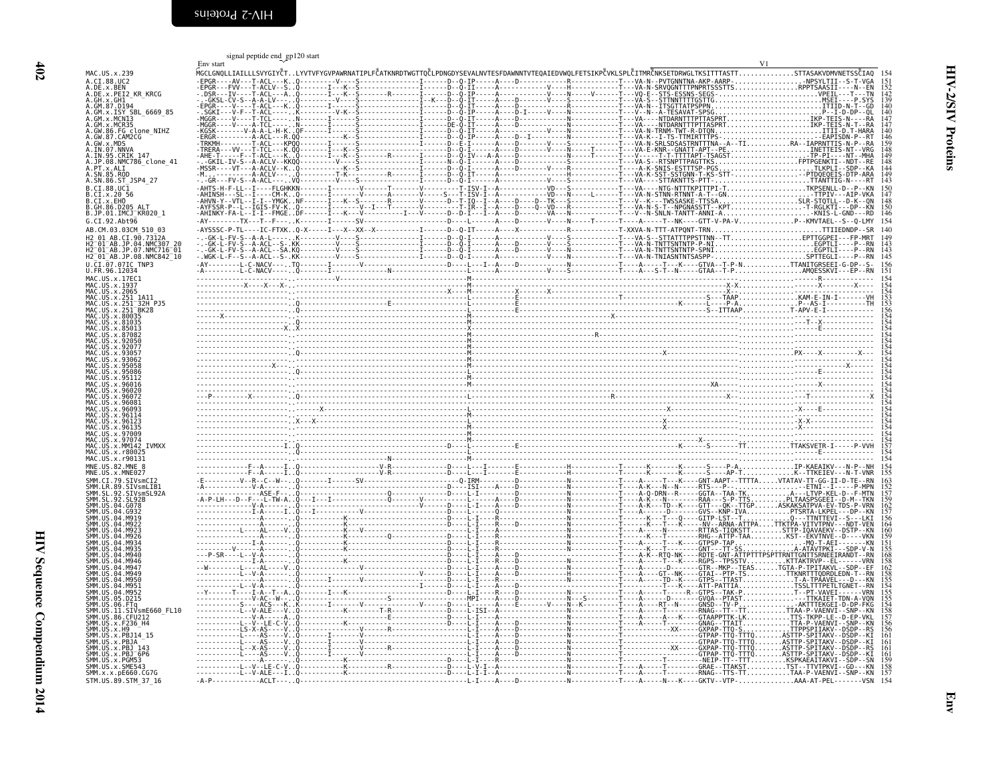<span id="page-23-1"></span><span id="page-23-0"></span>

|                                                                                                                                                 | signal peptide end_gp120 start<br>Env start |  |                                                                                                                                                                 |      |
|-------------------------------------------------------------------------------------------------------------------------------------------------|---------------------------------------------|--|-----------------------------------------------------------------------------------------------------------------------------------------------------------------|------|
| MAC. US. x. 239                                                                                                                                 |                                             |  | .<br>MGCLGNOLLIAILLLSVYGIYČTLYVTVFYGVPAWRNATIPLFČATKNRDTWGTTOČLPDNGDYSEVALNVTESFDAWNNTVTEOAIEDVWOLFETSIKPČVKLSPLČITMRČNKSETDRWGLTKSITTTASTTSTTASAKVDMVNETSSČIAO |      |
| A.CI.88.UC2<br>A.DE.x.BEN                                                                                                                       |                                             |  |                                                                                                                                                                 |      |
| A.DE.x.PEI2 KR KRCG<br>A.GH.X.GHI-<br>A.GM.87.D194                                                                                              |                                             |  |                                                                                                                                                                 |      |
|                                                                                                                                                 |                                             |  |                                                                                                                                                                 |      |
|                                                                                                                                                 |                                             |  |                                                                                                                                                                 |      |
| A . GM. x . 15Y 3BL_6669_85<br>A . GM. x . MCR13<br>A . GM. x . MCR35<br>A . GW. 86 . FG_c Lone_NIHZ<br>A . GW. 87 . CAM2CG<br>A . GW. 87 . MCR |                                             |  |                                                                                                                                                                 |      |
| A.GW.X.MDS<br>A.GW.X.MDS<br>A.IN.07.NNVA<br>A. IN. 95. CRIK 147                                                                                 |                                             |  |                                                                                                                                                                 |      |
| A.JP.08.NMC786_clone_41<br>A.PT.x.ALI                                                                                                           |                                             |  |                                                                                                                                                                 |      |
| A.SN.85.ROD<br>A.SN.86.ST JSP4 27                                                                                                               |                                             |  |                                                                                                                                                                 |      |
| B.CI.88.UC1                                                                                                                                     |                                             |  |                                                                                                                                                                 |      |
| B.CI.X.20 56<br>B.CI.X.EHO<br>B.GH.86.D205 ALT                                                                                                  |                                             |  |                                                                                                                                                                 |      |
| B.JP.01.IMCJ_KR020_1                                                                                                                            |                                             |  |                                                                                                                                                                 |      |
| G.CI.92.Abt96<br>AB.CM.03.03CM 510 03                                                                                                           |                                             |  |                                                                                                                                                                 |      |
| 01 AB.CI.90.7312A<br>$01^-$ AB.JP.04.NMC307 20                                                                                                  |                                             |  |                                                                                                                                                                 |      |
| H2-01-AB.JP.07.NMC716-01<br>H2_01_AB.JP.08.NMC842_10                                                                                            |                                             |  |                                                                                                                                                                 |      |
| $U.\overline{C1}.\overline{07}.\overline{071C}$ TNP3<br>U.FR.96.12034                                                                           |                                             |  |                                                                                                                                                                 |      |
| MAC.US.x.17EC1<br>MAC. US. x. 1937                                                                                                              |                                             |  |                                                                                                                                                                 |      |
| MAC. US. x. 2065<br>MAC.US.x.251 1A11                                                                                                           |                                             |  |                                                                                                                                                                 |      |
| MAC.US.x.251 32H PJ5                                                                                                                            |                                             |  |                                                                                                                                                                 |      |
| MAC.US.x.251-BK28<br>MAC.US.x.80035<br>MAC.US.x.81035<br>MAC.US.x.85013                                                                         |                                             |  |                                                                                                                                                                 |      |
| US.x.85013<br>MAC.US.x.87082                                                                                                                    |                                             |  |                                                                                                                                                                 |      |
|                                                                                                                                                 |                                             |  |                                                                                                                                                                 |      |
| MAC.US.x.93062                                                                                                                                  |                                             |  |                                                                                                                                                                 |      |
| MAC.US.x.95058<br>MAC.US.x.95086                                                                                                                |                                             |  |                                                                                                                                                                 |      |
|                                                                                                                                                 |                                             |  |                                                                                                                                                                 |      |
| MAC.US.x.96020<br>.US.x.96072<br>MAC.US.x.96081                                                                                                 |                                             |  |                                                                                                                                                                 |      |
| .U.S. x.9609.                                                                                                                                   |                                             |  |                                                                                                                                                                 |      |
| MAC.US.x.96123<br>MAC.US.x.96135                                                                                                                |                                             |  |                                                                                                                                                                 |      |
| MAC.US.x.97009<br>MAC.US.x.97074                                                                                                                |                                             |  |                                                                                                                                                                 |      |
| MAC.US.x.MM142 IVMXX<br>MAC.US.x.r8002                                                                                                          |                                             |  |                                                                                                                                                                 |      |
| MAC.US.x.r90131<br>MNE.US.82.MNE 8                                                                                                              |                                             |  |                                                                                                                                                                 | i š4 |
| MNE.US.x.MNE027<br>SMM.CI.79.SIVsmCI2                                                                                                           |                                             |  |                                                                                                                                                                 |      |
| SMM.LR.89.SIVSMLIB1<br>SMM.SL.92.SIVsmSL92A                                                                                                     |                                             |  |                                                                                                                                                                 |      |
| SMM. SL. 92. SL92B<br>SMM. US. 04. 6078<br>SMM. US. 04. 6078                                                                                    |                                             |  |                                                                                                                                                                 |      |
| 04 M919                                                                                                                                         |                                             |  |                                                                                                                                                                 |      |
| SMM. US. 04. M923                                                                                                                               |                                             |  |                                                                                                                                                                 |      |
| SMM. U.S. 04, M926<br>SMM IIS A4 MQ34                                                                                                           |                                             |  |                                                                                                                                                                 |      |
| SMM. U.S. 04. M935<br>.04.M940                                                                                                                  |                                             |  |                                                                                                                                                                 |      |
| $04$ MQ46<br>SMM US 04 M947<br>SMM. U.S., 04, M949                                                                                              |                                             |  |                                                                                                                                                                 |      |
|                                                                                                                                                 |                                             |  |                                                                                                                                                                 |      |
| SMM. US. 04. M95<br>SMM.US.05.D215                                                                                                              |                                             |  |                                                                                                                                                                 |      |
| SMM. US. 06. FTq<br>SMM.US.11.SIVsmE660 FL10                                                                                                    |                                             |  |                                                                                                                                                                 |      |
| SMM. US. 86. CFU212<br>SMM. US. x. F236_H4                                                                                                      |                                             |  |                                                                                                                                                                 |      |
| SMM. US. x. H9<br>SMM. US. x. PBJ14 15                                                                                                          |                                             |  |                                                                                                                                                                 |      |
| SMM. US. x. PBJA<br>SMM.US.x.PBJ                                                                                                                |                                             |  |                                                                                                                                                                 |      |
| SMM.US.x.PBJ <sup>-6P6</sup><br>SMM.US.x.PGM53                                                                                                  |                                             |  |                                                                                                                                                                 |      |
| SMM.US.x.SME543<br>SMM.x.x.pE660.CG7G                                                                                                           |                                             |  |                                                                                                                                                                 | 157  |
| STM.US.89.STM_37_16                                                                                                                             |                                             |  |                                                                                                                                                                 |      |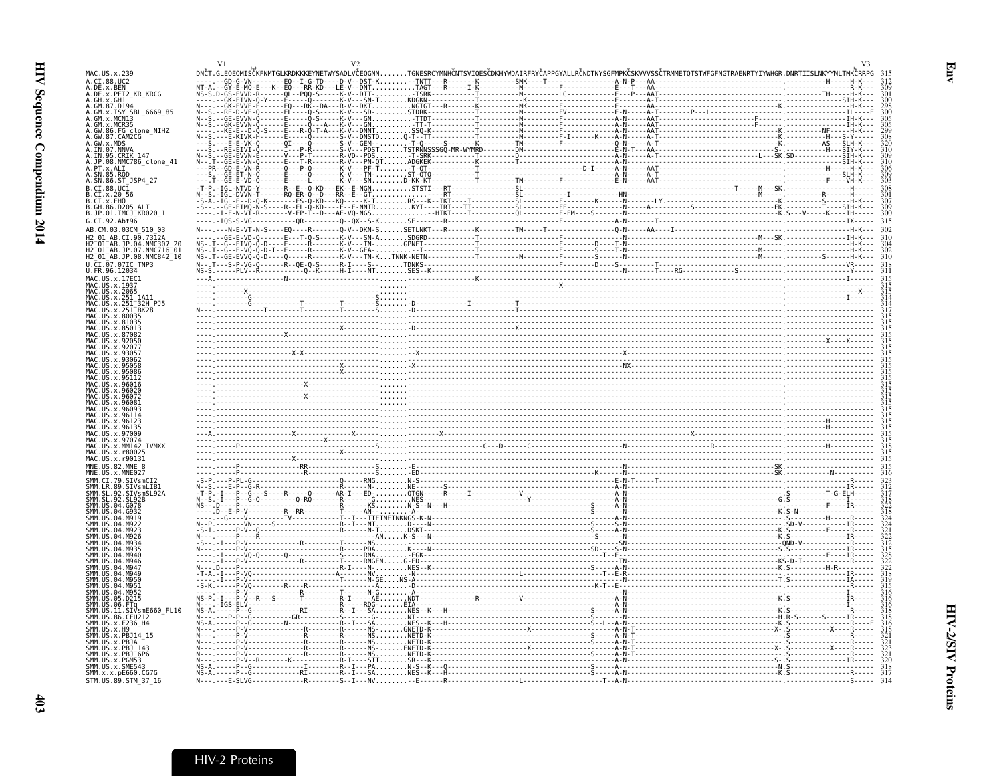|                                                      | V <sub>1</sub> |                                                                                                                                                                         |
|------------------------------------------------------|----------------|-------------------------------------------------------------------------------------------------------------------------------------------------------------------------|
| MAC.US.x.239<br>A.CI.88.UC2                          |                | DNČT.GLEOEOMISČKFNMTGLKRDKKKEYNETWYSADLVČEOGNNTGNESRCYMNHČNTSVIOESČDKHYWDAIRFRYČAPPGYALLRČNDTNYSGFMPKČSKVVVSSČTRMMETOTSTWFGFNGTRAENRTYIYWHGR.DNRTIISLNKYYNLTMKČRRPG 315 |
| A.DE.x.BEN<br>A.DE.x.PEI2 KR KRCG                    |                |                                                                                                                                                                         |
| A.GH.X.GH1-<br>A.GM.87.D194                          |                | 301<br>300                                                                                                                                                              |
| A.GM.x.ISY SBL 6669 85                               |                |                                                                                                                                                                         |
| A.GM.x.MCNI3<br>A.GM.x.MCR35                         |                |                                                                                                                                                                         |
| A.GW.86.FG_clone_NIHZ<br>A.GW.87.CAM2CG              |                |                                                                                                                                                                         |
| A.GW.x.MDS<br>A.IN.07.NNVA<br>A.IN.95.CRIK_147       |                |                                                                                                                                                                         |
|                                                      |                |                                                                                                                                                                         |
| A.JP.08.NMC786_clone 41<br>A.PT.x.ALI                |                |                                                                                                                                                                         |
| A.SN.85.ROD<br>A.SN.86.ST_JSP4_27                    |                |                                                                                                                                                                         |
| B.CI.88.UC1<br>B.CI.x.20 56                          |                |                                                                                                                                                                         |
| B.CI.x.EHO                                           |                |                                                                                                                                                                         |
| B.GH.86.D205<br>B.JP.01.IMCJ KR020 1                 |                |                                                                                                                                                                         |
| G.CI.92.Abt96<br>AB.CM.03.03CM 510 03                |                |                                                                                                                                                                         |
| H2 01 AR CT 90 7312A                                 |                |                                                                                                                                                                         |
| H2-01-AB.JP.04.NMC307-20<br>H2-01-AB.JP.07.NMC716-01 |                |                                                                                                                                                                         |
| H2_01_AB.JP.08.NMC842_10                             |                |                                                                                                                                                                         |
| U.CI.07.07IC TNP3<br>U.FR.96.12034                   |                |                                                                                                                                                                         |
| MAC.US.x.17EC1<br>MAC.US.x.1937                      |                |                                                                                                                                                                         |
| MAC.US.x.2065<br>MAC.US.x.251 1A11                   |                |                                                                                                                                                                         |
| MAC.US.x.251                                         |                |                                                                                                                                                                         |
| MAC.US.x.251 <sup>-</sup> BK28<br>US.x.80035         |                |                                                                                                                                                                         |
| US.x.81035                                           |                |                                                                                                                                                                         |
|                                                      |                |                                                                                                                                                                         |
|                                                      |                |                                                                                                                                                                         |
|                                                      |                |                                                                                                                                                                         |
|                                                      |                |                                                                                                                                                                         |
|                                                      |                |                                                                                                                                                                         |
|                                                      |                |                                                                                                                                                                         |
|                                                      |                |                                                                                                                                                                         |
|                                                      |                |                                                                                                                                                                         |
| MAC.US.x.96135<br>US.x.97009                         |                |                                                                                                                                                                         |
| US.x.97074<br>MAC US x MM142 TVMXX                   |                |                                                                                                                                                                         |
| <b>US x r8002</b>                                    |                |                                                                                                                                                                         |
| MAC.US.x.r90131<br>MNF.IIS.82.MNF.8                  |                |                                                                                                                                                                         |
|                                                      |                |                                                                                                                                                                         |
| SMM IR 89 STVsmlTR                                   |                |                                                                                                                                                                         |
|                                                      |                |                                                                                                                                                                         |
|                                                      |                |                                                                                                                                                                         |
|                                                      |                |                                                                                                                                                                         |
|                                                      |                |                                                                                                                                                                         |
|                                                      |                |                                                                                                                                                                         |
|                                                      |                |                                                                                                                                                                         |
|                                                      |                |                                                                                                                                                                         |
|                                                      |                |                                                                                                                                                                         |
|                                                      |                |                                                                                                                                                                         |
|                                                      |                |                                                                                                                                                                         |
| SIVsmE660 FL10<br>SMM.US.86.CFU212                   |                |                                                                                                                                                                         |
| SMM.US.x.F236_H4                                     |                |                                                                                                                                                                         |
| SMM.US.x.H9<br>SMM. US. x. PBJ14                     |                |                                                                                                                                                                         |
| SMM.US.x.PBJA<br>SMM.US.x.PBJ 143                    |                |                                                                                                                                                                         |
| MM US x PRIT6P6<br>MM IIS x PGM53                    |                |                                                                                                                                                                         |
| SMM.US.x.SME543<br>SMM.x.x.pE660.CG7G                |                |                                                                                                                                                                         |
| STM. US. 89. STM 37 16                               |                |                                                                                                                                                                         |

<span id="page-24-0"></span>Env

 $403$ 

## HIV-2 Proteins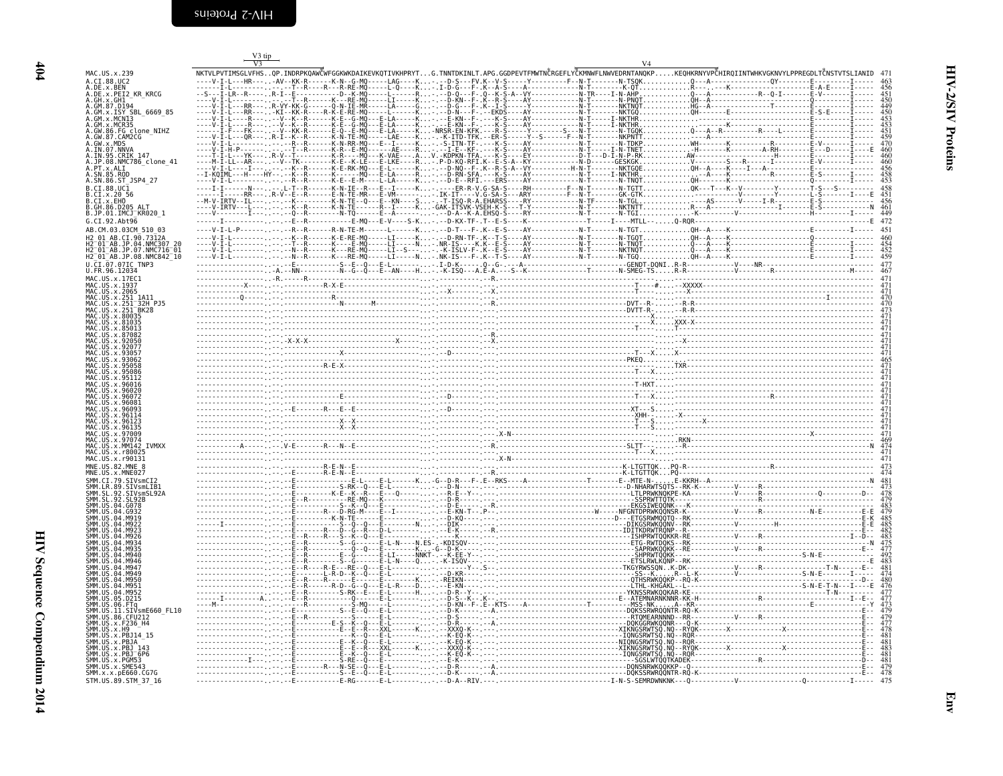<span id="page-25-0"></span>

|                                                                                                       | V3 tip |  |                                                                                                                                                                     |  |
|-------------------------------------------------------------------------------------------------------|--------|--|---------------------------------------------------------------------------------------------------------------------------------------------------------------------|--|
| MAC. U.S. x. 239                                                                                      |        |  | NKTVLPVTIMSGLVFHSOP.INDRPKOAWČWFGGKWKDAIKEVKQTIVKHPRYTG.TNNTDKINLT.APG.GGDPEVTFMWTNČRGEFLYČKMNWFLNWVEDRNTANQKPKEQHKRNYVPČHIRQIINTWHKVGKNVYLPPREGDLTČNSTVTSLIANID 47 |  |
| A.CI.88.UC2<br>A.DE.x.BEN<br>A.DE.x.PEI2 KR KRCG                                                      |        |  |                                                                                                                                                                     |  |
|                                                                                                       |        |  |                                                                                                                                                                     |  |
| A.GM.x.ISY SBL 6669 85                                                                                |        |  |                                                                                                                                                                     |  |
| A.GM.X.MCNT3<br>A.GM.X.MCNT3<br>A.GM.X.MCR35<br>A.GW.86.FG clone_NIHZ<br>A.GW.87.CAM2CG<br>A.GW.X.MDS |        |  |                                                                                                                                                                     |  |
|                                                                                                       |        |  |                                                                                                                                                                     |  |
| A.IN.07.NNVA<br>A.IN.95.CRIK 147                                                                      |        |  |                                                                                                                                                                     |  |
| A.JP.08.NMC786_clone_41<br>A.PT.x.ALI                                                                 |        |  |                                                                                                                                                                     |  |
| .SN.85.ROD<br>A.SN.86.ST JSP4 27                                                                      |        |  |                                                                                                                                                                     |  |
| $B.CI.88.UC\bar{1}$<br>.CI.x.20 56                                                                    |        |  |                                                                                                                                                                     |  |
| B.CI.X.EHO<br>B.GH.86.D205 ALT<br>B.JP.01.IMCJ KR020 1                                                |        |  |                                                                                                                                                                     |  |
| G.CI.92.Aht96                                                                                         |        |  |                                                                                                                                                                     |  |
| AB.CM.03.03CM 510 03<br>AR CT 90.7312A                                                                |        |  |                                                                                                                                                                     |  |
| AB.JP.04.NMC307"<br>H2 <sup>-01-AB.JP.07.NMC716-01</sup>                                              |        |  |                                                                                                                                                                     |  |
| H2 <sup>-</sup> 01 <sup>-</sup> AB.JP.08.NMC842 <sup>-10</sup><br>U.CI.07.07IC TNP3                   |        |  |                                                                                                                                                                     |  |
| U.FR.96.12034<br>MAC.US.x.17EC1                                                                       |        |  |                                                                                                                                                                     |  |
| MAC.US.x.1937<br>MAC.US.x.2065                                                                        |        |  |                                                                                                                                                                     |  |
| MAC.US.x.251 1A11<br>MAC.US.x.251 <sup>-</sup> 32H PJ5                                                |        |  |                                                                                                                                                                     |  |
|                                                                                                       |        |  |                                                                                                                                                                     |  |
| MAC.US.x.81035                                                                                        |        |  |                                                                                                                                                                     |  |
|                                                                                                       |        |  |                                                                                                                                                                     |  |
|                                                                                                       |        |  |                                                                                                                                                                     |  |
|                                                                                                       |        |  |                                                                                                                                                                     |  |
|                                                                                                       |        |  |                                                                                                                                                                     |  |
|                                                                                                       |        |  |                                                                                                                                                                     |  |
| . IIS . x . 9608                                                                                      |        |  |                                                                                                                                                                     |  |
|                                                                                                       |        |  |                                                                                                                                                                     |  |
|                                                                                                       |        |  |                                                                                                                                                                     |  |
| <b>TVMXX</b>                                                                                          |        |  |                                                                                                                                                                     |  |
| MAC.US.x.r90131<br>MNE.US.82.MNE 8                                                                    |        |  |                                                                                                                                                                     |  |
| MNE.US.x.MNE027<br>SMM.CI.79.SIVsmCI2                                                                 |        |  |                                                                                                                                                                     |  |
| SMM.LR.89.SIVsmLIB1<br>SMM.SL.92.SIVsmSL92A                                                           |        |  |                                                                                                                                                                     |  |
|                                                                                                       |        |  |                                                                                                                                                                     |  |
|                                                                                                       |        |  |                                                                                                                                                                     |  |
|                                                                                                       |        |  |                                                                                                                                                                     |  |
|                                                                                                       |        |  |                                                                                                                                                                     |  |
|                                                                                                       |        |  |                                                                                                                                                                     |  |
|                                                                                                       |        |  |                                                                                                                                                                     |  |
|                                                                                                       |        |  |                                                                                                                                                                     |  |
| D215.                                                                                                 |        |  |                                                                                                                                                                     |  |
| SMM.US.11.SIVsmE660 FL10<br>SMM. US. 86. CFU212                                                       |        |  |                                                                                                                                                                     |  |
| SMM.US.x.F236 H4<br>SMM.US.x.H9                                                                       |        |  |                                                                                                                                                                     |  |
| SMM.US.x.PBJ14 15<br>SMM.US.x.PBJA                                                                    |        |  |                                                                                                                                                                     |  |
| SMM.US.x.PBJ<br>SMM.US.x.PBJ <sup>-</sup> 6P6                                                         |        |  |                                                                                                                                                                     |  |
| US.x.PGM!<br>SMM.US.x.SME54                                                                           |        |  |                                                                                                                                                                     |  |
| SMM.x.x.pE660.CG7G<br>STM.US.89.STM 37 16                                                             |        |  |                                                                                                                                                                     |  |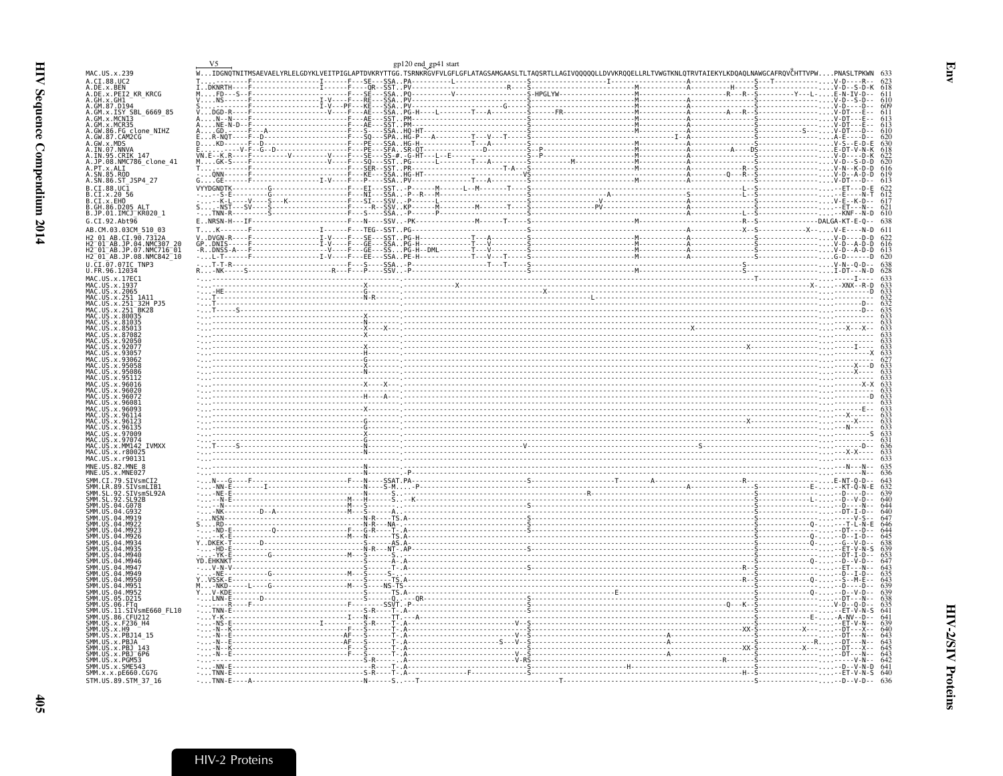<span id="page-26-0"></span>

|                                                                                  |  |  | gp120 end_gp41 start<br>WIDGNQTNITMSAEVAELYRLELGDYKLVEITPIGLAPTDVKRYTTGG.TSRNKRGVFVLGFLGFLATAGSAMGAASLTLTAQSRTLLAGIVQQQQQLLDVVKRQQELLRLTVWGTKNLQTRVTAIEKYLKDQAQLNAWGCAFRQVČHTTVPWPNASLTPKWN 633<br>WIDGNQTNITMSAEVAELYRLEL |  |  |
|----------------------------------------------------------------------------------|--|--|----------------------------------------------------------------------------------------------------------------------------------------------------------------------------------------------------------------------------|--|--|
| MAC.US.x.239<br>A.CI.88.UC2                                                      |  |  |                                                                                                                                                                                                                            |  |  |
| A.DE.x.BEN<br>A.DE.x.PEI2_KR_KRCG                                                |  |  |                                                                                                                                                                                                                            |  |  |
| .GH.X.GHI<br>.GH.X.GHI<br>.GM.87.D194                                            |  |  |                                                                                                                                                                                                                            |  |  |
|                                                                                  |  |  |                                                                                                                                                                                                                            |  |  |
| .GM.x.ISY SBL_6669_85<br>.GM.x.MCN13                                             |  |  |                                                                                                                                                                                                                            |  |  |
| GM.x.MCR35<br>GW.86.FG clone NIHZ                                                |  |  |                                                                                                                                                                                                                            |  |  |
| GW.87.CAM2CG                                                                     |  |  |                                                                                                                                                                                                                            |  |  |
| GW.x.MDS<br>IN.07.NNVA                                                           |  |  |                                                                                                                                                                                                                            |  |  |
| .IN.95.CRIK 147<br>.JP.08.NMC786_clone_41                                        |  |  |                                                                                                                                                                                                                            |  |  |
|                                                                                  |  |  |                                                                                                                                                                                                                            |  |  |
| .PT.x.ALI<br>.PT.x.ALI<br>.SN.85.ROD<br>.SN.86.ST_JSP4_27                        |  |  |                                                                                                                                                                                                                            |  |  |
| .CI.88.UC1                                                                       |  |  |                                                                                                                                                                                                                            |  |  |
| B.CI.x.20 56<br>B.CI.x.20 56<br>B.CI.x.EHO<br>B.GH.86.D205 ALT                   |  |  |                                                                                                                                                                                                                            |  |  |
|                                                                                  |  |  |                                                                                                                                                                                                                            |  |  |
| B.JP.01.IMCJ <sup>-</sup> KR020 1<br>G.CI.92.Abt96                               |  |  |                                                                                                                                                                                                                            |  |  |
| AB.CM.03.03CM 510 03                                                             |  |  |                                                                                                                                                                                                                            |  |  |
| H2 01 AB.<br>CI.90.7312A                                                         |  |  |                                                                                                                                                                                                                            |  |  |
| H2-01-AB.JP.04.NMC307 20<br>H2-01-AB.JP.07.NMC716-01<br>H2_01_AB.JP.08.NMC842_10 |  |  |                                                                                                                                                                                                                            |  |  |
|                                                                                  |  |  |                                                                                                                                                                                                                            |  |  |
| U.ČI.07.07IC TNP3<br>U.FR.96.12034                                               |  |  |                                                                                                                                                                                                                            |  |  |
| MAC.US.x.17EC1                                                                   |  |  |                                                                                                                                                                                                                            |  |  |
| MAČ.ŪŠ.x.I937<br>MAC.US.x.2065                                                   |  |  |                                                                                                                                                                                                                            |  |  |
| .US.x.251 1A11<br>.US.x.251 32H PJ5                                              |  |  |                                                                                                                                                                                                                            |  |  |
|                                                                                  |  |  |                                                                                                                                                                                                                            |  |  |
|                                                                                  |  |  |                                                                                                                                                                                                                            |  |  |
|                                                                                  |  |  |                                                                                                                                                                                                                            |  |  |
|                                                                                  |  |  |                                                                                                                                                                                                                            |  |  |
|                                                                                  |  |  |                                                                                                                                                                                                                            |  |  |
|                                                                                  |  |  |                                                                                                                                                                                                                            |  |  |
|                                                                                  |  |  |                                                                                                                                                                                                                            |  |  |
|                                                                                  |  |  |                                                                                                                                                                                                                            |  |  |
|                                                                                  |  |  |                                                                                                                                                                                                                            |  |  |
| . US                                                                             |  |  |                                                                                                                                                                                                                            |  |  |
|                                                                                  |  |  |                                                                                                                                                                                                                            |  |  |
|                                                                                  |  |  | $\frac{1}{2}$                                                                                                                                                                                                              |  |  |
|                                                                                  |  |  |                                                                                                                                                                                                                            |  |  |
| MAC.US.x.97074                                                                   |  |  |                                                                                                                                                                                                                            |  |  |
| MAC.US.x.MM142 IVMXX                                                             |  |  |                                                                                                                                                                                                                            |  |  |
| MAC.US.x.r80025<br>MAC.US.x.r90131                                               |  |  |                                                                                                                                                                                                                            |  |  |
| MNE.US.82.MNE_8                                                                  |  |  |                                                                                                                                                                                                                            |  |  |
|                                                                                  |  |  |                                                                                                                                                                                                                            |  |  |
|                                                                                  |  |  |                                                                                                                                                                                                                            |  |  |
|                                                                                  |  |  |                                                                                                                                                                                                                            |  |  |
| ŠMM.ŠL.92.ŠL92B<br>SMM.US.04.G078                                                |  |  |                                                                                                                                                                                                                            |  |  |
| SMM. US . 04 . 0932                                                              |  |  |                                                                                                                                                                                                                            |  |  |
|                                                                                  |  |  |                                                                                                                                                                                                                            |  |  |
|                                                                                  |  |  |                                                                                                                                                                                                                            |  |  |
|                                                                                  |  |  |                                                                                                                                                                                                                            |  |  |
|                                                                                  |  |  |                                                                                                                                                                                                                            |  |  |
|                                                                                  |  |  |                                                                                                                                                                                                                            |  |  |
|                                                                                  |  |  |                                                                                                                                                                                                                            |  |  |
|                                                                                  |  |  |                                                                                                                                                                                                                            |  |  |
|                                                                                  |  |  |                                                                                                                                                                                                                            |  |  |
|                                                                                  |  |  |                                                                                                                                                                                                                            |  |  |
| SIVsmE660 FL10                                                                   |  |  |                                                                                                                                                                                                                            |  |  |
| SMM.US.86.CFU212<br>SMM.US.x.F236_H4                                             |  |  |                                                                                                                                                                                                                            |  |  |
| MM.US.x.H9<br>MM.ŪŠ.x.PBJ14_15                                                   |  |  |                                                                                                                                                                                                                            |  |  |
|                                                                                  |  |  |                                                                                                                                                                                                                            |  |  |
| MM.US.x.PBJ <sup>-6P6</sup>                                                      |  |  |                                                                                                                                                                                                                            |  |  |
| SMM.US.x.PGM53                                                                   |  |  |                                                                                                                                                                                                                            |  |  |
| SMM.US.x.SME543<br>SMM.x.x.pE660.CG7G                                            |  |  |                                                                                                                                                                                                                            |  |  |
| STM.US.89.STM_37_16                                                              |  |  |                                                                                                                                                                                                                            |  |  |
|                                                                                  |  |  |                                                                                                                                                                                                                            |  |  |

HIV-2 Proteins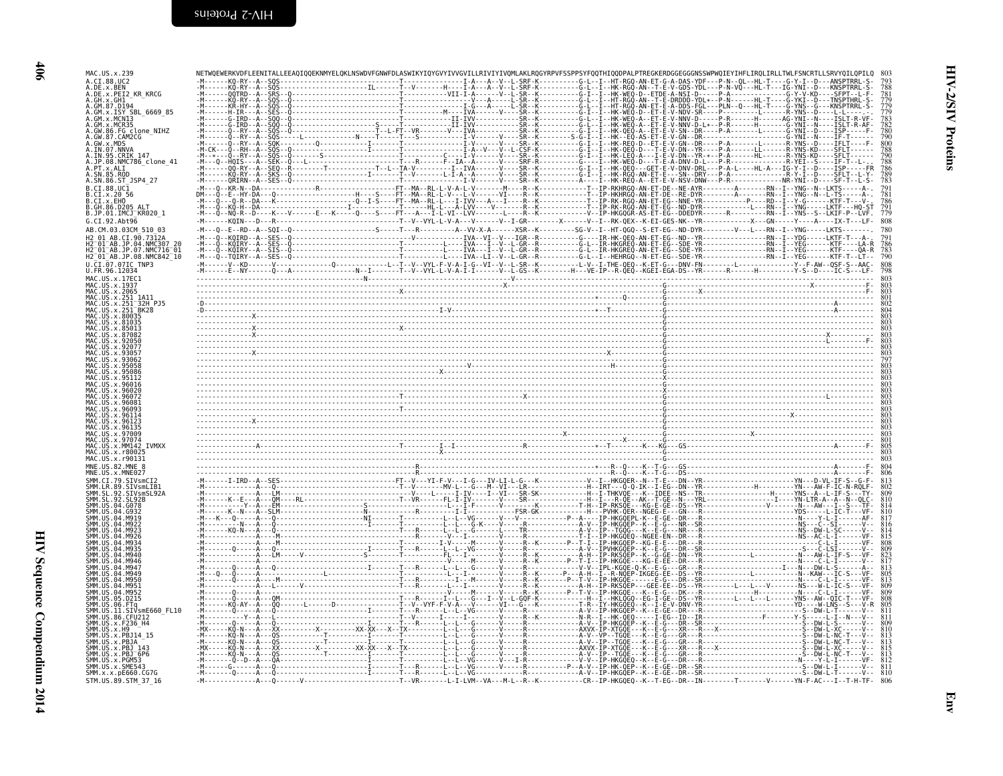| MAC.US.x.239<br>A.CI.88.UC2                                                                 |  |  |
|---------------------------------------------------------------------------------------------|--|--|
| .DE.x.BEN<br>.DE.x.PEI2_KR_KRCG<br>A.GH.x.GH1 -<br>A.GM.87.D194<br>A.GM.x.ISY_SBL_6669_85   |  |  |
| .GM.x.MCN13<br>.GM.x.MCR35<br>.GW.86.FG clone NIHZ                                          |  |  |
| GW.87.CAM2CG<br>GW.x.MDS<br>IN.07.NNVA                                                      |  |  |
| IN.95.CRIK 147<br>JP.08.NMC786 clone 41<br>.PT.x.ALI<br>SN.85.ROD                           |  |  |
| .SN.86.ST JSP4 27<br>$B.CI.88.UC\bar{1}$                                                    |  |  |
| B.CI.x.20 56<br>B.CI.x.EHO<br>B.GH.86.D205 ALT<br>B.JP.01.IMCJ_KR020_1                      |  |  |
| G.CI.92.Abt96                                                                               |  |  |
| H2 <sup>-</sup> 01 <sup>-</sup> AB.JP.07.NMC716 <sup>-</sup> 01<br>H2_01_AB.JP.08.NMC842_10 |  |  |
| CI.07.07IC TNP3<br>U.FR.96.12034<br>MAC.US.x.17EC1                                          |  |  |
| MAC.US.x.1937<br>MAC.US.x.2065<br>MAC.US.x.251 1A11<br>MAC.US.x.251 <sup>-</sup> 32H PJ5    |  |  |
|                                                                                             |  |  |
|                                                                                             |  |  |
|                                                                                             |  |  |
|                                                                                             |  |  |
|                                                                                             |  |  |
| .96135                                                                                      |  |  |
| Y 97074<br><b>TVMXX</b><br>.x.r8002<br>MAC.US.x.r90131                                      |  |  |
| MNE.US.x.MNE027                                                                             |  |  |
| SMM.LR.89.SIVsmLIB1                                                                         |  |  |
|                                                                                             |  |  |
|                                                                                             |  |  |
|                                                                                             |  |  |
|                                                                                             |  |  |
| SIVsmE660 FL10                                                                              |  |  |
| SMM.US.86.CFU212<br>ŠMM. ŪS. x. F236_H4<br>$IIS \times H9$                                  |  |  |
| MM.US.x.PBJA<br>SMM.US.x.PBJ 6P6                                                            |  |  |
| MM US x PGM53<br>SMM.US.x.SME543<br>SMM.x.x.pE660.CG7G                                      |  |  |
| STM.US.89.STM 37 16                                                                         |  |  |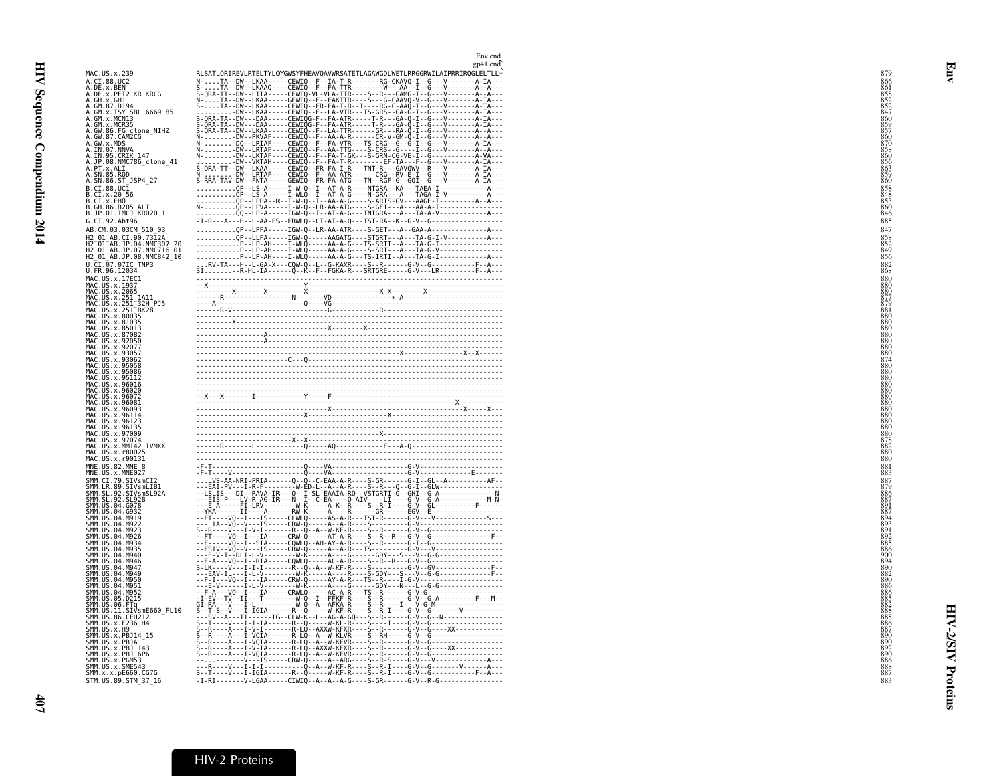| MAC.US.x.239                                                                                                                                                | RLSATLQRIREVLRTELTYLQYGWSYFHEAVQAVWRSATETLAGAWGDLWETLRRGGRWILAIPRRIRQGLELTLL*                                                                                                                                                 |  |
|-------------------------------------------------------------------------------------------------------------------------------------------------------------|-------------------------------------------------------------------------------------------------------------------------------------------------------------------------------------------------------------------------------|--|
| A.CI.88.UC2                                                                                                                                                 |                                                                                                                                                                                                                               |  |
| A.DE.x.BEN<br>A.DE.x.PEI2_KR_KRCG                                                                                                                           |                                                                                                                                                                                                                               |  |
|                                                                                                                                                             | RESART IDENTIFICATION OF THE CALIFORNIA CONTRACT CONTRACT CONTRACT CONTRACT CONTRACT CONTRACT CONTRACT CONTRACT CONTRACT CONTRACT CONTRACT CONTRACT CONTRACT CONTRACT CONTRACT CONTRACT CONTRACT CONTRACT CONTRACT CONTRACT C |  |
|                                                                                                                                                             |                                                                                                                                                                                                                               |  |
| 4.GE.x.FE14_hh_hhttp<br>A.GH.x.GH1<br>A.GM.x.ISY_SBL_6669_85<br>A.GM.x.MCR3<br>A.GM.x.MCR3<br>A.GW.86.FG_clone_NIHZ<br>A.GW.86.FG_clone_NIHZ<br>A.GW.87_MDS |                                                                                                                                                                                                                               |  |
|                                                                                                                                                             |                                                                                                                                                                                                                               |  |
| A.GW.X.MDS<br>A.GW.X.MDS<br>A.IN.97.NNVA<br>A.JP.08.NMC786_clone_41<br>A.PT.X.ALI<br>A.PT.X.ALI<br>A.PT.X.ALI                                               |                                                                                                                                                                                                                               |  |
|                                                                                                                                                             |                                                                                                                                                                                                                               |  |
|                                                                                                                                                             |                                                                                                                                                                                                                               |  |
| A. SN.85.ROD<br>A. SN.85.ROD<br>A. SN.86.ST_JSP4_27                                                                                                         |                                                                                                                                                                                                                               |  |
| B.CI.88.UC1                                                                                                                                                 |                                                                                                                                                                                                                               |  |
| B.CI.x.20 56<br>B.CI.x.EHO                                                                                                                                  |                                                                                                                                                                                                                               |  |
| B.GH.86.D205_ALT<br>B.JP.01.IMCJ_KR020_1                                                                                                                    |                                                                                                                                                                                                                               |  |
|                                                                                                                                                             |                                                                                                                                                                                                                               |  |
| G.CI.92.Abt96<br>AB.CM.03.03CM 510 03                                                                                                                       | QP--LPFA-----IGW-Q--LR-AA-ATR----S-GET---A--GAA-A----------------A---                                                                                                                                                         |  |
|                                                                                                                                                             |                                                                                                                                                                                                                               |  |
| H2_01_AB.CI.90.7312A<br>H2_01_AB.JP.04.NMC307_20<br>H2_01_AB.JP.07.NMC716_01                                                                                |                                                                                                                                                                                                                               |  |
| H2 01 AB.JP.08.NMC842 10                                                                                                                                    |                                                                                                                                                                                                                               |  |
| U.CI.07.07IC TNP3<br>U.FR.96.12034                                                                                                                          |                                                                                                                                                                                                                               |  |
| MAC.US.x.17EC1                                                                                                                                              |                                                                                                                                                                                                                               |  |
| MAC.US.x.17EL<br>MAC.US.x.1937<br>MAC.US.x.2065<br>MAC.US.x.251 1A11<br>MAC.US.x.251 BK28<br>MAC.US.x.251 BK28<br>MAC.US.x.80035<br>MAC.US.x.80035          |                                                                                                                                                                                                                               |  |
|                                                                                                                                                             |                                                                                                                                                                                                                               |  |
|                                                                                                                                                             |                                                                                                                                                                                                                               |  |
|                                                                                                                                                             |                                                                                                                                                                                                                               |  |
| MAČ.ŬŠ.X.81035<br>MAC.US.X.85013<br>C.US.X.85013                                                                                                            |                                                                                                                                                                                                                               |  |
| MAC.US.x.87082<br>MAC.US.x.92050                                                                                                                            |                                                                                                                                                                                                                               |  |
| MAC.US.x.92077<br>MAC.US.x.93057                                                                                                                            |                                                                                                                                                                                                                               |  |
| MAC.US.x.9306                                                                                                                                               |                                                                                                                                                                                                                               |  |
| MAC.US.x.95058                                                                                                                                              |                                                                                                                                                                                                                               |  |
| MAC.US.x.95086<br>MAC.US.x.95112                                                                                                                            |                                                                                                                                                                                                                               |  |
| MAC.US.x.96016<br>MAC.US.x.96020                                                                                                                            |                                                                                                                                                                                                                               |  |
| MAC.US.x.96072                                                                                                                                              |                                                                                                                                                                                                                               |  |
| MAC.US.x.96081<br>MAC.US.x.96093                                                                                                                            |                                                                                                                                                                                                                               |  |
| MAC.US.x.96114                                                                                                                                              |                                                                                                                                                                                                                               |  |
| MAC.US.x.96123<br>MAC.US.x.96135                                                                                                                            |                                                                                                                                                                                                                               |  |
| MAC.US.x.97009<br>MAC.US.x.97074                                                                                                                            |                                                                                                                                                                                                                               |  |
| MAC.US.x.MM142_IVMXX                                                                                                                                        | $\frac{1}{2}$                                                                                                                                                                                                                 |  |
| MAC.US.x.r8002<br>MAC.US.x.r90131                                                                                                                           |                                                                                                                                                                                                                               |  |
| MNE.US.82.MNE.8                                                                                                                                             |                                                                                                                                                                                                                               |  |
| MNE.US.x.MNE027                                                                                                                                             |                                                                                                                                                                                                                               |  |
| "<br>SMM.CI.79.SIVsmCI2<br>SMM.LR.89.SIVsmLIB1<br>SMM.SL.92.SIVsmSL92A<br>SMM.SL.92.SL92B                                                                   |                                                                                                                                                                                                                               |  |
|                                                                                                                                                             |                                                                                                                                                                                                                               |  |
| SMM. US. 04. G078<br>SMM. US. 04. G078<br>SMM. US. 04. M919<br>SMM. US. 04. M922                                                                            |                                                                                                                                                                                                                               |  |
|                                                                                                                                                             |                                                                                                                                                                                                                               |  |
|                                                                                                                                                             |                                                                                                                                                                                                                               |  |
| ŠMM. UŠ. 04. M923<br>SMM. US. 04. M926                                                                                                                      |                                                                                                                                                                                                                               |  |
| SMM.US.04.M934<br>SMM.US.04.M935                                                                                                                            |                                                                                                                                                                                                                               |  |
| SMM.US.04.M940<br>SMM.US.04.M946                                                                                                                            |                                                                                                                                                                                                                               |  |
| ŠMM. UŠ. 04. M947<br>SMM. US. 04. M949                                                                                                                      |                                                                                                                                                                                                                               |  |
| SMM.US.04.M950                                                                                                                                              |                                                                                                                                                                                                                               |  |
| SMM.US.04.M951                                                                                                                                              |                                                                                                                                                                                                                               |  |
| ŠMM. UŠ. 04. M952<br>SMM. US. 05. D215                                                                                                                      |                                                                                                                                                                                                                               |  |
| SMH1+93+2+1+1+<br>SMM .US.11. SIVsmE660_FL10<br>SMM .US.11. SIVsmE660_FL10<br>SMM .US. x. F236_H4<br>CMM .US. x. F43                                        |                                                                                                                                                                                                                               |  |
|                                                                                                                                                             |                                                                                                                                                                                                                               |  |
|                                                                                                                                                             |                                                                                                                                                                                                                               |  |
| SMM.US.x.H9<br>SMM.US.x.PBJ14_15                                                                                                                            |                                                                                                                                                                                                                               |  |
| SMM.US.x.PBJA –<br>SMM.US.x.PBJ_143                                                                                                                         |                                                                                                                                                                                                                               |  |
| SMM.US.x.PBJ <sup>-</sup> 6P6                                                                                                                               |                                                                                                                                                                                                                               |  |
| SMM.US.x.PGM53<br>SMM.US.x.SME543                                                                                                                           |                                                                                                                                                                                                                               |  |
| SMM.x.x.pE660.CG7G                                                                                                                                          |                                                                                                                                                                                                                               |  |
| STM.US.89.STM 37 16                                                                                                                                         |                                                                                                                                                                                                                               |  |

<span id="page-28-0"></span>gp41 end Env end<br>n<sup>41</sup> and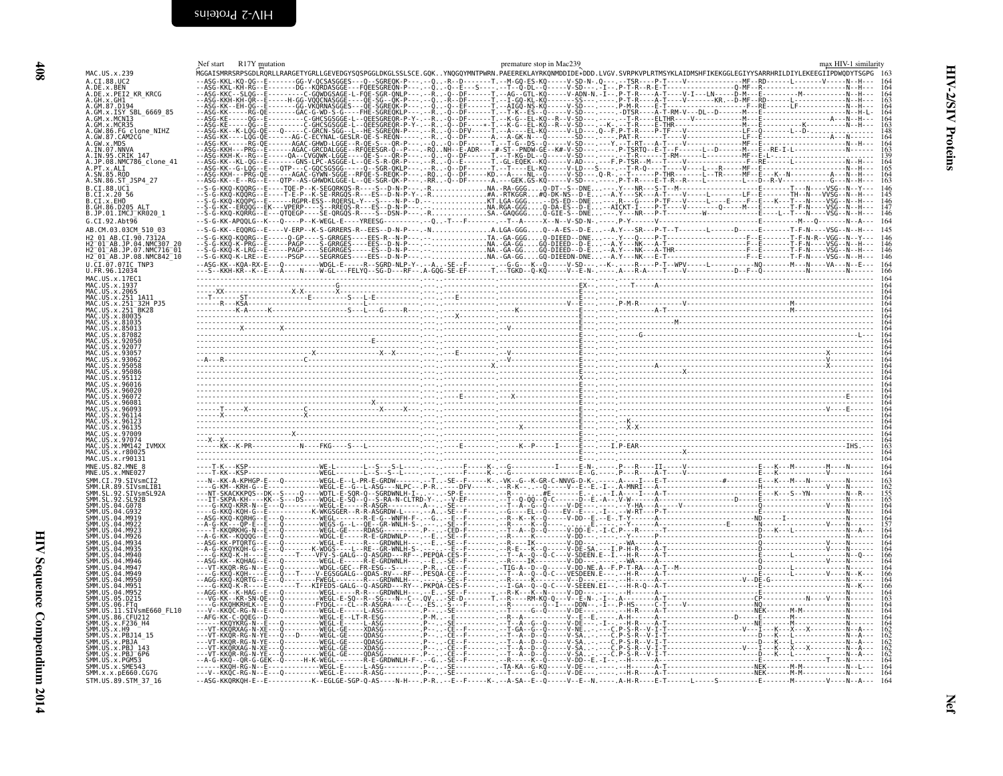<span id="page-29-1"></span><span id="page-29-0"></span>

|                                                                                   | R17Y mutation<br>Nef start | premature stop in Mac239                                                                                                                                                 |  |
|-----------------------------------------------------------------------------------|----------------------------|--------------------------------------------------------------------------------------------------------------------------------------------------------------------------|--|
| MAC.US.x.239                                                                      |                            | MGGAISMRRSRPSGDLRORLLRARGETYGRLLGEVEDGYSOSPGGLDKGLSSLSCE.GOKYNOGOYMNTPWRN.PAEEREKLAYRKONMDDIDE*DDD.LVGV.SVRPKVPLRTMSYKLAIDMSHFIKEKGGLEGIYYSARRHRILDIYLEKEEGIIPDWODYTSGPG |  |
| A.CI.88.UC2                                                                       |                            |                                                                                                                                                                          |  |
| A.DE.x.PEI2 KR KRCG                                                               |                            |                                                                                                                                                                          |  |
|                                                                                   |                            |                                                                                                                                                                          |  |
| A.GM.x.ISY SBL 6669 85                                                            |                            |                                                                                                                                                                          |  |
| GM.x.MCN13                                                                        |                            |                                                                                                                                                                          |  |
| .GM.x.MCR35<br>A.GW.86.FG clone NIHZ                                              |                            |                                                                                                                                                                          |  |
| .GW.87.CAM2CG                                                                     |                            |                                                                                                                                                                          |  |
| GW. x. MDS                                                                        |                            |                                                                                                                                                                          |  |
| IN.07.NNVA<br>.IN.95.CRIK 147                                                     |                            |                                                                                                                                                                          |  |
| .JP.08.NMC786_clone 41                                                            |                            |                                                                                                                                                                          |  |
| .PT.x.ALI                                                                         |                            |                                                                                                                                                                          |  |
| A.SN.86.ST JSP4 27                                                                |                            |                                                                                                                                                                          |  |
| 3. CT. 88. HC1                                                                    |                            |                                                                                                                                                                          |  |
| .CI.x.EHO                                                                         |                            |                                                                                                                                                                          |  |
| B.GH.86.D205 ALT                                                                  |                            |                                                                                                                                                                          |  |
| B.JP.01.IMCJ <sup>-</sup> KR020 1                                                 |                            |                                                                                                                                                                          |  |
| G.CI.92.Abt96                                                                     |                            |                                                                                                                                                                          |  |
|                                                                                   |                            |                                                                                                                                                                          |  |
|                                                                                   |                            |                                                                                                                                                                          |  |
| $01^-$ AB.JP.07.NMC716 $^-$ 01<br>H2 <sup>-01-AB.JP.08.NMC842<sup>-10</sup></sup> |                            |                                                                                                                                                                          |  |
|                                                                                   |                            |                                                                                                                                                                          |  |
| U.CI.07.07IC TNP3<br>U.FR.96.12034                                                |                            |                                                                                                                                                                          |  |
| MAC US x 17FC1                                                                    |                            |                                                                                                                                                                          |  |
|                                                                                   |                            |                                                                                                                                                                          |  |
|                                                                                   |                            |                                                                                                                                                                          |  |
|                                                                                   |                            |                                                                                                                                                                          |  |
|                                                                                   |                            |                                                                                                                                                                          |  |
|                                                                                   |                            |                                                                                                                                                                          |  |
|                                                                                   |                            |                                                                                                                                                                          |  |
|                                                                                   |                            |                                                                                                                                                                          |  |
|                                                                                   |                            |                                                                                                                                                                          |  |
|                                                                                   |                            |                                                                                                                                                                          |  |
|                                                                                   |                            |                                                                                                                                                                          |  |
|                                                                                   |                            |                                                                                                                                                                          |  |
|                                                                                   |                            |                                                                                                                                                                          |  |
|                                                                                   |                            |                                                                                                                                                                          |  |
|                                                                                   |                            |                                                                                                                                                                          |  |
|                                                                                   |                            |                                                                                                                                                                          |  |
|                                                                                   |                            |                                                                                                                                                                          |  |
|                                                                                   |                            |                                                                                                                                                                          |  |
|                                                                                   |                            |                                                                                                                                                                          |  |
| MM142 TVMXX<br>IC IIS x r80021                                                    |                            |                                                                                                                                                                          |  |
|                                                                                   |                            |                                                                                                                                                                          |  |
|                                                                                   |                            |                                                                                                                                                                          |  |
|                                                                                   |                            |                                                                                                                                                                          |  |
|                                                                                   |                            |                                                                                                                                                                          |  |
|                                                                                   |                            |                                                                                                                                                                          |  |
|                                                                                   |                            |                                                                                                                                                                          |  |
|                                                                                   |                            |                                                                                                                                                                          |  |
|                                                                                   |                            |                                                                                                                                                                          |  |
|                                                                                   |                            |                                                                                                                                                                          |  |
|                                                                                   |                            |                                                                                                                                                                          |  |
|                                                                                   |                            |                                                                                                                                                                          |  |
|                                                                                   |                            |                                                                                                                                                                          |  |
|                                                                                   |                            |                                                                                                                                                                          |  |
|                                                                                   |                            |                                                                                                                                                                          |  |
|                                                                                   |                            |                                                                                                                                                                          |  |
|                                                                                   |                            |                                                                                                                                                                          |  |
|                                                                                   |                            |                                                                                                                                                                          |  |
| STVsmF660 FL10                                                                    |                            |                                                                                                                                                                          |  |
|                                                                                   |                            |                                                                                                                                                                          |  |
|                                                                                   |                            |                                                                                                                                                                          |  |
|                                                                                   |                            |                                                                                                                                                                          |  |
|                                                                                   |                            |                                                                                                                                                                          |  |
|                                                                                   |                            |                                                                                                                                                                          |  |
|                                                                                   |                            |                                                                                                                                                                          |  |
| SMM.US.x.SME543                                                                   |                            |                                                                                                                                                                          |  |
| SMM.x.x.pE660.CG7G<br>STM.US.89.STM 37 16                                         |                            |                                                                                                                                                                          |  |